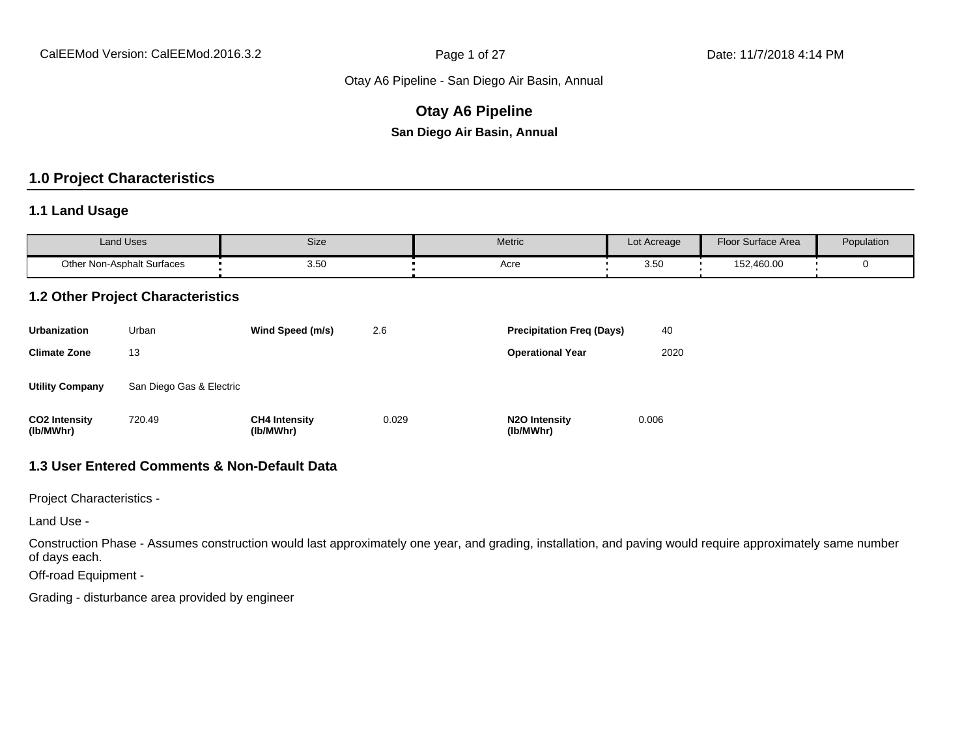# **Otay A6 Pipeline San Diego Air Basin, Annual**

# **1.0 Project Characteristics**

#### **1.1 Land Usage**

| <b>Land Uses</b>                  | Size | Metric | $\sim$<br>Lot Acreage | Floor Surface Area | Population |
|-----------------------------------|------|--------|-----------------------|--------------------|------------|
| <b>Other Non-Asphalt Surfaces</b> | 3.5C | Acre   | 3.50                  | 152,460.00         |            |

#### **1.2 Other Project Characteristics**

| <b>Urbanization</b>               | Urban                    | Wind Speed (m/s)                  | 2.6   | <b>Precipitation Freg (Days)</b>        | 40    |
|-----------------------------------|--------------------------|-----------------------------------|-------|-----------------------------------------|-------|
| <b>Climate Zone</b>               | 13                       |                                   |       | <b>Operational Year</b>                 | 2020  |
| <b>Utility Company</b>            | San Diego Gas & Electric |                                   |       |                                         |       |
| <b>CO2 Intensity</b><br>(lb/MWhr) | 720.49                   | <b>CH4 Intensity</b><br>(lb/MWhr) | 0.029 | N <sub>2</sub> O Intensity<br>(lb/MWhr) | 0.006 |

# **1.3 User Entered Comments & Non-Default Data**

Project Characteristics -

Land Use -

Construction Phase - Assumes construction would last approximately one year, and grading, installation, and paving would require approximately same number of days each.

Off-road Equipment -

Grading - disturbance area provided by engineer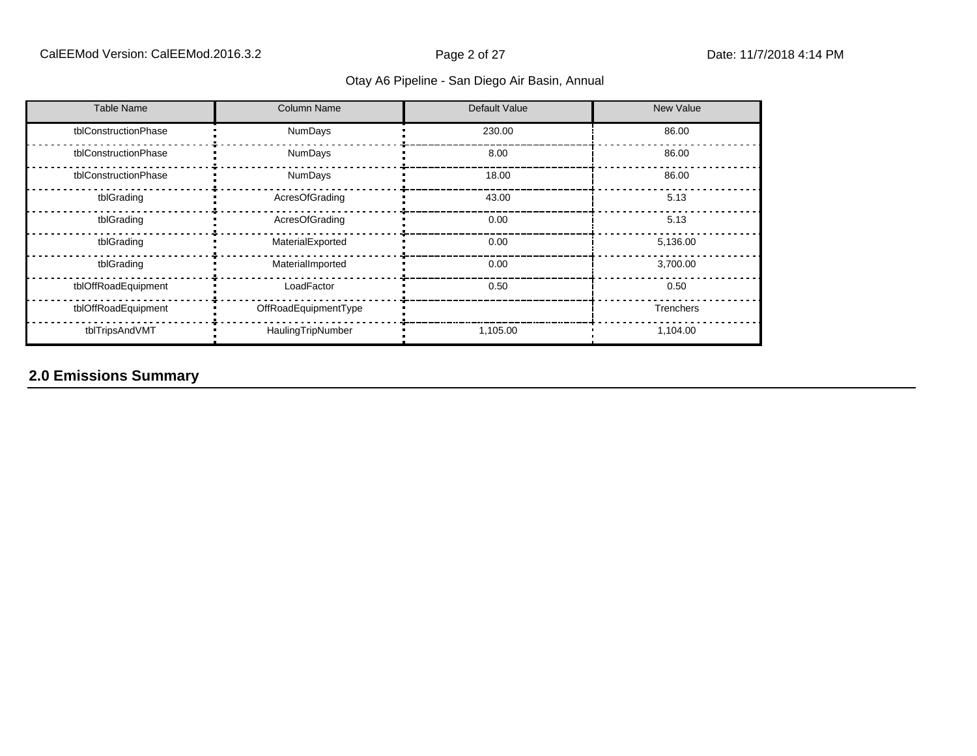| <b>Table Name</b>    | <b>Column Name</b>   | Default Value | New Value        |
|----------------------|----------------------|---------------|------------------|
| tblConstructionPhase | NumDays              | 230.00        | 86.00            |
| tblConstructionPhase | NumDays              | 8.00          | 86.00            |
| tblConstructionPhase | NumDays              | 18.00         | 86.00            |
| tblGrading           | AcresOfGrading       | 43.00         | 5.13             |
| tblGrading           | AcresOfGrading       | 0.00          | 5.13             |
| tblGrading           | MaterialExported     | 0.00          | 5,136.00         |
| tblGrading           | MaterialImported     | 0.00          | 3,700.00         |
| tblOffRoadEquipment  | LoadFactor           | 0.50          | 0.50             |
| tblOffRoadEquipment  | OffRoadEquipmentType |               | <b>Trenchers</b> |
| tblTripsAndVMT       | HaulingTripNumber    | 1,105.00      | 1,104.00         |

# **2.0 Emissions Summary**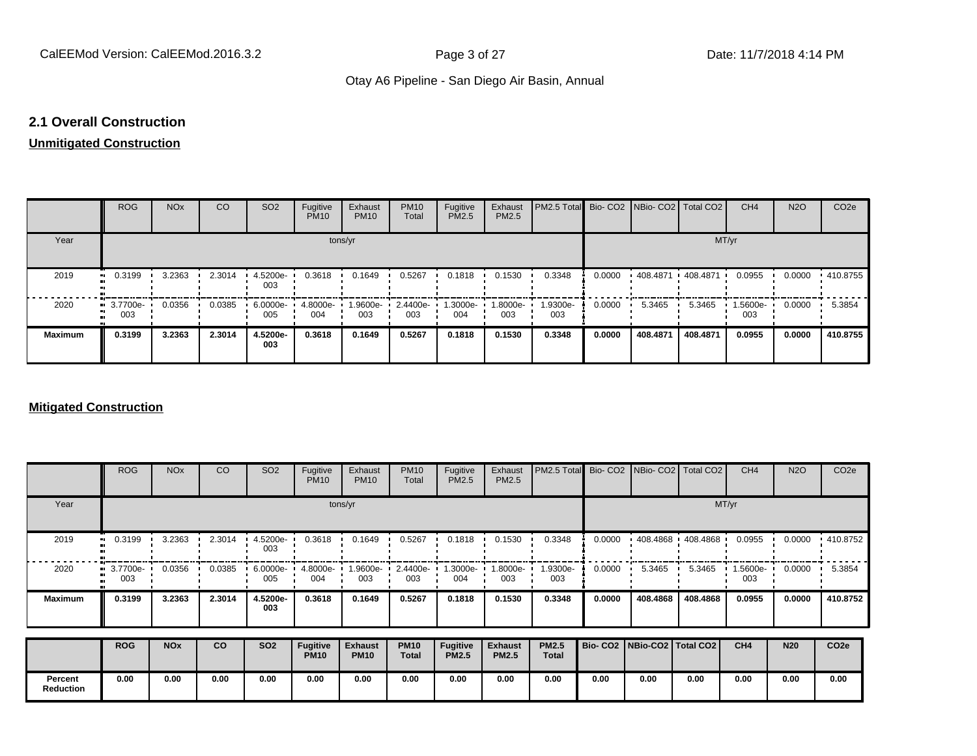#### **2.1 Overall Construction**

# **Unmitigated Construction**

|                | <b>ROG</b>      | <b>NO<sub>x</sub></b> | CO     | SO <sub>2</sub> | Fugitive<br><b>PM10</b> | Exhaust<br><b>PM10</b> | <b>PM10</b><br>Total | Fugitive<br>PM2.5 | Exhaust<br>PM2.5 | PM2.5 Total     |        | Bio- CO2 NBio- CO2   Total CO2 |           | CH <sub>4</sub> | <b>N2O</b> | CO <sub>2e</sub> |
|----------------|-----------------|-----------------------|--------|-----------------|-------------------------|------------------------|----------------------|-------------------|------------------|-----------------|--------|--------------------------------|-----------|-----------------|------------|------------------|
| Year           |                 |                       |        |                 |                         | tons/yr                |                      |                   |                  |                 |        |                                | MT/yr     |                 |            |                  |
| 2019           | 0.3199          | 3.2363                | 2.3014 | 4.5200e-<br>003 | 0.3618                  | 0.1649                 | 0.5267               | 0.1818            | 0.1530           | 0.3348          | 0.0000 | .408.4871                      | .408.4871 | 0.0955          | 0.0000     | $+410.8755$      |
| 2020           | 3.7700e-<br>003 | 0.0356                | 0.0385 | 6.0000e-<br>005 | 4.8000e-<br>004         | 1.9600e-<br>003        | 2.4400e-<br>003      | 1.3000e-<br>004   | -.8000e<br>003   | 1.9300e-<br>003 | 0.0000 | 5.3465                         | 5.3465    | 1.5600e-<br>003 | 0.0000     | 5.3854           |
| <b>Maximum</b> | 0.3199          | 3.2363                | 2.3014 | 4.5200e-<br>003 | 0.3618                  | 0.1649                 | 0.5267               | 0.1818            | 0.1530           | 0.3348          | 0.0000 | 408.4871                       | 408.4871  | 0.0955          | 0.0000     | 410.8755         |

#### **Mitigated Construction**

|                             | <b>ROG</b>          | <b>NO<sub>x</sub></b> | CO     | SO <sub>2</sub>   | Fugitive<br><b>PM10</b>        | Exhaust<br><b>PM10</b>        | <b>PM10</b><br>Total        | Fugitive<br>PM2.5               | Exhaust<br>PM2.5               | PM2.5 Total                  |                                 |          | Bio- CO2   NBio- CO2   Total CO2 | CH <sub>4</sub> | <b>N2O</b> | CO <sub>2e</sub> |
|-----------------------------|---------------------|-----------------------|--------|-------------------|--------------------------------|-------------------------------|-----------------------------|---------------------------------|--------------------------------|------------------------------|---------------------------------|----------|----------------------------------|-----------------|------------|------------------|
| Year                        |                     |                       |        |                   |                                | tons/yr                       |                             |                                 |                                |                              |                                 |          |                                  | MT/yr           |            |                  |
| 2019                        | 0.3199<br>$\bullet$ | 3.2363                | 2.3014 | $4.5200e-$<br>003 | 0.3618                         | 0.1649                        | 0.5267                      | 0.1818                          | 0.1530                         | 0.3348                       | 0.0000                          |          | $1408.4868$ $1408.4868$          | 0.0955          | 0.0000     | $+410.8752$      |
| 2020                        | 3.7700e-<br>003     | 0.0356                | 0.0385 | 6.0000e-<br>005   | 4.8000e-<br>004                | 1.9600e-<br>003               | 2.4400e-<br>003             | .3000e-<br>004                  | .8000e-<br>003                 | 1.9300e-<br>003              | 0.0000                          | 5.3465   | 5.3465                           | 1.5600e-<br>003 | 0.0000     | 5.3854           |
| <b>Maximum</b>              | 0.3199              | 3.2363                | 2.3014 | 4.5200e-<br>003   | 0.3618                         | 0.1649                        | 0.5267                      | 0.1818                          | 0.1530                         | 0.3348                       | 0.0000                          | 408.4868 | 408.4868                         | 0.0955          | 0.0000     | 410.8752         |
|                             | <b>ROG</b>          | <b>NO<sub>x</sub></b> | CO     | <b>SO2</b>        | <b>Fugitive</b><br><b>PM10</b> | <b>Exhaust</b><br><b>PM10</b> | <b>PM10</b><br><b>Total</b> | <b>Fugitive</b><br><b>PM2.5</b> | <b>Exhaust</b><br><b>PM2.5</b> | <b>PM2.5</b><br><b>Total</b> | Bio- CO2   NBio-CO2   Total CO2 |          |                                  | CH4             | <b>N20</b> | CO <sub>2e</sub> |
| Percent<br><b>Reduction</b> | 0.00                | 0.00                  | 0.00   | 0.00              | 0.00                           | 0.00                          | 0.00                        | 0.00                            | 0.00                           | 0.00                         | 0.00                            | 0.00     | 0.00                             | 0.00            | 0.00       | 0.00             |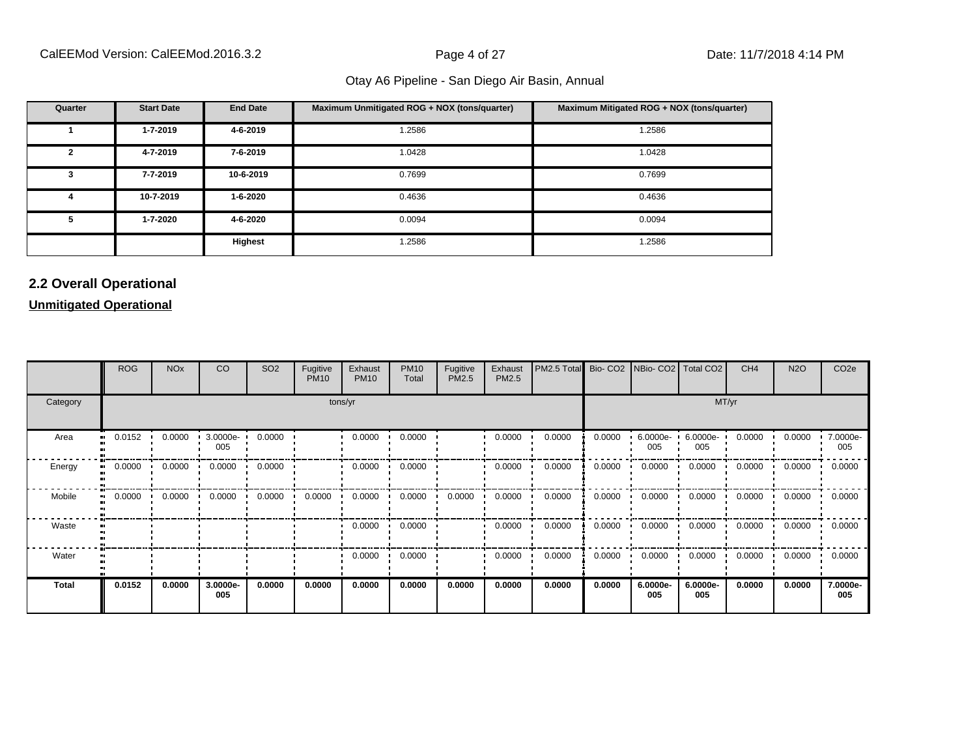| Quarter | <b>Start Date</b> | <b>End Date</b> | Maximum Unmitigated ROG + NOX (tons/quarter) | Maximum Mitigated ROG + NOX (tons/quarter) |
|---------|-------------------|-----------------|----------------------------------------------|--------------------------------------------|
|         | 1-7-2019          | 4-6-2019        | 1.2586                                       | 1.2586                                     |
| 2       | 4-7-2019          | 7-6-2019        | 1.0428                                       | 1.0428                                     |
| 3       | 7-7-2019          | 10-6-2019       | 0.7699                                       | 0.7699                                     |
| 4       | 10-7-2019         | 1-6-2020        | 0.4636                                       | 0.4636                                     |
| 5       | 1-7-2020          | 4-6-2020        | 0.0094                                       | 0.0094                                     |
|         |                   | Highest         | 1.2586                                       | 1.2586                                     |

# **2.2 Overall Operational**

**Unmitigated Operational**

|              | <b>ROG</b> | <b>NO<sub>x</sub></b> | CO              | SO <sub>2</sub> | Fugitive<br><b>PM10</b> | Exhaust<br><b>PM10</b> | <b>PM10</b><br>Total | Fugitive<br>PM2.5 | Exhaust<br>PM2.5 | PM2.5 Total |        | Bio- CO2   NBio- CO2   Total CO2 |                 | CH <sub>4</sub> | <b>N2O</b> | CO <sub>2e</sub> |
|--------------|------------|-----------------------|-----------------|-----------------|-------------------------|------------------------|----------------------|-------------------|------------------|-------------|--------|----------------------------------|-----------------|-----------------|------------|------------------|
| Category     |            | tons/yr               |                 |                 |                         |                        |                      |                   |                  |             |        |                                  | MT/yr           |                 |            |                  |
| Area         | 0.0152<br> | 0.0000                | 3.0000e-<br>005 | 0.0000          |                         | 0.0000                 | 0.0000               |                   | 0.0000           | 0.0000      | 0.0000 | 6.0000e-<br>005                  | 6.0000e-<br>005 | 0.0000          | 0.0000     | 7.0000e-<br>005  |
| Energy       | 0.0000<br> | 0.0000                | 0.0000          | 0.0000          |                         | 0.0000                 | 0.0000               |                   | 0.0000           | 0.0000      | 0.0000 | 0.0000                           | 0.0000          | 0.0000          | 0.0000     | 0.0000           |
| Mobile       | 0.0000<br> | 0.0000                | 0.0000          | 0.0000          | 0.0000                  | 0.0000                 | 0.0000               | 0.0000            | 0.0000           | 0.0000      | 0.0000 | 0.0000                           | 0.0000          | 0.0000          | 0.0000     | 0.0000           |
| Waste        |            |                       |                 |                 |                         | 0.0000                 | 0.0000               |                   | 0.0000           | 0.0000      | 0.0000 | 0.0000                           | 0.0000          | 0.0000          | 0.0000     | 0.0000           |
| Water        |            |                       |                 |                 |                         | 0.0000                 | 0.0000               |                   | 0.0000           | 0.0000      | 0.0000 | 0.0000                           | 0.0000          | 0.0000          | 0.0000     | 0.0000           |
| <b>Total</b> | 0.0152     | 0.0000                | 3.0000e-<br>005 | 0.0000          | 0.0000                  | 0.0000                 | 0.0000               | 0.0000            | 0.0000           | 0.0000      | 0.0000 | 6.0000e-<br>005                  | 6.0000e-<br>005 | 0.0000          | 0.0000     | 7.0000e-<br>005  |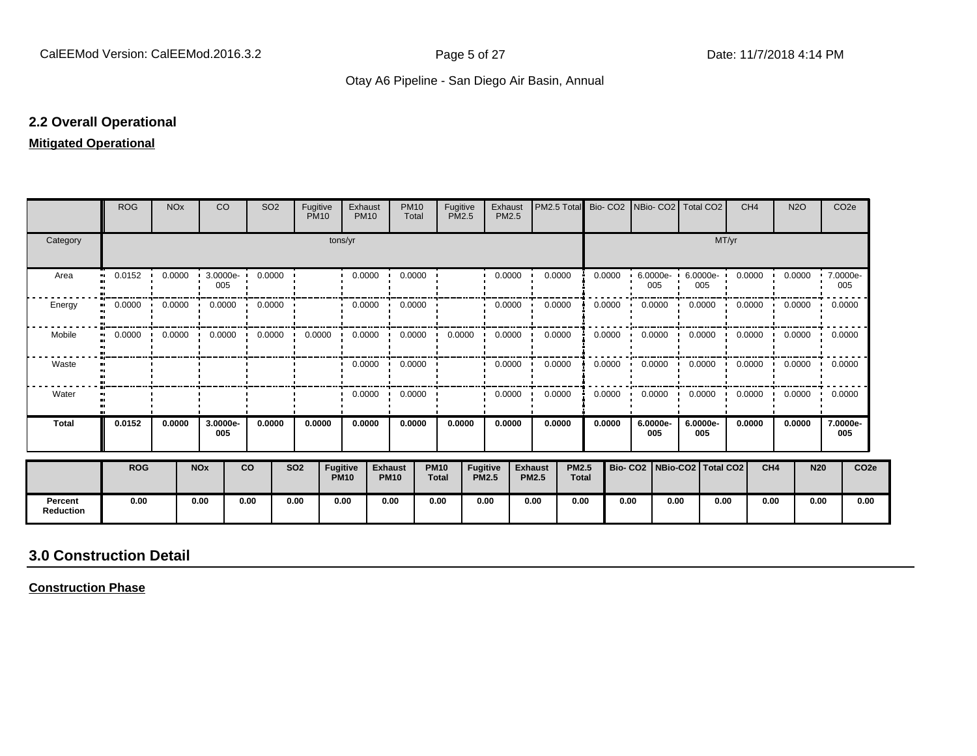#### **2.2 Overall Operational**

#### **Mitigated Operational**

|                             | <b>ROG</b>                 | <b>NO<sub>x</sub></b> |                       | <b>CO</b>          | SO <sub>2</sub>            | Fugitive<br><b>PM10</b> |                                | Exhaust<br><b>PM10</b> | <b>PM10</b><br>Total               |                             | Fugitive<br><b>PM2.5</b> | Exhaust<br>PM2.5 | PM2.5 Total                    |                              | Bio-CO <sub>2</sub> | NBio- CO2   Total CO2           |                    |       | CH <sub>4</sub> | <b>N2O</b>                 |            | CO <sub>2</sub> e |
|-----------------------------|----------------------------|-----------------------|-----------------------|--------------------|----------------------------|-------------------------|--------------------------------|------------------------|------------------------------------|-----------------------------|--------------------------|------------------|--------------------------------|------------------------------|---------------------|---------------------------------|--------------------|-------|-----------------|----------------------------|------------|-------------------|
| Category                    |                            |                       |                       |                    |                            |                         | tons/yr                        |                        |                                    |                             |                          |                  |                                |                              |                     |                                 |                    | MT/yr |                 |                            |            |                   |
| Area                        | 0.0152<br>$\bullet\bullet$ | 0.0000                |                       | $3.0000e -$<br>005 | 0.0000                     |                         |                                | 0.0000                 | 0.0000<br>$\cdot$                  |                             |                          | 0.0000           | 0.0000                         |                              | 0.0000              | $6.0000e -$<br>005              | $6.0000e -$<br>005 |       | 0.0000          | 0.0000                     | 7.0000e-   | 005               |
| Energy<br>$\bullet$         | 0.0000                     | 0.0000                |                       | 0.0000             | 0.0000                     |                         |                                | 0.0000                 | 0.0000                             |                             |                          | 0.0000           | 0.0000                         |                              | 0.0000              | 0.0000                          | 0.0000             |       | 0.0000          | 0.0000                     | 0.0000     |                   |
| Mobile<br>$\blacksquare$    | 0.0000                     | 0.0000                |                       |                    | $0.0000$ $0.0000$ $0.0000$ |                         | $0.0000$ $\blacksquare$        |                        | $0.0000 \cdot 0.0000 \cdot 0.0000$ |                             |                          | 0.0000           | 0.0000                         |                              | 0.0000              | $0.0000$ $\cdot$                | 0.0000             |       |                 | $0.0000$ $0.0000$ $0.0000$ |            |                   |
| Waste                       |                            |                       |                       |                    |                            |                         |                                | $0.0000$ $\cdot$       | 0.0000                             |                             |                          | 0.0000           | 0.0000                         |                              | 0.0000              | 0.0000                          | 0.0000             |       | 0.0000          | 0.0000                     | 0.0000     |                   |
| Water                       |                            |                       |                       |                    |                            |                         |                                | 0.0000                 | 0.0000<br>$\cdot$                  |                             |                          | 0.0000           | 0.0000                         |                              | 0.0000              | 0.0000                          | 0.0000             |       | 0.0000          | 0.0000                     | 0.0000     |                   |
| <b>Total</b>                | 0.0152                     | 0.0000                |                       | 3.0000e-<br>005    | 0.0000                     | 0.0000                  |                                | 0.0000                 | 0.0000                             |                             | 0.0000                   | 0.0000           | 0.0000                         |                              | 0.0000              | 6.0000e-<br>005                 | 6.0000e-<br>005    |       | 0.0000          | 0.0000                     |            | 7.0000e-<br>005   |
|                             | <b>ROG</b>                 |                       | <b>NO<sub>x</sub></b> |                    | <b>CO</b>                  | <b>SO2</b>              | <b>Fugitive</b><br><b>PM10</b> |                        | <b>Exhaust</b><br><b>PM10</b>      | <b>PM10</b><br><b>Total</b> | Fugitive<br><b>PM2.5</b> |                  | <b>Exhaust</b><br><b>PM2.5</b> | <b>PM2.5</b><br><b>Total</b> |                     | Bio- CO2   NBio-CO2   Total CO2 |                    |       | CH <sub>4</sub> |                            | <b>N20</b> | CO <sub>2e</sub>  |
| Percent<br><b>Reduction</b> | 0.00                       |                       | 0.00                  |                    | 0.00                       | 0.00                    | 0.00                           |                        | 0.00                               | 0.00                        | 0.00                     |                  | 0.00                           | 0.00                         | 0.00                | 0.00                            |                    | 0.00  | 0.00            |                            | 0.00       | 0.00              |

# **3.0 Construction Detail**

**Construction Phase**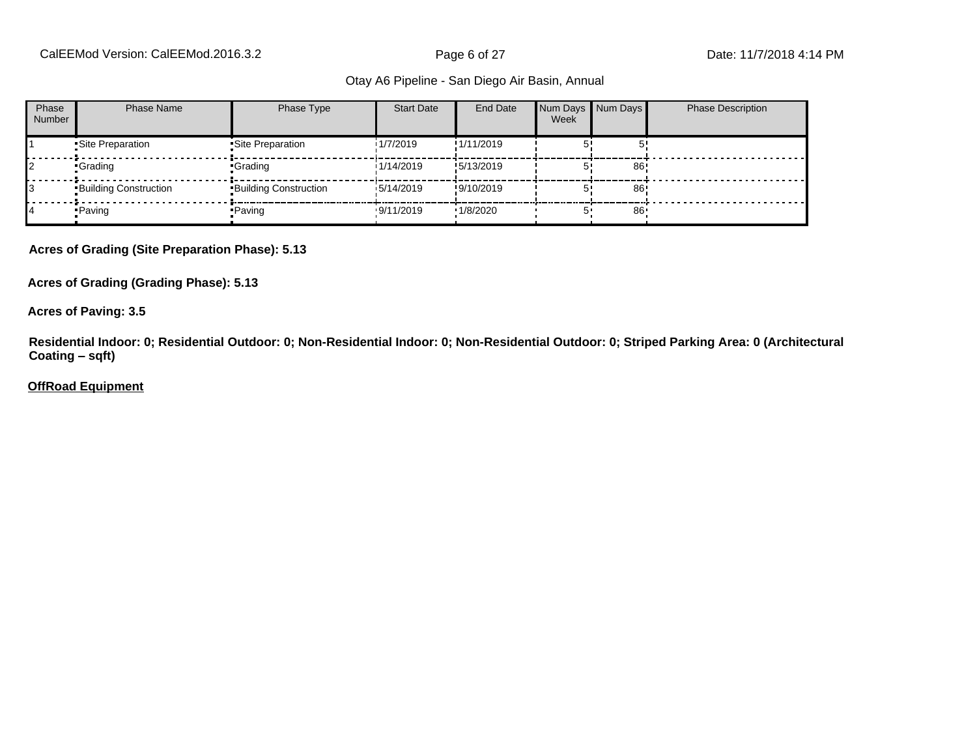CalEEMod Version: CalEEMod.2016.3.2 **Page 6 of 27** Page 6 of 27 Date: 11/7/2018 4:14 PM

#### Otay A6 Pipeline - San Diego Air Basin, Annual

| Phase<br><b>Number</b> | Phase Name                   | Phase Type                   | <b>Start Date</b> | End Date   | Num Days Num Days<br>Week |     | <b>Phase Description</b> |
|------------------------|------------------------------|------------------------------|-------------------|------------|---------------------------|-----|--------------------------|
|                        | Site Preparation             | •Site Preparation            | 1/7/2019          | !1/11/2019 |                           |     |                          |
|                        | •Grading                     | •Grading                     | 1/14/2019         | !5/13/2019 |                           | 86' |                          |
|                        | <b>Building Construction</b> | <b>Building Construction</b> | 15/14/2019        | !9/10/2019 |                           | 86  |                          |
|                        | • Paving                     | •Paving                      | .9/11/2019        | 1/8/2020   | 5'                        | 86  |                          |

**Acres of Grading (Site Preparation Phase): 5.13**

**Acres of Grading (Grading Phase): 5.13**

**Acres of Paving: 3.5**

**Residential Indoor: 0; Residential Outdoor: 0; Non-Residential Indoor: 0; Non-Residential Outdoor: 0; Striped Parking Area: 0 (Architectural Coating ±sqft)**

**OffRoad Equipment**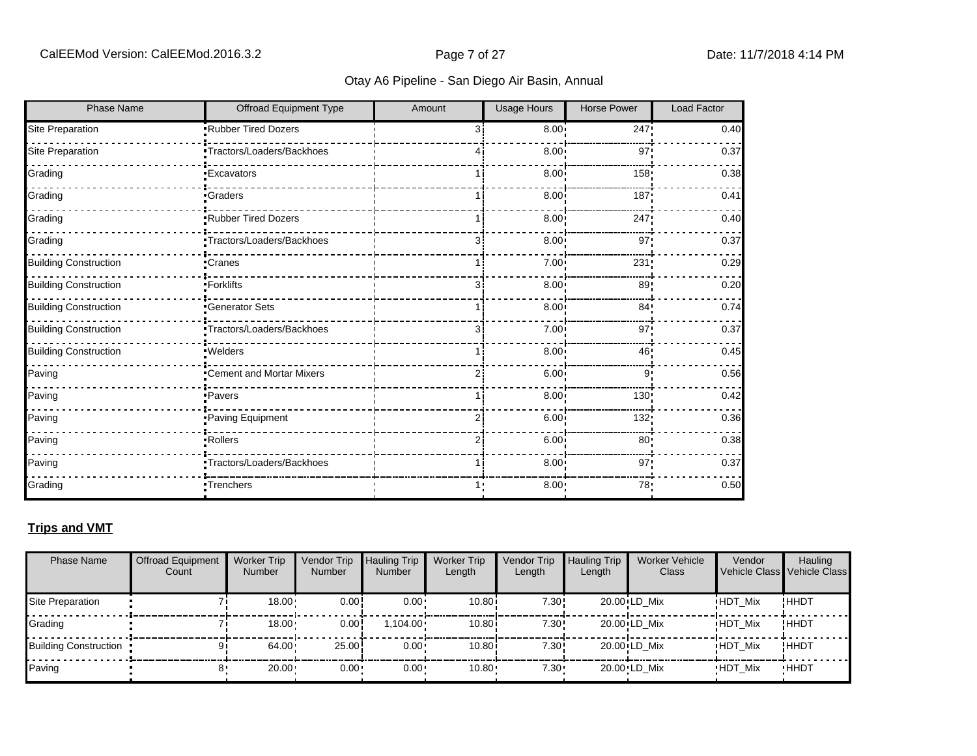| <b>Phase Name</b>            | Offroad Equipment Type     | Amount | <b>Usage Hours</b> | <b>Horse Power</b> | <b>Load Factor</b> |
|------------------------------|----------------------------|--------|--------------------|--------------------|--------------------|
| Site Preparation             | Rubber Tired Dozers        | 3      | 8.00               | 247!               | 0.40               |
| Site Preparation             | •Tractors/Loaders/Backhoes |        | 8.00               | 97                 | 0.37               |
| Grading                      | <b>Excavators</b>          |        | 8.00               | 158                | 0.38               |
| Grading                      | •Graders                   |        | 8.00               | 187                | 0.41               |
| Grading                      | .Rubber Tired Dozers       |        | 8.00               | 247                | 0.40               |
| Grading                      | •Tractors/Loaders/Backhoes | 31     | 8.00               | 97                 | 0.37               |
| <b>Building Construction</b> | •Cranes                    |        | 7.00               | 231                | 0.29               |
| <b>Building Construction</b> | -Forklifts                 |        | 8.00               | 89                 | 0.20               |
| <b>Building Construction</b> | <b>Generator Sets</b>      |        | 8.00               | 84 <sub>1</sub>    | 0.74               |
| <b>Building Construction</b> | Tractors/Loaders/Backhoes  | 31     | 7.00               | 97                 | 0.37               |
| <b>Building Construction</b> | .Welders                   |        | 8.00               | 46                 | 0.45               |
| Paving                       | •Cement and Mortar Mixers  |        | 6.00               | 9                  | 0.56               |
| Paving                       | ·Pavers                    |        | 8.00               | 130                | 0.42               |
| Paving                       | Paving Equipment           |        | 6.00               | 132                | 0.36               |
| Paving                       | • Rollers                  |        | 6.00 <sup>1</sup>  | 80                 | 0.38               |
| Paving                       | •Tractors/Loaders/Backhoes |        | 8.00 <sub>1</sub>  | 97                 | 0.37               |
| Grading                      | Trenchers                  |        | 8.00 <sub>1</sub>  | 78'                | 0.50               |

#### **Trips and VMT**

| <b>Phase Name</b>            | <b>Offroad Equipment</b><br>Count | <b>Worker Trip</b><br><b>Number</b> | Vendor Trip<br><b>Number</b> | <b>Hauling Trip</b><br>Number | <b>Worker Trip</b><br>Length | Vendor Trip<br>Length | <b>Hauling Trip</b><br>Length | <b>Worker Vehicle</b><br>Class | Vendor         | Hauling<br>Vehicle Class Vehicle Class |
|------------------------------|-----------------------------------|-------------------------------------|------------------------------|-------------------------------|------------------------------|-----------------------|-------------------------------|--------------------------------|----------------|----------------------------------------|
| Site Preparation             |                                   | 18.00                               | 0.00                         | $0.00 \cdot$                  | 10.80                        | 7.30!                 |                               | 20.00 LD Mix                   | <b>HDT Mix</b> | !ННDТ                                  |
| Grading                      |                                   | 18.00                               | 0.00!                        | $1.104.00 \cdot$              | 10.80i                       | 7.30!                 |                               | 20.00 LD Mix                   | <b>HDT Mix</b> | ! ННDТ                                 |
| <b>Building Construction</b> |                                   | 64.00                               | 25.00                        | $0.00 \cdot$                  | 10.80i                       | 7.30!                 |                               | 20.00 LD Mix                   | <b>HDT Mix</b> | !HHDT                                  |
| Paving                       |                                   | $20.00 \cdot$                       | $0.00 -$                     | $0.00 \cdot$                  | $10.80 -$                    | $7.30 -$              |                               | 20.00 LD Mix                   | <b>HDT Mix</b> | <b>HHDT</b>                            |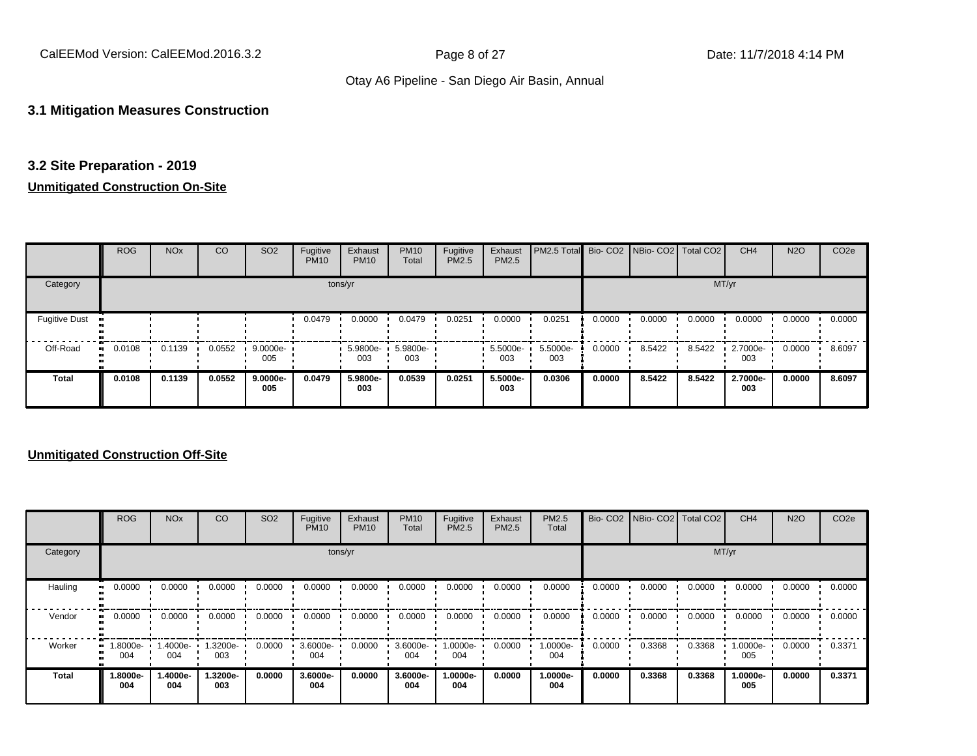CalEEMod Version: CalEEMod.2016.3.2 **Page 8 of 27** Page 8 of 27 Date: 11/7/2018 4:14 PM

#### Otay A6 Pipeline - San Diego Air Basin, Annual

#### **3.1 Mitigation Measures Construction**

#### **3.2 Site Preparation - 2019**

#### **Unmitigated Construction On-Site**

|                      | <b>ROG</b>   | <b>NO<sub>x</sub></b> | CO     | SO <sub>2</sub>    | Fugitive<br><b>PM10</b> | Exhaust<br><b>PM10</b> | <b>PM10</b><br>Total | Fugitive<br>PM2.5 | Exhaust<br>PM2.5 | PM2.5 Total Bio- CO2 NBio- CO2 Total CO2 |        |        |        | CH <sub>4</sub> | <b>N2O</b> | CO <sub>2e</sub> |
|----------------------|--------------|-----------------------|--------|--------------------|-------------------------|------------------------|----------------------|-------------------|------------------|------------------------------------------|--------|--------|--------|-----------------|------------|------------------|
| Category             |              |                       |        |                    |                         | tons/yr                |                      |                   |                  |                                          |        |        | MT/yr  |                 |            |                  |
| <b>Fugitive Dust</b> |              |                       |        |                    | 0.0479                  | 0.0000                 | 0.0479               | 0.0251            | 0.0000           | 0.0251                                   | 0.0000 | 0.0000 | 0.0000 | 0.0000          | 0.0000     | 0.0000           |
| Off-Road             | 0.0108<br>ш. | 0.1139                | 0.0552 | $9.0000e$ -<br>005 |                         | 5.9800e- ·<br>003      | 5.9800e-<br>003      |                   | 5.5000e-<br>003  | 5.5000e-<br>003                          | 0.0000 | 8.5422 | 8.5422 | 2.7000e-<br>003 | 0.0000     | 8.6097           |
| <b>Total</b>         | 0.0108       | 0.1139                | 0.0552 | 9.0000e-<br>005    | 0.0479                  | 5.9800e-<br>003        | 0.0539               | 0.0251            | 5.5000e-<br>003  | 0.0306                                   | 0.0000 | 8.5422 | 8.5422 | 2.7000e-<br>003 | 0.0000     | 8.6097           |

|              | <b>ROG</b>      | <b>NO<sub>x</sub></b> | CO             | SO <sub>2</sub> | Fugitive<br><b>PM10</b> | Exhaust<br><b>PM10</b> | <b>PM10</b><br>Total | Fugitive<br><b>PM2.5</b> | Exhaust<br><b>PM2.5</b> | PM2.5<br>Total  |        | Bio- CO2 NBio- CO2 Total CO2 |        | CH <sub>4</sub> | <b>N2O</b> | CO <sub>2e</sub> |
|--------------|-----------------|-----------------------|----------------|-----------------|-------------------------|------------------------|----------------------|--------------------------|-------------------------|-----------------|--------|------------------------------|--------|-----------------|------------|------------------|
| Category     |                 |                       |                |                 |                         | tons/yr                |                      |                          |                         |                 |        |                              | MT/yr  |                 |            |                  |
| Hauling      | 0.0000<br>ш.    | 0.0000                | 0.0000         | 0.0000          | 0.0000                  | 0.0000                 | 0.0000               | 0.0000                   | 0.0000                  | 0.0000          | 0.0000 | 0.0000                       | 0.0000 | 0.0000          | 0.0000     | 0.0000           |
| Vendor       | 0.0000          | 0.0000                | 0.0000         | 0.0000          | 0.0000                  | 0.0000                 | 0.0000               | 0.0000                   | 0.0000                  | 0.0000          | 0.0000 | 0.0000                       | 0.0000 | 0.0000          | 0.0000     | 0.0000           |
| Worker       | 1.8000e-<br>004 | 1.4000e-<br>004       | -3200e-<br>003 | 0.0000          | 3.6000e-<br>004         | 0.0000                 | 3.6000e-<br>004      | 1.0000e-<br>004          | 0.0000                  | 1.0000e-<br>004 | 0.0000 | 0.3368                       | 0.3368 | 1.0000e-<br>005 | 0.0000     | 0.3371           |
| <b>Total</b> | 1.8000e-<br>004 | 1.4000e-<br>004       | .3200e-<br>003 | 0.0000          | 3.6000e-<br>004         | 0.0000                 | 3.6000e-<br>004      | 1.0000e-<br>004          | 0.0000                  | 1.0000e-<br>004 | 0.0000 | 0.3368                       | 0.3368 | 1.0000e-<br>005 | 0.0000     | 0.3371           |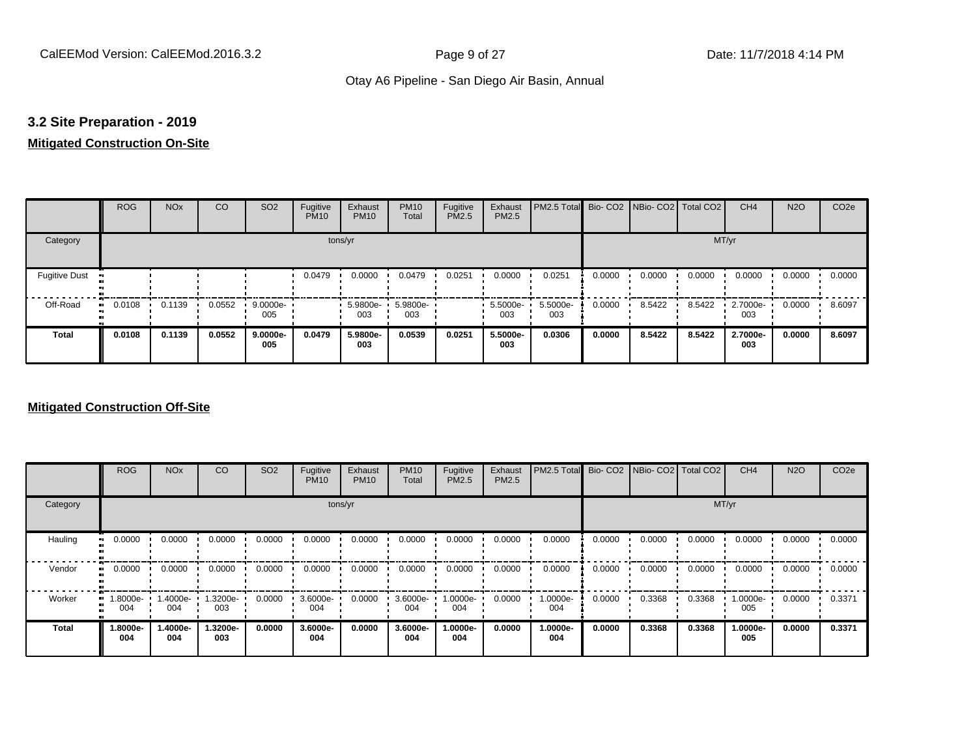## **3.2 Site Preparation - 2019**

#### **Mitigated Construction On-Site**

|                                   | <b>ROG</b>          | <b>NO<sub>x</sub></b> | CO     | SO <sub>2</sub> | Fugitive<br><b>PM10</b> | Exhaust<br><b>PM10</b> | <b>PM10</b><br>Total | Fugitive<br><b>PM2.5</b> | Exhaust<br>PM2.5 | PM2.5 Total Bio- CO2 NBio- CO2 Total CO2 |        |        |        | CH <sub>4</sub> | <b>N2O</b> | CO <sub>2e</sub> |
|-----------------------------------|---------------------|-----------------------|--------|-----------------|-------------------------|------------------------|----------------------|--------------------------|------------------|------------------------------------------|--------|--------|--------|-----------------|------------|------------------|
| Category                          |                     |                       |        |                 |                         | tons/yr                |                      |                          |                  |                                          |        |        | MT/yr  |                 |            |                  |
| <b>Fugitive Dust</b><br>$\bullet$ |                     |                       |        |                 | 0.0479                  | 0.0000                 | 0.0479               | 0.0251                   | 0.0000           | 0.0251                                   | 0.0000 | 0.0000 | 0.0000 | 0.0000          | 0.0000     | 0.0000           |
| Off-Road                          | 0.0108<br>$\bullet$ | 0.1139                | 0.0552 | 9.0000e-<br>005 |                         | 5.9800e-<br>003        | 5.9800e-<br>003      |                          | 5.5000e-<br>003  | 5.5000e-<br>003                          | 0.0000 | 8.5422 | 8.5422 | 2.7000e-<br>003 | 0.0000     | 8.6097           |
| <b>Total</b>                      | 0.0108              | 0.1139                | 0.0552 | 9.0000e-<br>005 | 0.0479                  | 5.9800e-<br>003        | 0.0539               | 0.0251                   | 5.5000e-<br>003  | 0.0306                                   | 0.0000 | 8.5422 | 8.5422 | 2.7000e-<br>003 | 0.0000     | 8.6097           |

|             | <b>ROG</b>       | <b>NO<sub>x</sub></b> | CO              | SO <sub>2</sub> | Fugitive<br><b>PM10</b> | Exhaust<br><b>PM10</b> | <b>PM10</b><br>Total | Fugitive<br><b>PM2.5</b> | Exhaust<br>PM2.5 | PM2.5 Total Bio- CO2 NBio- CO2 Total CO2 |        |        |        | CH <sub>4</sub> | <b>N2O</b> | CO <sub>2e</sub> |
|-------------|------------------|-----------------------|-----------------|-----------------|-------------------------|------------------------|----------------------|--------------------------|------------------|------------------------------------------|--------|--------|--------|-----------------|------------|------------------|
| Category    |                  |                       |                 |                 | tons/yr                 |                        |                      |                          |                  |                                          |        |        | MT/yr  |                 |            |                  |
| Hauling     | 0.0000           | 0.0000                | 0.0000          | 0.0000          | 0.0000                  | 0.0000                 | 0.0000               | 0.0000                   | 0.0000           | 0.0000                                   | 0.0000 | 0.0000 | 0.0000 | 0.0000          | 0.0000     | 0.0000           |
| Vendor      | 0.0000           | 0.0000                | 0.0000          | 0.0000          | 0.0000                  | 0.0000                 | 0.0000               | 0.0000                   | 0.0000           | 0.0000                                   | 0.0000 | 0.0000 | 0.0000 | 0.0000          | 0.0000     | 0.0000           |
| Worker<br>œ | --8000e.l<br>004 | 1.4000e-<br>004       | -3200e-<br>003  | 0.0000          | 3.6000e-<br>004         | 0.0000                 | 3.6000e-<br>004      | 1.0000e-<br>004          | 0.0000           | 1.0000e-<br>004                          | 0.0000 | 0.3368 | 0.3368 | 1.0000e-<br>005 | 0.0000     | 0.3371           |
| Total       | -.8000e<br>004   | 1.4000e-<br>004       | 1.3200e-<br>003 | 0.0000          | 3.6000e-<br>004         | 0.0000                 | 3.6000e-<br>004      | 1.0000e-<br>004          | 0.0000           | 1.0000e-<br>004                          | 0.0000 | 0.3368 | 0.3368 | 1.0000e-<br>005 | 0.0000     | 0.3371           |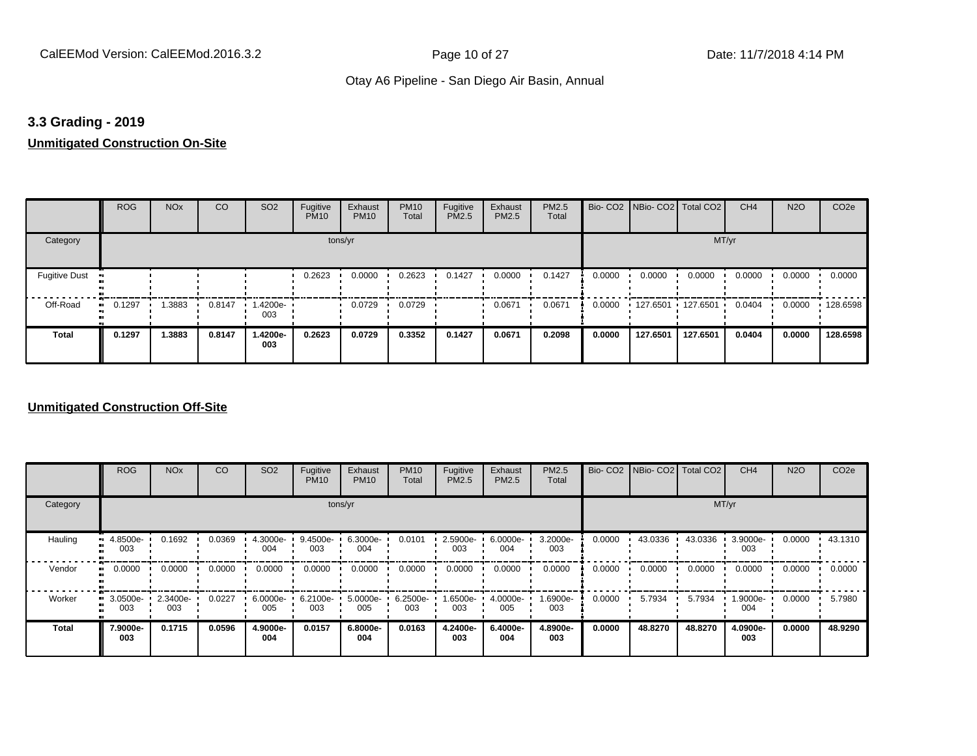#### **3.3 Grading - 2019**

# **Unmitigated Construction On-Site**

|                      | <b>ROG</b>   | <b>NO<sub>x</sub></b> | CO     | SO <sub>2</sub> | Fugitive<br><b>PM10</b> | Exhaust<br><b>PM10</b> | <b>PM10</b><br>Total | Fugitive<br><b>PM2.5</b> | Exhaust<br>PM2.5 | PM2.5<br>Total |        | Bio- CO2   NBio- CO2   Total CO2 |          | CH <sub>4</sub> | <b>N2O</b> | CO <sub>2e</sub> |
|----------------------|--------------|-----------------------|--------|-----------------|-------------------------|------------------------|----------------------|--------------------------|------------------|----------------|--------|----------------------------------|----------|-----------------|------------|------------------|
| Category             |              |                       |        |                 | tons/yr                 |                        |                      |                          |                  |                |        |                                  | MT/yr    |                 |            |                  |
| <b>Fugitive Dust</b> |              |                       |        |                 | 0.2623                  | 0.0000                 | 0.2623               | 0.1427                   | 0.0000           | 0.1427         | 0.0000 | 0.0000                           | 0.0000   | 0.0000          | 0.0000     | 0.0000           |
| Off-Road             | 0.1297<br>ш. | .3883                 | 0.8147 | -4200e-<br>003  |                         | 0.0729                 | 0.0729               |                          | 0.0671           | 0.0671         | 0.0000 | 127.6501 127.6501                |          | 0.0404          | 0.0000     | .128.6598        |
| <b>Total</b>         | 0.1297       | 1.3883                | 0.8147 | 1.4200e-<br>003 | 0.2623                  | 0.0729                 | 0.3352               | 0.1427                   | 0.0671           | 0.2098         | 0.0000 | 127.6501                         | 127.6501 | 0.0404          | 0.0000     | 128.6598         |

|              | <b>ROG</b>      | <b>NO<sub>x</sub></b> | CO     | SO <sub>2</sub>    | Fugitive<br><b>PM10</b> | Exhaust<br><b>PM10</b> | <b>PM10</b><br>Total | Fugitive<br><b>PM2.5</b> | Exhaust<br>PM2.5 | PM2.5<br>Total  |        | Bio- CO2   NBio- CO2   Total CO2 |         | CH <sub>4</sub> | <b>N2O</b> | CO <sub>2e</sub> |
|--------------|-----------------|-----------------------|--------|--------------------|-------------------------|------------------------|----------------------|--------------------------|------------------|-----------------|--------|----------------------------------|---------|-----------------|------------|------------------|
| Category     |                 |                       |        |                    |                         | tons/yr                |                      |                          |                  |                 |        |                                  |         | MT/yr           |            |                  |
| Hauling      | 4.8500e-<br>003 | 0.1692                | 0.0369 | $4.3000e -$<br>004 | $9.4500e-$<br>003       | 6.3000e-<br>004        | 0.0101               | 2.5900e-<br>003          | 6.0000e-<br>004  | 3.2000e-<br>003 | 0.0000 | 43.0336                          | 43.0336 | 3.9000e-<br>003 | 0.0000     | 43.1310          |
| Vendor       | 0.0000          | 0.0000                | 0.0000 | 0.0000             | 0.0000                  | 0.0000                 | 0.0000               | 0.0000                   | 0.0000           | 0.0000          | 0.0000 | 0.0000                           | 0.0000  | 0.0000          | 0.0000     | 0.0000           |
| Worker       | 3.0500e-<br>003 | 2.3400e-<br>003       | 0.0227 | 6.0000e-<br>005    | 6.2100e-<br>003         | 5.0000e-<br>005        | 6.2500e-<br>003      | 1.6500e-<br>003          | 4.0000e-<br>005  | 1.6900e-<br>003 | 0.0000 | 5.7934                           | 5.7934  | 1.9000e-<br>004 | 0.0000     | 5.7980           |
| <b>Total</b> | 7.9000e-<br>003 | 0.1715                | 0.0596 | 4.9000e-<br>004    | 0.0157                  | 6.8000e-<br>004        | 0.0163               | 4.2400e-<br>003          | 6.4000e-<br>004  | 4.8900e-<br>003 | 0.0000 | 48.8270                          | 48.8270 | 4.0900e-<br>003 | 0.0000     | 48.9290          |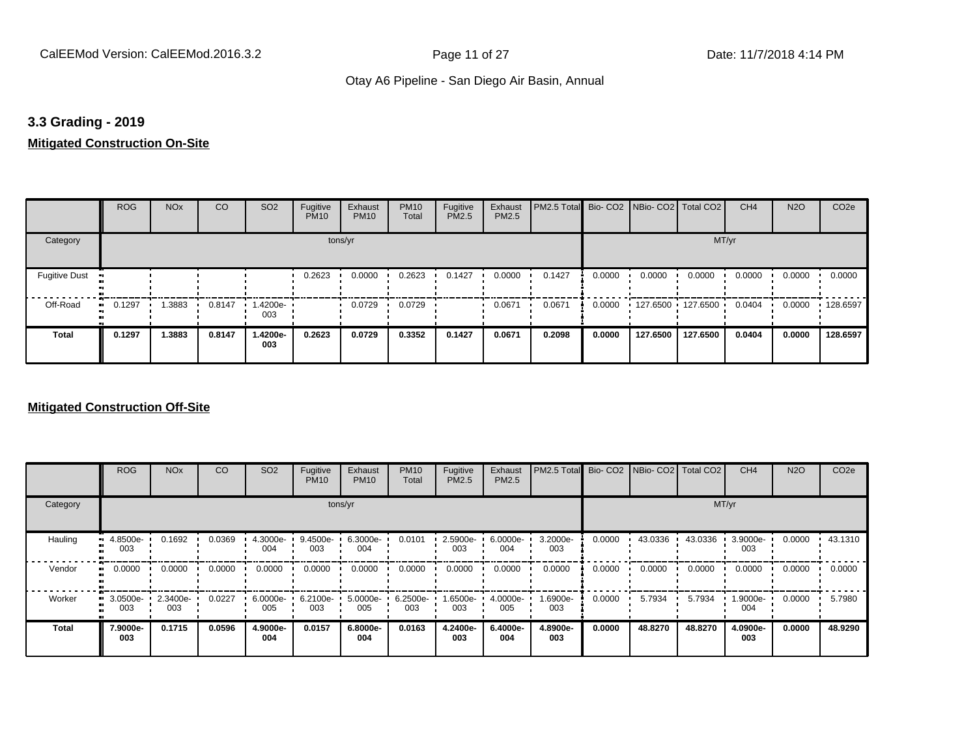#### **3.3 Grading - 2019**

#### **Mitigated Construction On-Site**

|                      | <b>ROG</b>   | <b>NO<sub>x</sub></b> | CO     | SO <sub>2</sub> | Fugitive<br><b>PM10</b> | Exhaust<br><b>PM10</b> | <b>PM10</b><br>Total | Fugitive<br>PM2.5 | Exhaust<br>PM2.5 | PM2.5 Total |        |          | Bio-CO2 NBio-CO2 Total CO2 | CH <sub>4</sub> | <b>N2O</b> | CO <sub>2e</sub> |
|----------------------|--------------|-----------------------|--------|-----------------|-------------------------|------------------------|----------------------|-------------------|------------------|-------------|--------|----------|----------------------------|-----------------|------------|------------------|
| Category             |              |                       |        |                 | tons/yr                 |                        |                      |                   |                  |             |        |          | MT/yr                      |                 |            |                  |
| <b>Fugitive Dust</b> |              |                       |        |                 | 0.2623                  | 0.0000                 | 0.2623               | 0.1427            | 0.0000           | 0.1427      | 0.0000 | 0.0000   | 0.0000                     | 0.0000          | 0.0000     | 0.0000           |
| Off-Road             | 0.1297<br>ш. | .3883                 | 0.8147 | 1.4200e-<br>003 |                         | 0.0729                 | 0.0729               |                   | 0.0671           | 0.0671      | 0.0000 |          | 127.6500 127.6500          | 0.0404          | 0.0000     | $\cdot$ 128.6597 |
| <b>Total</b>         | 0.1297       | 1.3883                | 0.8147 | 1.4200e-<br>003 | 0.2623                  | 0.0729                 | 0.3352               | 0.1427            | 0.0671           | 0.2098      | 0.0000 | 127.6500 | 127.6500                   | 0.0404          | 0.0000     | 128.6597         |

|              | <b>ROG</b>      | <b>NO<sub>x</sub></b> | CO     | SO <sub>2</sub>    | Fugitive<br><b>PM10</b> | Exhaust<br><b>PM10</b> | <b>PM10</b><br>Total | Fugitive<br><b>PM2.5</b> | Exhaust<br>PM2.5 | PM2.5 Total Bio- CO2 NBio- CO2 Total CO2 |        |         |         | CH <sub>4</sub> | <b>N2O</b> | CO <sub>2e</sub> |
|--------------|-----------------|-----------------------|--------|--------------------|-------------------------|------------------------|----------------------|--------------------------|------------------|------------------------------------------|--------|---------|---------|-----------------|------------|------------------|
| Category     |                 |                       |        |                    |                         | tons/yr                |                      |                          |                  |                                          |        |         | MT/yr   |                 |            |                  |
| Hauling      | 4.8500e-<br>003 | 0.1692                | 0.0369 | $4.3000e -$<br>004 | 9.4500e-<br>003         | 6.3000e-<br>004        | 0.0101               | 2.5900e-<br>003          | 6.0000e-<br>004  | 3.2000e-<br>003                          | 0.0000 | 43.0336 | 43.0336 | 3.9000e-<br>003 | 0.0000     | 43.1310          |
| Vendor       | 0.0000          | 0.0000                | 0.0000 | 0.0000             | 0.0000                  | 0.0000                 | 0.0000               | 0.0000                   | 0.0000           | 0.0000                                   | 0.0000 | 0.0000  | 0.0000  | 0.0000          | 0.0000     | 0.0000           |
| Worker       | 3.0500e-<br>003 | 2.3400e-<br>003       | 0.0227 | 6.0000e-<br>005    | 6.2100e-<br>003         | 5.0000e-<br>005        | 6.2500e-<br>003      | 1.6500e-<br>003          | 4.0000e-<br>005  | 1.6900e-<br>003                          | 0.0000 | 5.7934  | 5.7934  | 1.9000e-<br>004 | 0.0000     | 5.7980           |
| <b>Total</b> | 7.9000e-<br>003 | 0.1715                | 0.0596 | 4.9000e-<br>004    | 0.0157                  | 6.8000e-<br>004        | 0.0163               | 4.2400e-<br>003          | 6.4000e-<br>004  | 4.8900e-<br>003                          | 0.0000 | 48.8270 | 48.8270 | 4.0900e-<br>003 | 0.0000     | 48.9290          |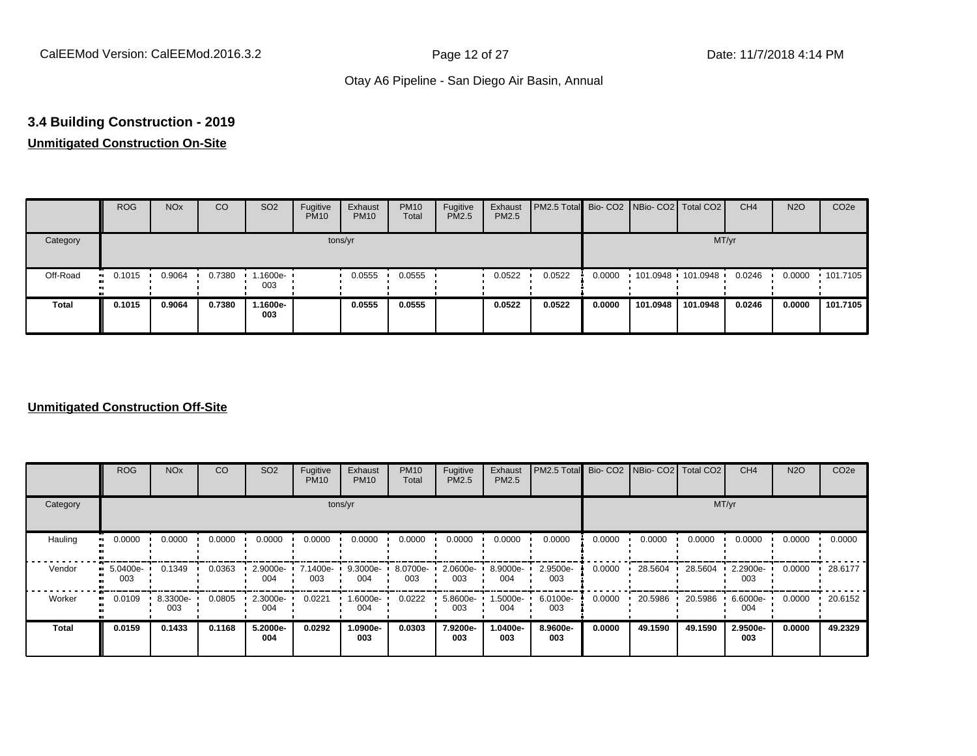# **3.4 Building Construction - 2019**

# **Unmitigated Construction On-Site**

|          | <b>ROG</b> | <b>NO<sub>x</sub></b> | CO     | SO <sub>2</sub>   | Fugitive<br><b>PM10</b> | Exhaust<br><b>PM10</b> | <b>PM10</b><br>Total | Fugitive<br><b>PM2.5</b> | Exhaust<br>PM2.5 | <b>PM2.5 Total</b> Bio- CO2 NBio- CO2 Total CO2 |        |                     |          | CH <sub>4</sub> | <b>N2O</b> | CO <sub>2e</sub> |
|----------|------------|-----------------------|--------|-------------------|-------------------------|------------------------|----------------------|--------------------------|------------------|-------------------------------------------------|--------|---------------------|----------|-----------------|------------|------------------|
| Category |            |                       |        |                   |                         | tons/yr                |                      |                          |                  |                                                 |        |                     | MT/yr    |                 |            |                  |
| Off-Road | 0.1015     | 0.9064                | 0.7380 | 1.1600e- ∙<br>003 |                         | 0.0555                 | 0.0555               |                          | 0.0522           | 0.0522                                          | 0.0000 | $101.0948$ 101.0948 |          | 0.0246          | 0.0000     | $+101.7105$      |
| Total    | 0.1015     | 0.9064                | 0.7380 | -.1600e<br>003    |                         | 0.0555                 | 0.0555               |                          | 0.0522           | 0.0522                                          | 0.0000 | 101.0948            | 101.0948 | 0.0246          | 0.0000     | 101.7105         |

|              | <b>ROG</b>      | <b>NO<sub>x</sub></b> | CO     | SO <sub>2</sub> | Fugitive<br><b>PM10</b> | Exhaust<br><b>PM10</b> | <b>PM10</b><br>Total | Fugitive<br><b>PM2.5</b> | Exhaust<br>PM2.5 | PM2.5 Total Bio- CO2 NBio- CO2 Total CO2 |        |         |         | CH <sub>4</sub> | <b>N2O</b> | CO <sub>2e</sub> |
|--------------|-----------------|-----------------------|--------|-----------------|-------------------------|------------------------|----------------------|--------------------------|------------------|------------------------------------------|--------|---------|---------|-----------------|------------|------------------|
| Category     |                 |                       |        |                 |                         | tons/yr                |                      |                          |                  |                                          |        |         | MT/yr   |                 |            |                  |
| Hauling      | 0.0000          | 0.0000                | 0.0000 | 0.0000          | 0.0000                  | 0.0000                 | 0.0000               | 0.0000                   | 0.0000           | 0.0000                                   | 0.0000 | 0.0000  | 0.0000  | 0.0000          | 0.0000     | 0.0000           |
| Vendor       | 5.0400e-<br>003 | 0.1349                | 0.0363 | 2.9000e-<br>004 | $\cdot$ 7.1400e-<br>003 | 9.3000e-<br>004        | 8.0700e-<br>003      | 2.0600e-<br>003          | 8.9000e-<br>004  | 2.9500e-<br>003                          | 0.0000 | 28.5604 | 28.5604 | 2.2900e-<br>003 | 0.0000     | 28.6177          |
| Worker       | 0.0109          | 8.3300e-<br>003       | 0.0805 | 2.3000e-<br>004 | 0.0221                  | 1.6000e-<br>004        | 0.0222               | 5.8600e-<br>003          | 1.5000e-<br>004  | 6.0100e-<br>003                          | 0.0000 | 20.5986 | 20.5986 | 6.6000e-<br>004 | 0.0000     | 20.6152          |
| <b>Total</b> | 0.0159          | 0.1433                | 0.1168 | 5.2000e-<br>004 | 0.0292                  | 1.0900e-<br>003        | 0.0303               | 7.9200e-<br>003          | 1.0400e-<br>003  | 8.9600e-<br>003                          | 0.0000 | 49.1590 | 49.1590 | 2.9500e-<br>003 | 0.0000     | 49.2329          |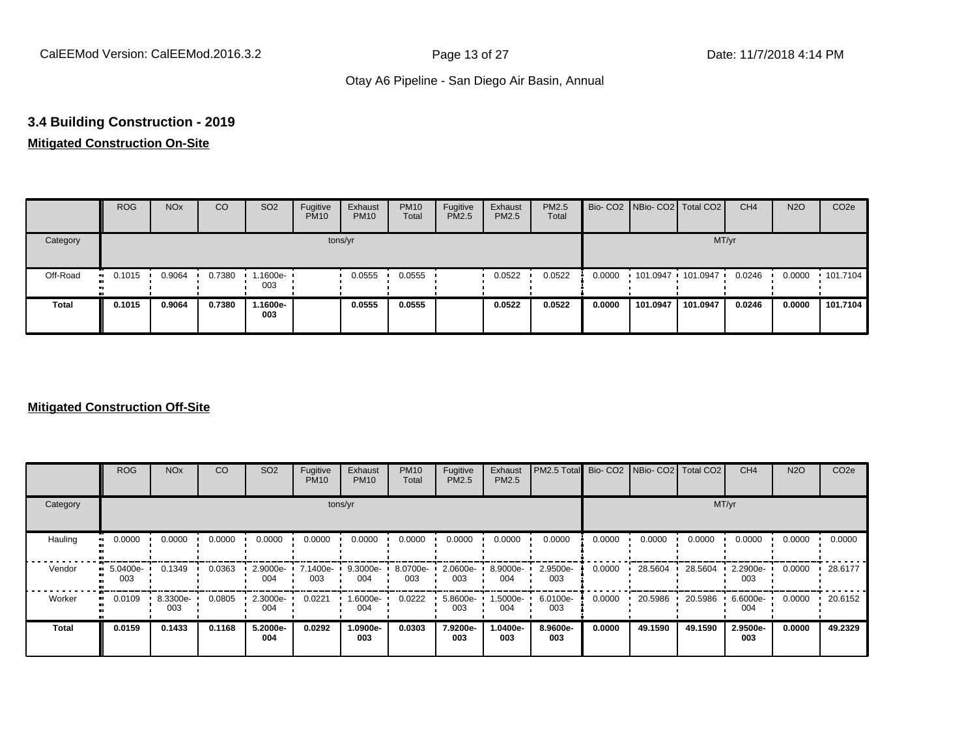# **3.4 Building Construction - 2019**

# **Mitigated Construction On-Site**

|          | <b>ROG</b>    | <b>NO<sub>x</sub></b> | CO     | SO <sub>2</sub> | Fugitive<br><b>PM10</b> | Exhaust<br><b>PM10</b> | <b>PM10</b><br>Total | Fugitive<br>PM2.5 | Exhaust<br>PM2.5 | PM2.5<br>Total |        | Bio- CO2 NBio- CO2 Total CO2 |          | CH <sub>4</sub> | <b>N2O</b> | CO <sub>2e</sub> |
|----------|---------------|-----------------------|--------|-----------------|-------------------------|------------------------|----------------------|-------------------|------------------|----------------|--------|------------------------------|----------|-----------------|------------|------------------|
| Category |               |                       |        |                 |                         | tons/yr                |                      |                   |                  |                |        |                              | MT/yr    |                 |            |                  |
| Off-Road | 0.1015<br>. . | 0.9064                | 0.7380 | 1600e-<br>003   |                         | 0.0555                 | 0.0555               |                   | 0.0522           | 0.0522         | 0.0000 | 101.0947 101.0947            |          | 0.0246          | 0.0000     | $\cdot$ 101.7104 |
| Total    | 0.1015        | 0.9064                | 0.7380 | .1600e-<br>003  |                         | 0.0555                 | 0.0555               |                   | 0.0522           | 0.0522         | 0.0000 | 101.0947                     | 101.0947 | 0.0246          | 0.0000     | 101.7104         |

|              | <b>ROG</b>           | <b>NO<sub>x</sub></b> | CO     | SO <sub>2</sub> | Fugitive<br><b>PM10</b> | Exhaust<br><b>PM10</b> | <b>PM10</b><br>Total | Fugitive<br><b>PM2.5</b> | Exhaust<br>PM2.5 | PM2.5 Total Bio- CO2 NBio- CO2 Total CO2 |        |         |         | CH <sub>4</sub> | <b>N2O</b> | CO <sub>2e</sub> |
|--------------|----------------------|-----------------------|--------|-----------------|-------------------------|------------------------|----------------------|--------------------------|------------------|------------------------------------------|--------|---------|---------|-----------------|------------|------------------|
| Category     |                      |                       |        |                 | tons/yr                 |                        |                      |                          |                  |                                          |        |         | MT/yr   |                 |            |                  |
| Hauling      | 0.0000<br>œ          | 0.0000                | 0.0000 | 0.0000          | 0.0000                  | 0.0000                 | 0.0000               | 0.0000                   | 0.0000           | 0.0000                                   | 0.0000 | 0.0000  | 0.0000  | 0.0000          | 0.0000     | 0.0000           |
| Vendor       | 5.0400e-<br>œ<br>003 | 0.1349                | 0.0363 | 2.9000e-<br>004 | 7.1400e-<br>003         | 9.3000e-<br>004        | 8.0700e-<br>003      | 2.0600e-<br>003          | 8.9000e-<br>004  | 2.9500e-<br>003                          | 0.0000 | 28.5604 | 28.5604 | 2.2900e-<br>003 | 0.0000     | 28.6177          |
| Worker       | 0.0109<br>п.         | 8.3300e-<br>003       | 0.0805 | 2.3000e-<br>004 | 0.0221                  | 1.6000e-<br>004        | 0.0222               | 5.8600e-<br>003          | -5000e-<br>004   | 6.0100e-<br>003                          | 0.0000 | 20.5986 | 20.5986 | 6.6000e-<br>004 | 0.0000     | 20.6152          |
| <b>Total</b> | 0.0159               | 0.1433                | 0.1168 | 5.2000e-<br>004 | 0.0292                  | 1.0900e-<br>003        | 0.0303               | 7.9200e-<br>003          | -.0400e<br>003   | 8.9600e-<br>003                          | 0.0000 | 49.1590 | 49.1590 | 2.9500e-<br>003 | 0.0000     | 49.2329          |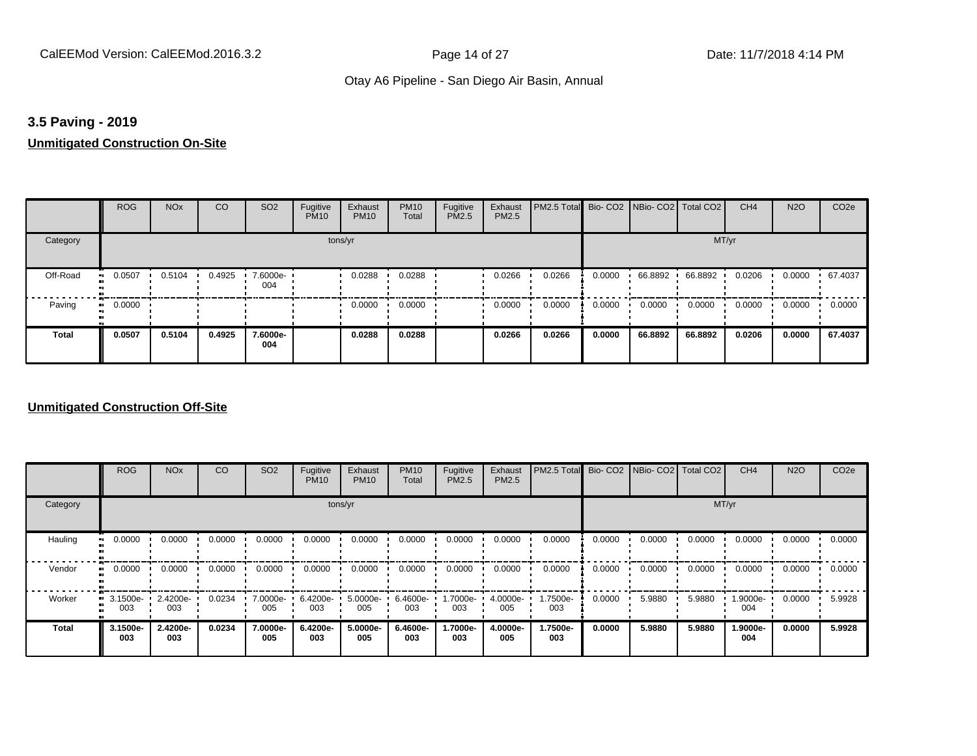## **3.5 Paving - 2019**

# **Unmitigated Construction On-Site**

|              | <b>ROG</b>                 | <b>NO<sub>x</sub></b> | CO     | SO <sub>2</sub> | Fugitive<br><b>PM10</b> | Exhaust<br><b>PM10</b> | <b>PM10</b><br>Total | Fugitive<br><b>PM2.5</b> | Exhaust<br>PM2.5 | PM2.5 Total Bio- CO2 NBio- CO2 Total CO2 |        |         |         | CH <sub>4</sub> | <b>N2O</b> | CO <sub>2e</sub> |
|--------------|----------------------------|-----------------------|--------|-----------------|-------------------------|------------------------|----------------------|--------------------------|------------------|------------------------------------------|--------|---------|---------|-----------------|------------|------------------|
| Category     |                            |                       |        |                 | tons/yr                 |                        |                      |                          |                  |                                          |        |         | MT/yr   |                 |            |                  |
| Off-Road     | 0.0507<br>$\bullet$        | 0.5104                | 0.4925 | 7.6000e-<br>004 |                         | 0.0288                 | 0.0288               |                          | 0.0266           | 0.0266                                   | 0.0000 | 66.8892 | 66.8892 | 0.0206          | 0.0000     | 67.4037          |
| Paving       | 0.0000<br>$\bullet\bullet$ |                       |        |                 |                         | 0.0000                 | 0.0000               |                          | 0.0000           | 0.0000                                   | 0.0000 | 0.0000  | 0.0000  | 0.0000          | 0.0000     | 0.0000           |
| <b>Total</b> | 0.0507                     | 0.5104                | 0.4925 | 7.6000e-<br>004 |                         | 0.0288                 | 0.0288               |                          | 0.0266           | 0.0266                                   | 0.0000 | 66.8892 | 66.8892 | 0.0206          | 0.0000     | 67.4037          |

|              | <b>ROG</b>      | <b>NO<sub>x</sub></b> | CO     | SO <sub>2</sub> | Fugitive<br><b>PM10</b> | Exhaust<br><b>PM10</b> | <b>PM10</b><br>Total | Fugitive<br><b>PM2.5</b> | Exhaust<br>PM2.5 | PM2.5 Total Bio- CO2 NBio- CO2 Total CO2 |        |        |        | CH <sub>4</sub> | <b>N2O</b> | CO <sub>2e</sub> |
|--------------|-----------------|-----------------------|--------|-----------------|-------------------------|------------------------|----------------------|--------------------------|------------------|------------------------------------------|--------|--------|--------|-----------------|------------|------------------|
| Category     |                 |                       |        |                 |                         | tons/yr                |                      |                          |                  |                                          |        |        | MT/yr  |                 |            |                  |
| Hauling      | 0.0000          | 0.0000                | 0.0000 | 0.0000          | 0.0000                  | 0.0000                 | 0.0000               | 0.0000                   | 0.0000           | 0.0000                                   | 0.0000 | 0.0000 | 0.0000 | 0.0000          | 0.0000     | 0.0000           |
| Vendor       | 0.0000          | 0.0000                | 0.0000 | 0.0000          | 0.0000                  | 0.0000                 | 0.0000               | 0.0000                   | 0.0000           | 0.0000                                   | 0.0000 | 0.0000 | 0.0000 | 0.0000          | 0.0000     | 0.0000           |
| Worker       | 3.1500e-<br>003 | 2.4200e-<br>003       | 0.0234 | 7.0000e-<br>005 | 6.4200e-<br>003         | 5.0000e-<br>005        | 6.4600e-<br>003      | 1.7000e-<br>003          | 4.0000e-<br>005  | 1.7500e-<br>003                          | 0.0000 | 5.9880 | 5.9880 | 1.9000e-<br>004 | 0.0000     | 5.9928           |
| <b>Total</b> | 3.1500e-<br>003 | 2.4200e-<br>003       | 0.0234 | 7.0000e-<br>005 | 6.4200e-<br>003         | 5.0000e-<br>005        | 6.4600e-<br>003      | 1.7000e-<br>003          | 4.0000e-<br>005  | 1.7500e-<br>003                          | 0.0000 | 5.9880 | 5.9880 | 1.9000e-<br>004 | 0.0000     | 5.9928           |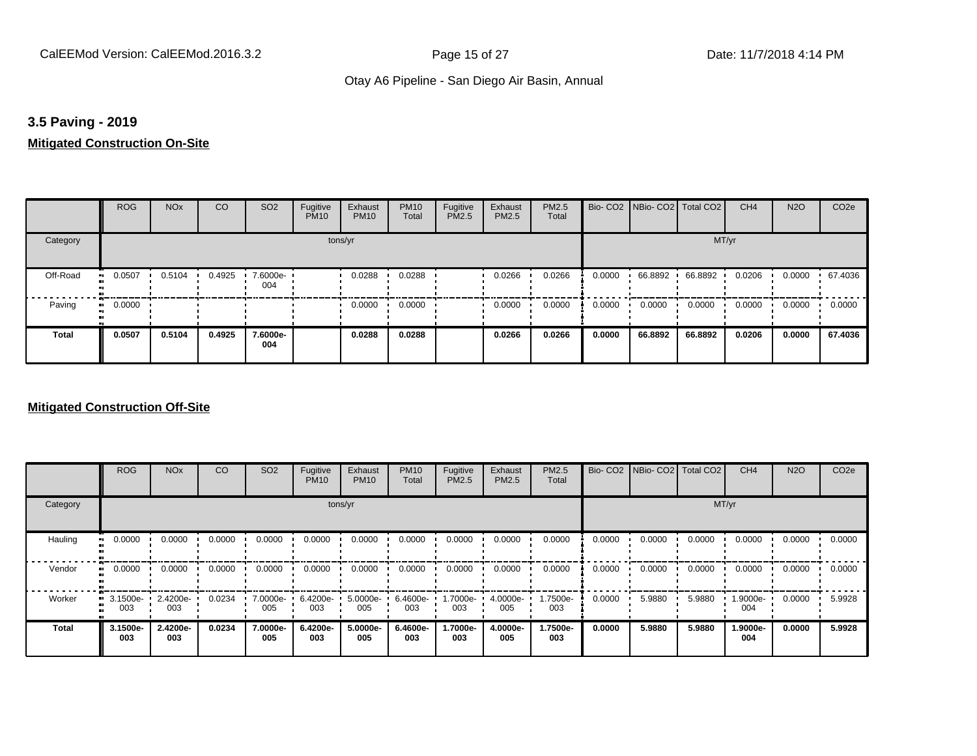# **3.5 Paving - 2019**

#### **Mitigated Construction On-Site**

|                       | <b>ROG</b>   | <b>NO<sub>x</sub></b> | CO     | SO <sub>2</sub> | Fugitive<br><b>PM10</b> | Exhaust<br><b>PM10</b> | <b>PM10</b><br>Total | Fugitive<br>PM2.5 | Exhaust<br>PM2.5 | PM2.5<br>Total |        | Bio- CO2   NBio- CO2   Total CO2 |         | CH <sub>4</sub> | <b>N2O</b> | CO <sub>2e</sub> |
|-----------------------|--------------|-----------------------|--------|-----------------|-------------------------|------------------------|----------------------|-------------------|------------------|----------------|--------|----------------------------------|---------|-----------------|------------|------------------|
| Category              |              |                       |        |                 | tons/yr                 |                        |                      |                   |                  |                |        |                                  | MT/yr   |                 |            |                  |
| Off-Road<br>$\bullet$ | 0.0507       | 0.5104                | 0.4925 | 7.6000e-<br>004 |                         | 0.0288                 | 0.0288               |                   | 0.0266           | 0.0266         | 0.0000 | 66.8892                          | 66.8892 | 0.0206          | 0.0000     | .67.4036         |
| Paving                | 0.0000<br>ш. |                       |        |                 |                         | 0.0000                 | 0.0000               |                   | 0.0000           | 0.0000         | 0.0000 | 0.0000                           | 0.0000  | 0.0000          | 0.0000     | 0.0000           |
| <b>Total</b>          | 0.0507       | 0.5104                | 0.4925 | 7.6000e-<br>004 |                         | 0.0288                 | 0.0288               |                   | 0.0266           | 0.0266         | 0.0000 | 66.8892                          | 66.8892 | 0.0206          | 0.0000     | 67.4036          |

|                           | <b>ROG</b>          | <b>NO<sub>x</sub></b> | CO     | SO <sub>2</sub> | Fugitive<br><b>PM10</b> | Exhaust<br><b>PM10</b> | <b>PM10</b><br>Total | Fugitive<br><b>PM2.5</b> | Exhaust<br>PM2.5 | PM2.5<br>Total  |        | Bio- CO2   NBio- CO2   Total CO2 |        | CH <sub>4</sub> | <b>N2O</b> | CO <sub>2e</sub> |
|---------------------------|---------------------|-----------------------|--------|-----------------|-------------------------|------------------------|----------------------|--------------------------|------------------|-----------------|--------|----------------------------------|--------|-----------------|------------|------------------|
| Category                  |                     |                       |        |                 | tons/yr                 |                        |                      |                          |                  |                 |        |                                  | MT/yr  |                 |            |                  |
| Hauling<br>$\blacksquare$ | 0.0000              | 0.0000                | 0.0000 | 0.0000          | 0.0000                  | 0.0000                 | 0.0000               | 0.0000                   | 0.0000           | 0.0000          | 0.0000 | 0.0000                           | 0.0000 | 0.0000          | 0.0000     | 0.0000           |
| Vendor                    | 0.0000<br>$\bullet$ | 0.0000                | 0.0000 | 0.0000          | 0.0000                  | 0.0000                 | 0.0000               | 0.0000                   | 0.0000           | 0.0000          | 0.0000 | 0.0000                           | 0.0000 | 0.0000          | 0.0000     | 0.0000           |
| Worker                    | 3.1500e-<br><br>003 | 2.4200e-<br>003       | 0.0234 | 7.0000e-<br>005 | 6.4200e-<br>003         | 5.0000e-<br>005        | 6.4600e-<br>003      | 1.7000e-<br>003          | 4.0000e-<br>005  | 1.7500e-<br>003 | 0.0000 | 5.9880                           | 5.9880 | 1.9000e-<br>004 | 0.0000     | 5.9928           |
| Total                     | 3.1500e-<br>003     | 2.4200e-<br>003       | 0.0234 | 7.0000e-<br>005 | 6.4200e-<br>003         | 5.0000e-<br>005        | 6.4600e-<br>003      | 1.7000e-<br>003          | 4.0000e-<br>005  | 1.7500e-<br>003 | 0.0000 | 5.9880                           | 5.9880 | 1.9000e-<br>004 | 0.0000     | 5.9928           |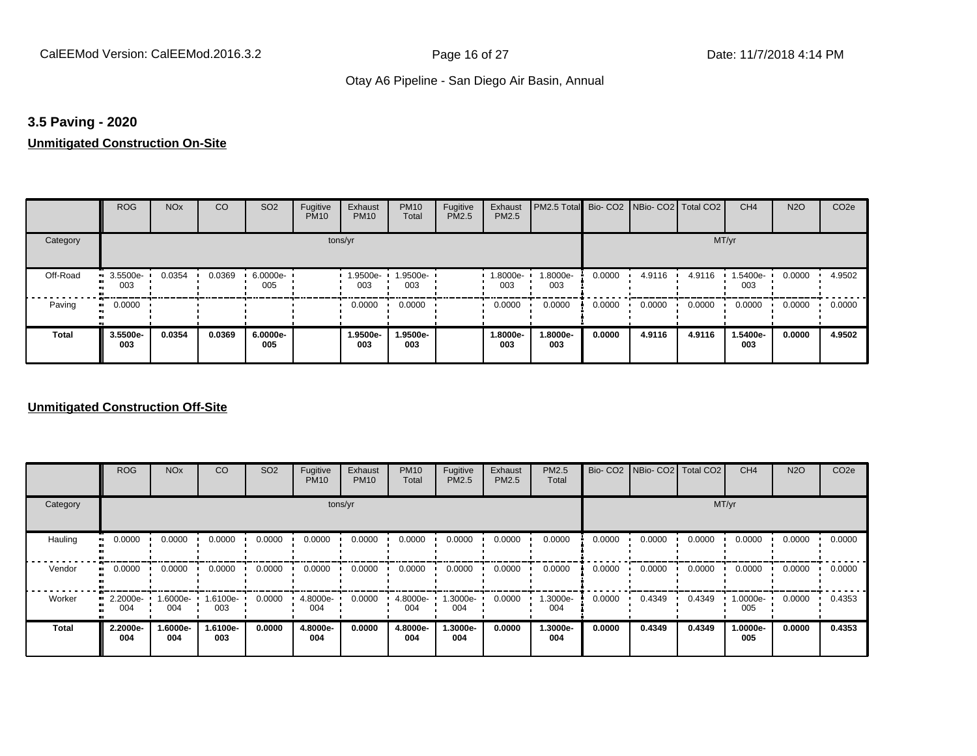## **3.5 Paving - 2020**

# **Unmitigated Construction On-Site**

|              | <b>ROG</b>          | <b>NO<sub>x</sub></b> | CO     | SO <sub>2</sub> | Fugitive<br><b>PM10</b> | Exhaust<br><b>PM10</b> | <b>PM10</b><br>Total | Fugitive<br>PM2.5 | Exhaust<br>PM2.5 | PM2.5 Total Bio- CO2 NBio- CO2 Total CO2 |        |        |        | CH <sub>4</sub> | <b>N2O</b> | CO <sub>2e</sub> |
|--------------|---------------------|-----------------------|--------|-----------------|-------------------------|------------------------|----------------------|-------------------|------------------|------------------------------------------|--------|--------|--------|-----------------|------------|------------------|
| Category     |                     |                       |        |                 | tons/yr                 |                        |                      |                   |                  |                                          |        |        | MT/yr  |                 |            |                  |
| Off-Road     | 3.5500e-<br><br>003 | 0.0354                | 0.0369 | 6.0000e-<br>005 |                         | 1.9500e-<br>003        | 1.9500e-<br>003      |                   | -9000e.<br>003   | 1.8000e-<br>003                          | 0.0000 | 4.9116 | 4.9116 | 1.5400e-<br>003 | 0.0000     | 4.9502           |
| Paving       | 0.0000<br>ш.        |                       |        |                 |                         | 0.0000                 | 0.0000               |                   | 0.0000           | 0.0000                                   | 0.0000 | 0.0000 | 0.0000 | 0.0000          | 0.0000     | 0.0000           |
| <b>Total</b> | 3.5500e-<br>003     | 0.0354                | 0.0369 | 6.0000e-<br>005 |                         | 1.9500e-<br>003        | 1.9500e-<br>003      |                   | 1.8000e-<br>003  | 1.8000e-<br>003                          | 0.0000 | 4.9116 | 4.9116 | 1.5400e-<br>003 | 0.0000     | 4.9502           |

|              | <b>ROG</b>      | <b>NO<sub>x</sub></b> | CO              | SO <sub>2</sub> | Fugitive<br><b>PM10</b> | Exhaust<br><b>PM10</b> | <b>PM10</b><br>Total | Fugitive<br><b>PM2.5</b> | Exhaust<br>PM2.5 | <b>PM2.5</b><br>Total | Bio-CO <sub>2</sub> | NBio- CO2 Total CO2 |        | CH <sub>4</sub> | <b>N2O</b> | CO <sub>2e</sub> |
|--------------|-----------------|-----------------------|-----------------|-----------------|-------------------------|------------------------|----------------------|--------------------------|------------------|-----------------------|---------------------|---------------------|--------|-----------------|------------|------------------|
| Category     |                 |                       |                 |                 |                         | tons/yr                |                      |                          |                  |                       |                     |                     |        | MT/yr           |            |                  |
| Hauling      | 0.0000          | 0.0000                | 0.0000          | 0.0000          | 0.0000                  | 0.0000                 | 0.0000               | 0.0000                   | 0.0000           | 0.0000                | 0.0000              | 0.0000              | 0.0000 | 0.0000          | 0.0000     | 0.0000           |
| Vendor       | 0.0000          | 0.0000                | 0.0000          | 0.0000          | 0.0000                  | 0.0000                 | 0.0000               | 0.0000                   | 0.0000           | 0.0000                | 0.0000              | 0.0000              | 0.0000 | 0.0000          | 0.0000     | 0.0000           |
| Worker       | 2.2000e-<br>004 | 1.6000e-<br>004       | 1.6100e-<br>003 | 0.0000          | 4.8000e-<br>004         | 0.0000                 | 4.8000e-<br>004      | 1.3000e-<br>004          | 0.0000           | 1.3000e-<br>004       | 0.0000              | 0.4349              | 0.4349 | 1.0000e-<br>005 | 0.0000     | 0.4353           |
| <b>Total</b> | 2.2000e-<br>004 | 1.6000e-<br>004       | 1.6100e-<br>003 | 0.0000          | 4.8000e-<br>004         | 0.0000                 | 4.8000e-<br>004      | 1.3000e-<br>004          | 0.0000           | 1.3000e-<br>004       | 0.0000              | 0.4349              | 0.4349 | 1.0000e-<br>005 | 0.0000     | 0.4353           |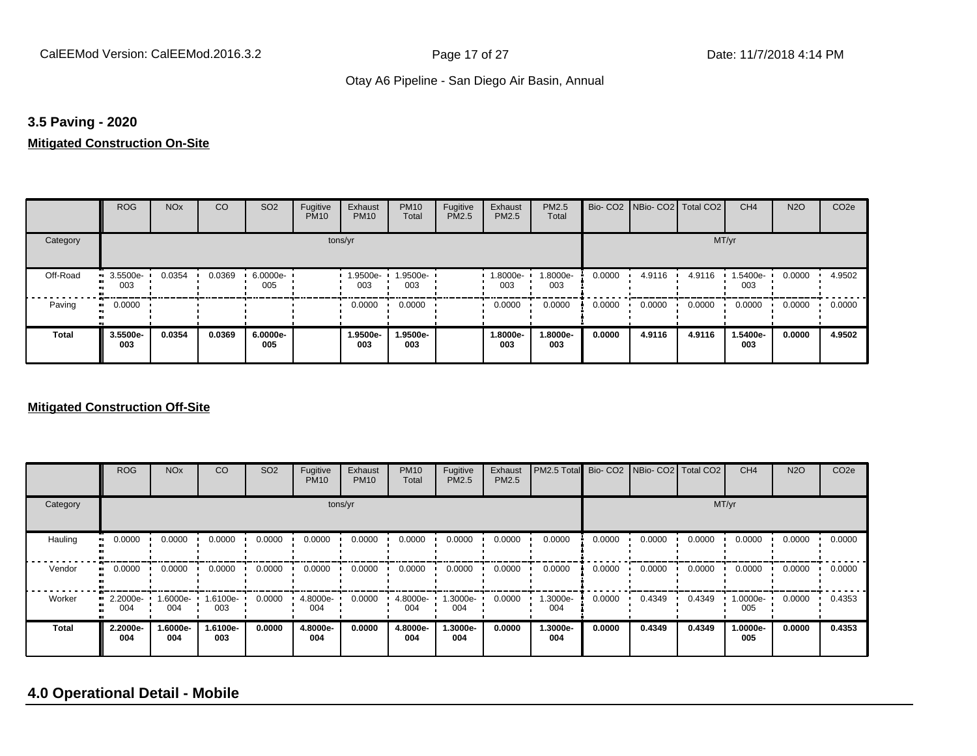#### **3.5 Paving - 2020**

#### **Mitigated Construction On-Site**

|                 | <b>ROG</b>                 | <b>NO<sub>x</sub></b> | CO     | SO <sub>2</sub> | Fugitive<br><b>PM10</b> | Exhaust<br><b>PM10</b> | <b>PM10</b><br>Total | Fugitive<br>PM2.5 | Exhaust<br>PM2.5 | PM2.5<br>Total  |        | Bio- CO2   NBio- CO2   Total CO2 |        | CH <sub>4</sub> | <b>N2O</b> | CO <sub>2e</sub> |
|-----------------|----------------------------|-----------------------|--------|-----------------|-------------------------|------------------------|----------------------|-------------------|------------------|-----------------|--------|----------------------------------|--------|-----------------|------------|------------------|
| Category        |                            |                       |        |                 | tons/yr                 |                        |                      |                   |                  |                 |        |                                  | MT/yr  |                 |            |                  |
| Off-Road<br>. . | 3.5500e-<br>003            | 0.0354                | 0.0369 | 6.0000e-<br>005 |                         | 1.9500e-<br>003        | 1.9500e-<br>003      |                   | 1.8000e-<br>003  | 1.8000e-<br>003 | 0.0000 | 4.9116                           | 4.9116 | 1.5400e-<br>003 | 0.0000     | 4.9502           |
| Paving          | 0.0000<br>$\bullet\bullet$ |                       |        |                 |                         | 0.0000                 | 0.0000               |                   | 0.0000           | 0.0000          | 0.0000 | 0.0000                           | 0.0000 | 0.0000          | 0.0000     | 0.0000           |
| <b>Total</b>    | 3.5500e-<br>003            | 0.0354                | 0.0369 | 6.0000e-<br>005 |                         | 1.9500e-<br>003        | 1.9500e-<br>003      |                   | 1.8000e-<br>003  | 1.8000e-<br>003 | 0.0000 | 4.9116                           | 4.9116 | 1.5400e-<br>003 | 0.0000     | 4.9502           |

#### **Mitigated Construction Off-Site**

|              | <b>ROG</b>      | <b>NO<sub>x</sub></b> | CO              | SO <sub>2</sub> | Fugitive<br><b>PM10</b> | Exhaust<br><b>PM10</b> | <b>PM10</b><br>Total | Fugitive<br><b>PM2.5</b> | Exhaust<br>PM2.5 | PM2.5 Total Bio- CO2 NBio- CO2 Total CO2 |        |        |        | CH <sub>4</sub> | <b>N2O</b> | CO <sub>2e</sub> |
|--------------|-----------------|-----------------------|-----------------|-----------------|-------------------------|------------------------|----------------------|--------------------------|------------------|------------------------------------------|--------|--------|--------|-----------------|------------|------------------|
| Category     |                 |                       |                 |                 |                         | tons/yr                |                      |                          |                  |                                          |        |        | MT/yr  |                 |            |                  |
| Hauling      | 0.0000          | 0.0000                | 0.0000          | 0.0000          | 0.0000                  | 0.0000                 | 0.0000               | 0.0000                   | 0.0000           | 0.0000                                   | 0.0000 | 0.0000 | 0.0000 | 0.0000          | 0.0000     | 0.0000           |
| Vendor       | 0.0000          | 0.0000                | 0.0000          | 0.0000          | 0.0000                  | 0.0000                 | 0.0000               | 0.0000                   | 0.0000           | 0.0000                                   | 0.0000 | 0.0000 | 0.0000 | 0.0000          | 0.0000     | 0.0000           |
| Worker       | 2.2000e-<br>004 | 1.6000e-<br>004       | 1.6100e-<br>003 | 0.0000          | 4.8000e-<br>004         | 0.0000                 | 4.8000e-<br>004      | 1.3000e-<br>004          | 0.0000           | 1.3000e-<br>004                          | 0.0000 | 0.4349 | 0.4349 | 1.0000e-<br>005 | 0.0000     | 0.4353           |
| <b>Total</b> | 2.2000e-<br>004 | 1.6000e-<br>004       | 1.6100e-<br>003 | 0.0000          | 4.8000e-<br>004         | 0.0000                 | 4.8000e-<br>004      | 1.3000e-<br>004          | 0.0000           | 1.3000e-<br>004                          | 0.0000 | 0.4349 | 0.4349 | 1.0000e-<br>005 | 0.0000     | 0.4353           |

# **4.0 Operational Detail - Mobile**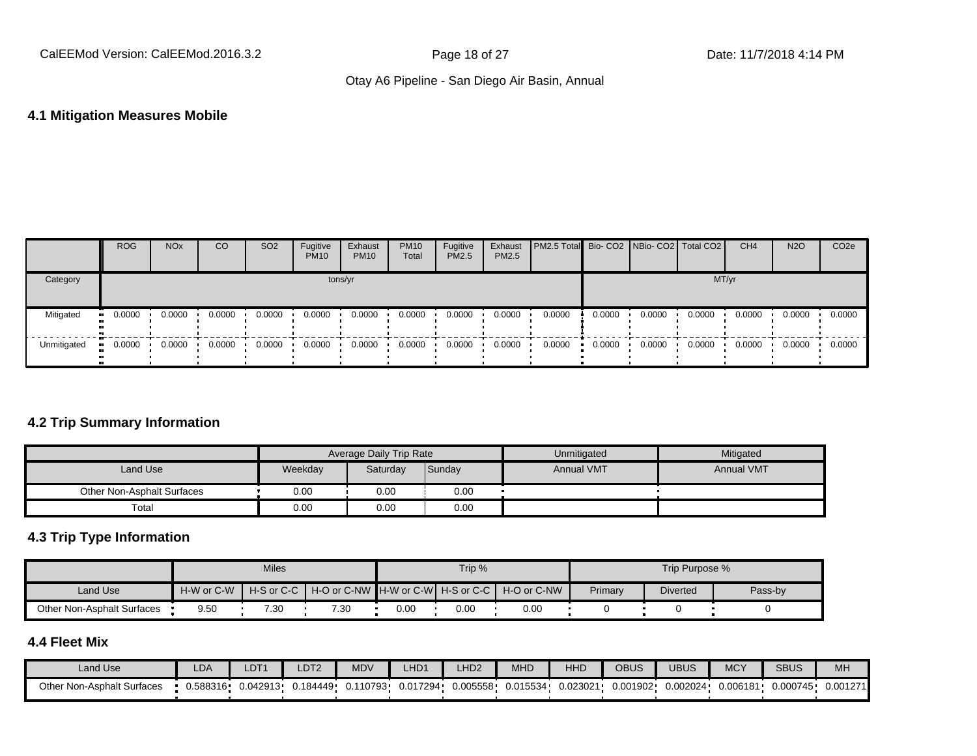#### **4.1 Mitigation Measures Mobile**

|             | <b>ROG</b> | <b>NO<sub>x</sub></b> | CO     | SO <sub>2</sub> | Fugitive<br><b>PM10</b> | Exhaust<br><b>PM10</b> | <b>PM10</b><br>Total | Fugitive<br><b>PM2.5</b> | Exhaust<br><b>PM2.5</b> | <b>PM2.5 Total</b> Bio- CO2 NBio- CO2   Total CO2 |        |        |        | CH <sub>4</sub> | <b>N2O</b> | CO <sub>2e</sub> |
|-------------|------------|-----------------------|--------|-----------------|-------------------------|------------------------|----------------------|--------------------------|-------------------------|---------------------------------------------------|--------|--------|--------|-----------------|------------|------------------|
| Category    |            |                       |        |                 | tons/yr                 |                        |                      |                          |                         |                                                   |        |        | MT/yr  |                 |            |                  |
| Mitigated   | 0.0000     | 0.0000                | 0.0000 | 0.0000          | 0.0000                  | 0.0000                 | 0.0000               | 0.0000                   | 0.0000                  | 0.0000                                            | 0.0000 | 0.0000 | 0.0000 | 0.0000          | 0.0000     | 0.0000           |
| Unmitigated | 0.0000     | 0.0000                | 0.0000 | 0.0000          | 0.0000                  | 0.0000                 | 0.0000               | 0.0000                   | 0.0000                  | 0.0000                                            | 0.0000 | 0.0000 | 0.0000 | 0.0000          | 0.0000     | 0.0000           |

# **4.2 Trip Summary Information**

|                            |         | Average Daily Trip Rate |        | Unmitigated       | Mitigated         |
|----------------------------|---------|-------------------------|--------|-------------------|-------------------|
| Land Use                   | Weekday | Saturday                | Sunday | <b>Annual VMT</b> | <b>Annual VMT</b> |
| Other Non-Asphalt Surfaces | 0.00    | 0.00                    | 0.00   |                   |                   |
| Total                      | 0.00    | 0.00                    | 0.00   |                   |                   |

# **4.3 Trip Type Information**

|                            |            | <b>Miles</b> |                                                                |      | Trip % |      |         | Trip Purpose %  |         |
|----------------------------|------------|--------------|----------------------------------------------------------------|------|--------|------|---------|-----------------|---------|
| Land Use                   | H-W or C-W |              | H-S or C-C I H-O or C-NW IH-W or C-WI H-S or C-C I H-O or C-NW |      |        |      | Primary | <b>Diverted</b> | Pass-by |
| Other Non-Asphalt Surfaces | 9.50       | 7.30         | 7.30                                                           | 0.00 | 0.OC   | 0.00 |         |                 |         |

# **4.4 Fleet Mix**

| Land Use                   | LDA      | LDT <sup>+</sup> | LDT <sub>2</sub> | <b>MDV</b> | LHD <sub>1</sub> | H <sub>D2</sub> | MHD      | <b>HHD</b> | <b>OBUS</b> | JBUS     | <b>MCY</b> | <b>SBUS</b> | MH <sub>3</sub> |
|----------------------------|----------|------------------|------------------|------------|------------------|-----------------|----------|------------|-------------|----------|------------|-------------|-----------------|
| Other Non-Asphalt Surfaces | 0.588316 | 0.042913         | J.184449 ·       | 0.110793   | 0.017294         | 0.005558        | 0.015534 | 0.023021   | 0.001902    | 0.002024 | 0.006181   | 0.000745    | 0.001271        |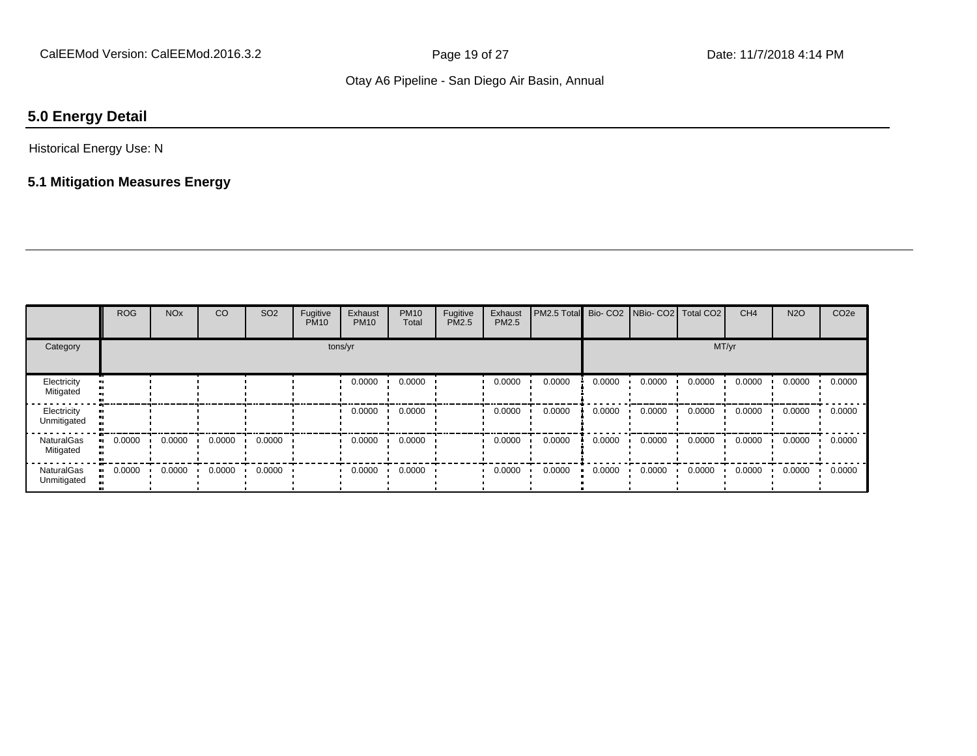# **5.0 Energy Detail**

### Historical Energy Use: N

# **5.1 Mitigation Measures Energy**

|                                  | <b>ROG</b> | <b>NO<sub>x</sub></b> | CO     | SO <sub>2</sub> | Fugitive<br><b>PM10</b> | Exhaust<br><b>PM10</b> | <b>PM10</b><br>Total | Fugitive<br>PM2.5 | Exhaust<br>PM2.5 | PM2.5 Total | Bio-CO <sub>2</sub> | NBio- CO2   Total CO2 |        | CH <sub>4</sub> | <b>N2O</b> | CO <sub>2e</sub> |
|----------------------------------|------------|-----------------------|--------|-----------------|-------------------------|------------------------|----------------------|-------------------|------------------|-------------|---------------------|-----------------------|--------|-----------------|------------|------------------|
| Category                         |            |                       |        |                 |                         | tons/yr                |                      |                   |                  |             |                     |                       | MT/yr  |                 |            |                  |
| Electricity<br>Mitigated         |            |                       |        |                 |                         | 0.0000                 | 0.0000               |                   | 0.0000           | 0.0000      | 0.0000              | 0.0000                | 0.0000 | 0.0000          | 0.0000     | 0.0000           |
| Electricity<br>Unmitigated       |            |                       |        |                 |                         | 0.0000                 | 0.0000               |                   | 0.0000           | 0.0000      | 0.0000              | 0.0000                | 0.0000 | 0.0000          | 0.0000     | 0.0000           |
| <b>NaturalGas</b><br>Mitigated   | 0.0000     | 0.0000                | 0.0000 | 0.0000          |                         | 0.0000                 | 0.0000               |                   | 0.0000           | 0.0000      | 0.0000              | 0.0000                | 0.0000 | 0.0000          | 0.0000     | 0.0000           |
| <b>NaturalGas</b><br>Unmitigated | 0.0000     | 0.0000                | 0.0000 | 0.0000          |                         | 0.0000                 | 0.0000               |                   | 0.0000           | 0.0000      | 0.0000              | 0.0000                | 0.0000 | 0.0000          | 0.0000     | 0.0000           |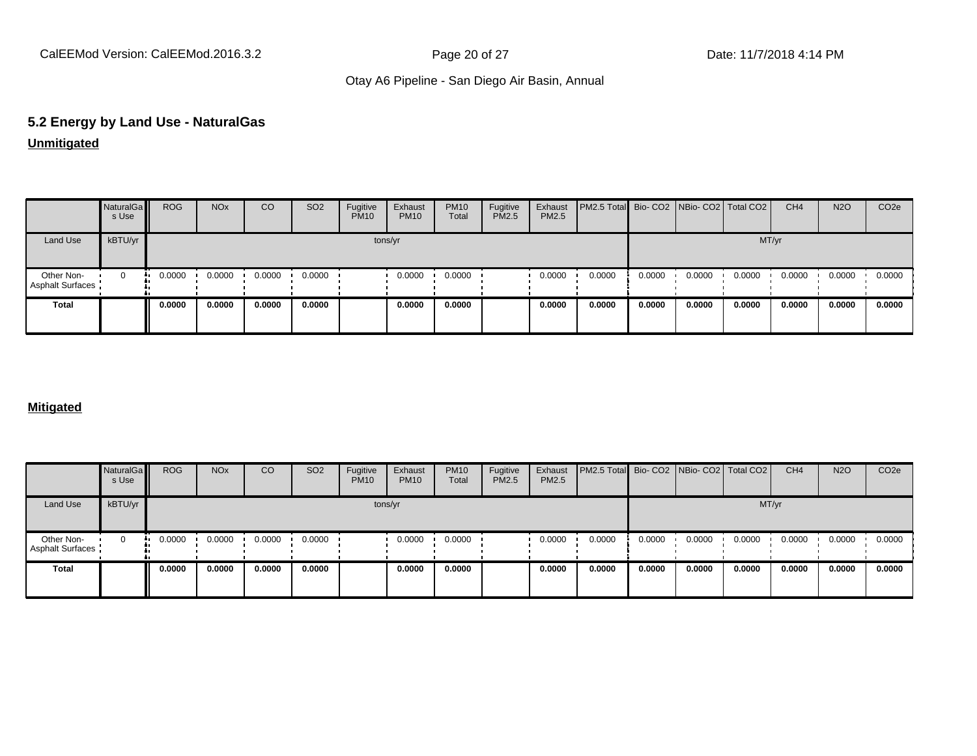# **5.2 Energy by Land Use - NaturalGas**

**Unmitigated**

|                                       | NaturalGa<br>s Use | <b>ROG</b> | <b>NO<sub>x</sub></b> | CO     | SO <sub>2</sub> | Fugitive<br><b>PM10</b> | Exhaust<br><b>PM10</b> | <b>PM10</b><br>Total | Fugitive<br>PM2.5 | Exhaust<br>PM2.5 | PM2.5 Total Bio- CO2 NBio- CO2   Total CO2 |        |        |        | CH <sub>4</sub> | <b>N2O</b> | CO <sub>2e</sub> |
|---------------------------------------|--------------------|------------|-----------------------|--------|-----------------|-------------------------|------------------------|----------------------|-------------------|------------------|--------------------------------------------|--------|--------|--------|-----------------|------------|------------------|
| Land Use                              | kBTU/yr            |            |                       |        |                 | tons/yr                 |                        |                      |                   |                  |                                            |        |        | MT/yr  |                 |            |                  |
| Other Non-<br><b>Asphalt Surfaces</b> | 0                  | 0.0000     | 0.0000                | 0.0000 | 0.0000          |                         | 0.0000                 | 0.0000               |                   | 0.0000           | 0.0000                                     | 0.0000 | 0.0000 | 0.0000 | 0.0000          | 0.0000     | 0.0000           |
| <b>Total</b>                          |                    | 0.0000     | 0.0000                | 0.0000 | 0.0000          |                         | 0.0000                 | 0.0000               |                   | 0.0000           | 0.0000                                     | 0.0000 | 0.0000 | 0.0000 | 0.0000          | 0.0000     | 0.0000           |

#### **Mitigated**

|                                | NaturalGa<br>s Use | <b>ROG</b> | <b>NO<sub>x</sub></b> | CO     | SO <sub>2</sub> | Fugitive<br><b>PM10</b> | Exhaust<br><b>PM10</b> | <b>PM10</b><br>Total | Fugitive<br><b>PM2.5</b> | Exhaust<br>PM2.5 | PM2.5 Total Bio- CO2 NBio- CO2 Total CO2 |        |        |        | CH <sub>4</sub> | <b>N2O</b> | CO <sub>2</sub> e |
|--------------------------------|--------------------|------------|-----------------------|--------|-----------------|-------------------------|------------------------|----------------------|--------------------------|------------------|------------------------------------------|--------|--------|--------|-----------------|------------|-------------------|
| Land Use                       | kBTU/yr            |            |                       |        |                 | tons/yr                 |                        |                      |                          |                  |                                          |        |        | MT/yr  |                 |            |                   |
| Other Non-<br>Asphalt Surfaces | 0                  | 0.0000     | 0.0000                | 0.0000 | 0.0000          |                         | 0.0000                 | 0.0000               |                          | 0.0000           | 0.0000                                   | 0.0000 | 0.0000 | 0.0000 | 0.0000          | 0.0000     | 0.0000            |
| Total                          |                    | 0.0000     | 0.0000                | 0.0000 | 0.0000          |                         | 0.0000                 | 0.0000               |                          | 0.0000           | 0.0000                                   | 0.0000 | 0.0000 | 0.0000 | 0.0000          | 0.0000     | 0.0000            |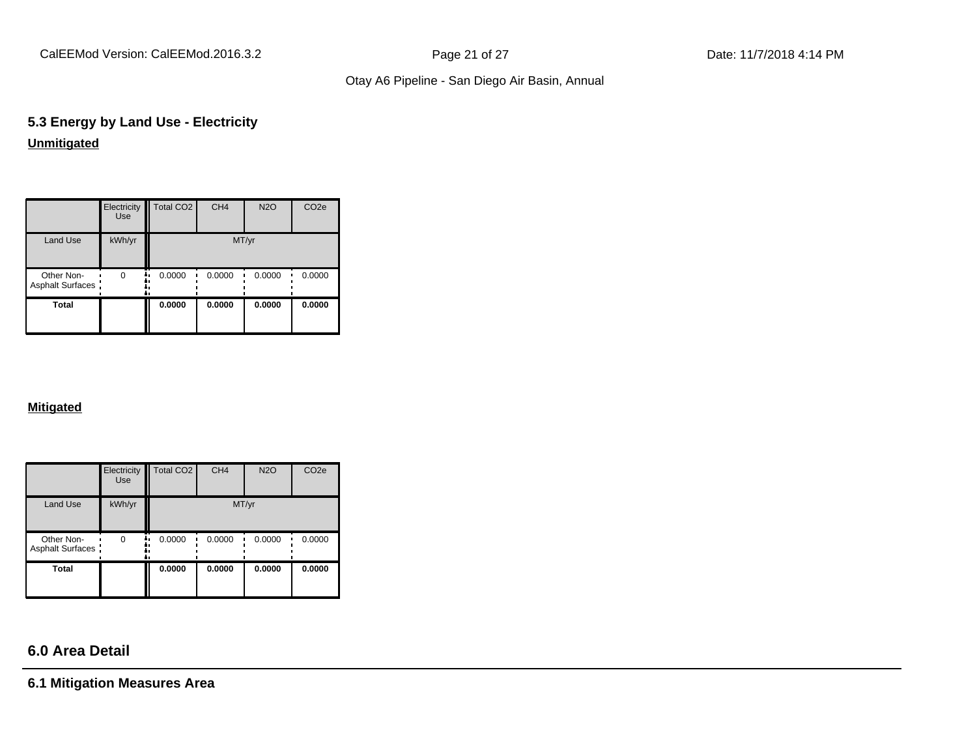CalEEMod Version: CalEEMod.2016.3.2 **Page 21 of 27** Page 21 of 27 Date: 11/7/2018 4:14 PM

## Otay A6 Pipeline - San Diego Air Basin, Annual

# **5.3 Energy by Land Use - Electricity Unmitigated**

|                                       | Electricity<br><b>Use</b> | Total CO <sub>2</sub> | CH <sub>4</sub> | <b>N2O</b> | CO <sub>2e</sub> |
|---------------------------------------|---------------------------|-----------------------|-----------------|------------|------------------|
| Land Use                              | kWh/yr                    |                       | MT/yr           |            |                  |
| Other Non-<br><b>Asphalt Surfaces</b> | $\Omega$                  | 0.0000                | 0.0000          | 0.0000     | 0.0000           |
| Total                                 |                           | 0.0000                | 0.0000          | 0.0000     | 0.0000           |

#### **Mitigated**

|                                       | Electricity<br><b>Use</b> | Total CO <sub>2</sub> | CH <sub>4</sub> | <b>N2O</b> | CO <sub>2e</sub> |
|---------------------------------------|---------------------------|-----------------------|-----------------|------------|------------------|
| <b>Land Use</b>                       | kWh/yr                    |                       | MT/yr           |            |                  |
| Other Non-<br><b>Asphalt Surfaces</b> | $\Omega$                  | 0.0000<br>n           | 0.0000          | 0.0000     | 0.0000           |
| <b>Total</b>                          |                           | 0.0000                | 0.0000          | 0.0000     | 0.0000           |

# **6.0 Area Detail**

**6.1 Mitigation Measures Area**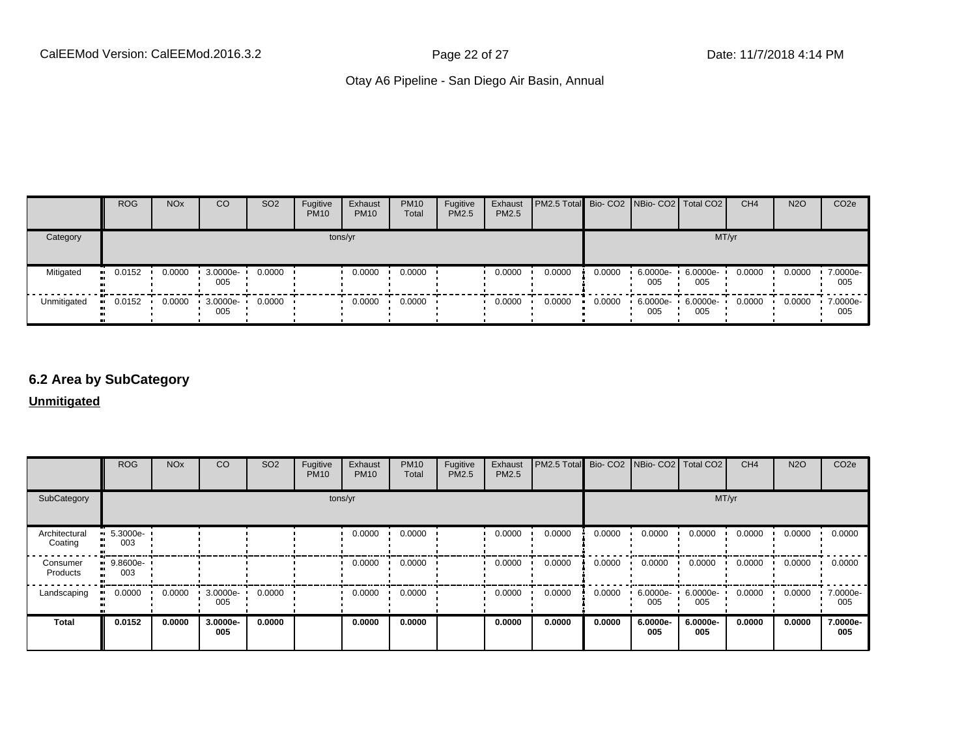|             | <b>ROG</b>            | <b>NO<sub>x</sub></b> | CO                | SO <sub>2</sub> | Fugitive<br><b>PM10</b> | Exhaust<br><b>PM10</b> | <b>PM10</b><br>Total | Fugitive<br><b>PM2.5</b> | Exhaust<br>PM2.5 | <b>PM2.5 Total</b> Bio- CO2 NBio- CO2 Total CO2 |        |                    |                 | CH <sub>4</sub> | <b>N2O</b> | CO <sub>2e</sub> |
|-------------|-----------------------|-----------------------|-------------------|-----------------|-------------------------|------------------------|----------------------|--------------------------|------------------|-------------------------------------------------|--------|--------------------|-----------------|-----------------|------------|------------------|
| Category    |                       |                       |                   |                 |                         | tons/yr                |                      |                          |                  |                                                 |        |                    | MT/yr           |                 |            |                  |
| Mitigated   | $\blacksquare$ 0.0152 | 0.0000                | 3.0000e-<br>005   | 0.0000          |                         | 0.0000                 | 0.0000               |                          | 0.0000           | 0.0000                                          | 0.0000 | $6.0000e -$<br>005 | 6.0000e-<br>005 | 0.0000          | 0.0000     | 7.0000e-<br>005  |
| Unmitigated | 0.0152                | 0.0000                | $.30000e-$<br>005 | 0.0000          |                         | 0.0000                 | 0.0000               |                          | 0.0000           | 0.0000                                          | 0.0000 | $6.0000e -$<br>005 | 6.0000e-<br>005 | 0.0000          | 0.0000     | 7.0000e-<br>005  |

# **6.2 Area by SubCategory**

**Unmitigated**

|                          | <b>ROG</b>                         | <b>NO<sub>x</sub></b> | CO              | SO <sub>2</sub> | Fugitive<br><b>PM10</b> | Exhaust<br><b>PM10</b> | <b>PM10</b><br>Total | Fugitive<br><b>PM2.5</b> | Exhaust<br>PM2.5 | PM2.5 Total Bio- CO2 NBio- CO2 Total CO2 |        |                 |                 | CH <sub>4</sub> | <b>N2O</b> | CO <sub>2</sub> e |
|--------------------------|------------------------------------|-----------------------|-----------------|-----------------|-------------------------|------------------------|----------------------|--------------------------|------------------|------------------------------------------|--------|-----------------|-----------------|-----------------|------------|-------------------|
| SubCategory              |                                    |                       |                 |                 | tons/yr                 |                        |                      |                          |                  |                                          |        |                 | MT/yr           |                 |            |                   |
| Architectural<br>Coating | $\blacksquare$ 5.3000e-<br><br>003 |                       |                 |                 |                         | 0.0000                 | 0.0000               |                          | 0.0000           | 0.0000                                   | 0.0000 | 0.0000          | 0.0000          | 0.0000          | 0.0000     | 0.0000            |
| Consumer<br>Products     | $9.8600e-$<br>003                  |                       |                 |                 |                         | 0.0000                 | 0.0000               |                          | 0.0000           | 0.0000                                   | 0.0000 | 0.0000          | 0.0000          | 0.0000          | 0.0000     | 0.0000            |
| Landscaping              | 0.0000<br>$\bullet$                | 0.0000                | 3.0000e-<br>005 | 0.0000          |                         | 0.0000                 | 0.0000               |                          | 0.0000           | 0.0000                                   | 0.0000 | 6.0000e-<br>005 | 6.0000e-<br>005 | 0.0000          | 0.0000     | 7.0000e-<br>005   |
| <b>Total</b>             | 0.0152                             | 0.0000                | 3.0000e-<br>005 | 0.0000          |                         | 0.0000                 | 0.0000               |                          | 0.0000           | 0.0000                                   | 0.0000 | 6.0000e-<br>005 | 6.0000e-<br>005 | 0.0000          | 0.0000     | 7.0000e-<br>005   |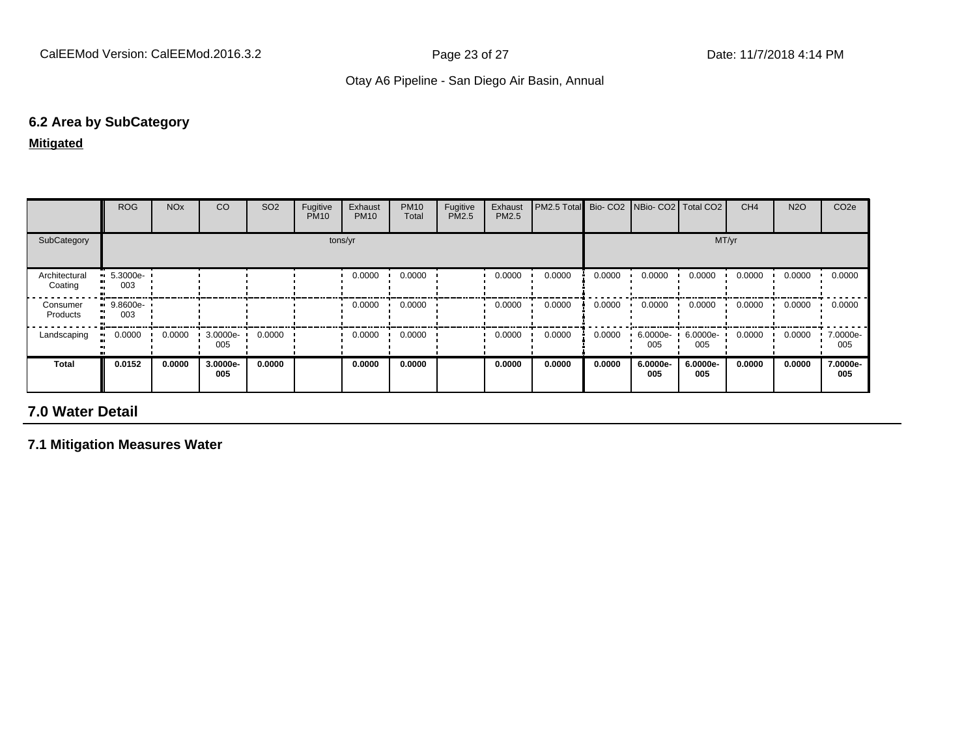## **6.2 Area by SubCategory**

**Mitigated**

|                          | <b>ROG</b>                     | <b>NO<sub>x</sub></b> | CO              | SO <sub>2</sub> | Fugitive<br><b>PM10</b> | Exhaust<br><b>PM10</b> | <b>PM10</b><br>Total | Fugitive<br>PM2.5 | Exhaust<br>PM2.5 | PM2.5 Total Bio- CO2 NBio- CO2 Total CO2 |        |                    |                   | CH <sub>4</sub> | <b>N2O</b> | CO <sub>2e</sub> |
|--------------------------|--------------------------------|-----------------------|-----------------|-----------------|-------------------------|------------------------|----------------------|-------------------|------------------|------------------------------------------|--------|--------------------|-------------------|-----------------|------------|------------------|
| SubCategory              |                                |                       |                 |                 |                         | tons/yr                |                      |                   |                  |                                          |        |                    | MT/yr             |                 |            |                  |
| Architectural<br>Coating | $\blacksquare$ 5.3000e-<br>003 |                       |                 |                 |                         | 0.0000                 | 0.0000               |                   | 0.0000           | 0.0000                                   | 0.0000 | 0.0000             | 0.0000            | 0.0000          | 0.0000     | 0.0000           |
| Consumer<br>Products     | $9.8600e-$<br>003              |                       |                 |                 |                         | 0.0000                 | 0.0000               |                   | 0.0000           | 0.0000                                   | 0.0000 | 0.0000             | 0.0000            | 0.0000          | 0.0000     | 0.0000           |
| Landscaping              | 0.0000                         | 0.0000                | 3.0000e-<br>005 | 0.0000          |                         | 0.0000                 | 0.0000               |                   | 0.0000           | 0.0000                                   | 0.0000 | $6.0000e -$<br>005 | $6.0000e-$<br>005 | 0.0000          | 0.0000     | 7.0000e-<br>005  |
| <b>Total</b>             | 0.0152                         | 0.0000                | 3.0000e-<br>005 | 0.0000          |                         | 0.0000                 | 0.0000               |                   | 0.0000           | 0.0000                                   | 0.0000 | 6.0000e-<br>005    | 6.0000e-<br>005   | 0.0000          | 0.0000     | 7.0000e-<br>005  |

# **7.0 Water Detail**

**7.1 Mitigation Measures Water**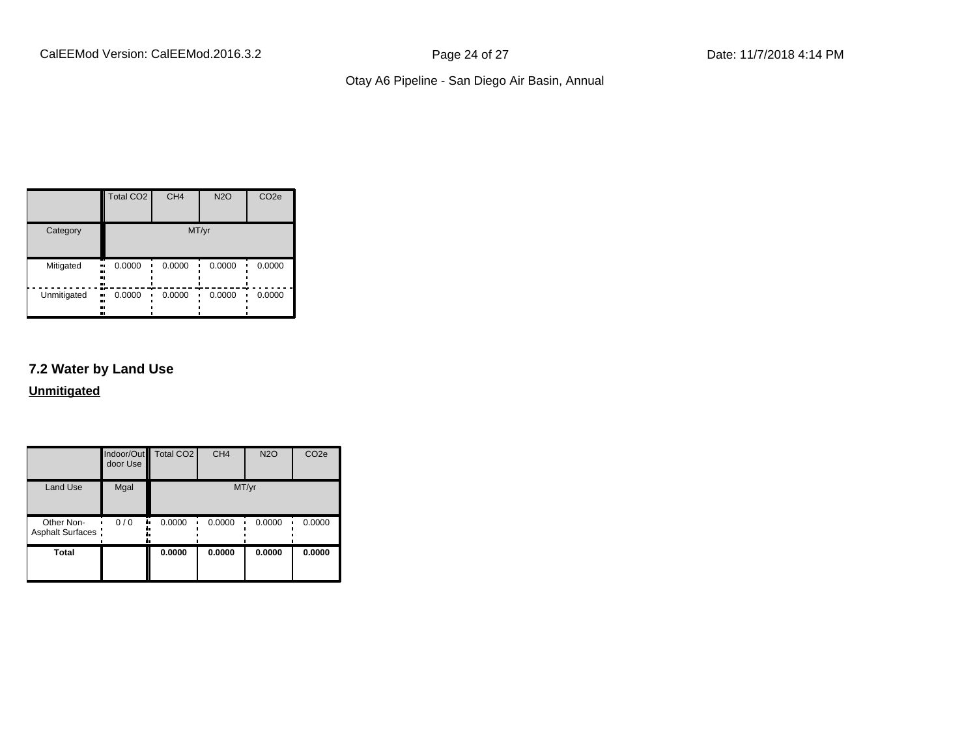|                                | <b>Total CO2</b> | CH <sub>4</sub> | <b>N2O</b> | CO <sub>2e</sub> |
|--------------------------------|------------------|-----------------|------------|------------------|
| Category                       |                  |                 | MT/yr      |                  |
| Mitigated<br><br><br>.,        | 0.0000<br>.,     | 0.0000          | 0.0000     | 0.0000           |
| Unmitigated<br>.,<br><br><br>ш | 0.0000           | 0.0000          | 0.0000     | 0.0000           |

# **7.2 Water by Land Use**

**Unmitigated**

|                                 | door Use | Indoor/Out Total CO2 | CH <sub>4</sub> | <b>N2O</b> | CO <sub>2e</sub> |
|---------------------------------|----------|----------------------|-----------------|------------|------------------|
| <b>Land Use</b>                 | Mgal     |                      |                 | MT/yr      |                  |
| Other Non-<br>Asphalt Surfaces: | 0/0      | 0.0000               | 0.0000          | 0.0000     | 0.0000           |
| <b>Total</b>                    |          | 0.0000               | 0.0000          | 0.0000     | 0.0000           |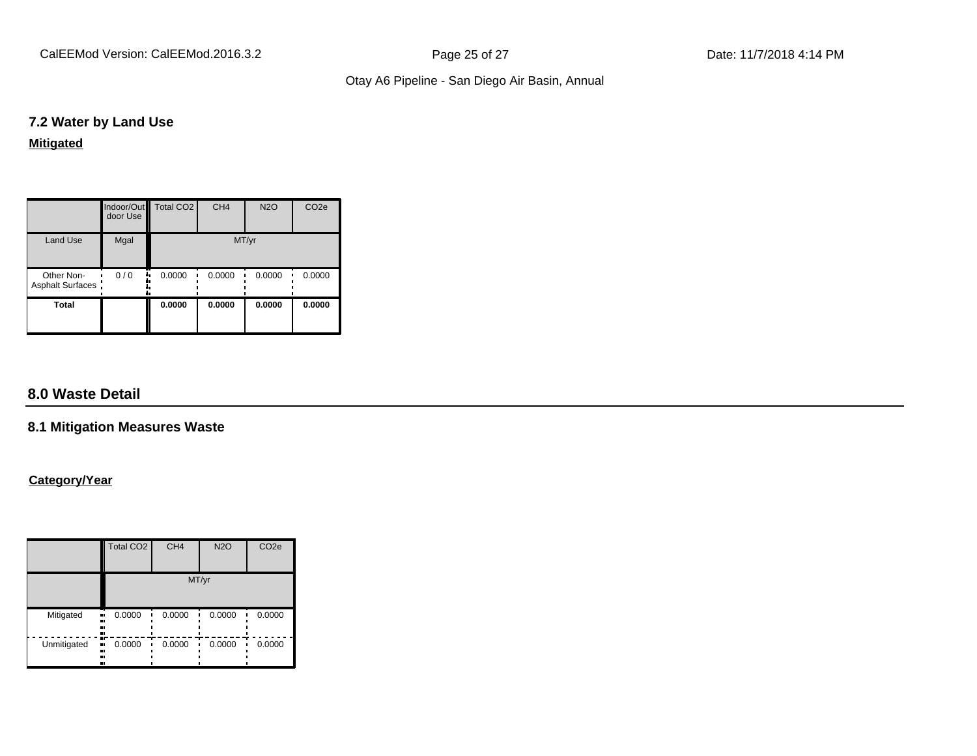CalEEMod Version: CalEEMod.2016.3.2 **Page 25 of 27** Page 25 of 27 Date: 11/7/2018 4:14 PM

## Otay A6 Pipeline - San Diego Air Basin, Annual

#### **7.2 Water by Land Use**

#### **Mitigated**

|                                 | door Use | Indoor/Out   Total CO2 | CH <sub>4</sub> | <b>N2O</b> | CO <sub>2e</sub> |
|---------------------------------|----------|------------------------|-----------------|------------|------------------|
| <b>Land Use</b>                 | Mgal     |                        |                 | MT/yr      |                  |
| Other Non-<br>Asphalt Surfaces: | 0/0<br>  | 0.0000                 | 0.0000          | 0.0000     | 0.0000           |
| <b>Total</b>                    |          | 0.0000                 | 0.0000          | 0.0000     | 0.0000           |

# **8.0 Waste Detail**

#### **8.1 Mitigation Measures Waste**

#### **Category/Year**

|             | <b>Total CO2</b>              | CH <sub>4</sub> | <b>N2O</b> | CO <sub>2e</sub> |
|-------------|-------------------------------|-----------------|------------|------------------|
|             |                               |                 | MT/yr      |                  |
| Mitigated   | 0.0000<br><br><br><br>        | 0.0000          | 0.0000     | 0.0000           |
| Unmitigated | m<br>0.0000<br>ш,<br><br><br> | 0.0000          | 0.0000     | 0.0000           |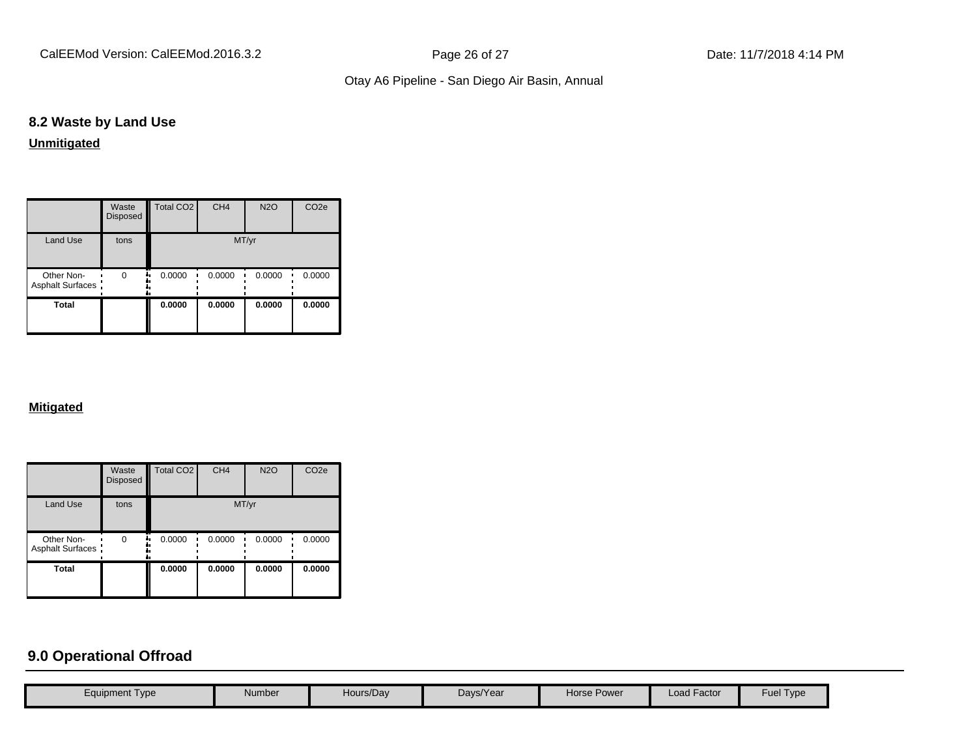CalEEMod Version: CalEEMod.2016.3.2 **Page 26 of 27** Page 26 of 27 Date: 11/7/2018 4:14 PM

# Otay A6 Pipeline - San Diego Air Basin, Annual

# **8.2 Waste by Land Use**

**Unmitigated**

|                                 | Waste<br><b>Disposed</b> | Total CO <sub>2</sub> | CH <sub>4</sub> | <b>N2O</b> | CO <sub>2e</sub> |
|---------------------------------|--------------------------|-----------------------|-----------------|------------|------------------|
| <b>Land Use</b>                 | tons                     |                       | MT/yr           |            |                  |
| Other Non-<br>Asphalt Surfaces: | $\Omega$                 | 0.0000                | 0.0000          | 0.0000     | 0.0000           |
| <b>Total</b>                    |                          | 0.0000                | 0.0000          | 0.0000     | 0.0000           |

#### **Mitigated**

|                                 | Waste<br>Disposed | Total CO <sub>2</sub> | CH <sub>4</sub> | <b>N2O</b> | CO <sub>2e</sub> |
|---------------------------------|-------------------|-----------------------|-----------------|------------|------------------|
| <b>Land Use</b>                 | tons              |                       |                 | MT/yr      |                  |
| Other Non-<br>Asphalt Surfaces: | $\Omega$          | 0.0000                | 0.0000          | 0.0000     | 0.0000           |
| <b>Total</b>                    |                   | 0.0000                | 0.0000          | 0.0000     | 0.0000           |

# **9.0 Operational Offroad**

| <b>Load Factor</b><br>Fuel Type<br>Hours/Day<br><b>Horse Power</b><br>Days/Year<br>Equipment Type<br>Number |  |  |  |  |
|-------------------------------------------------------------------------------------------------------------|--|--|--|--|
|                                                                                                             |  |  |  |  |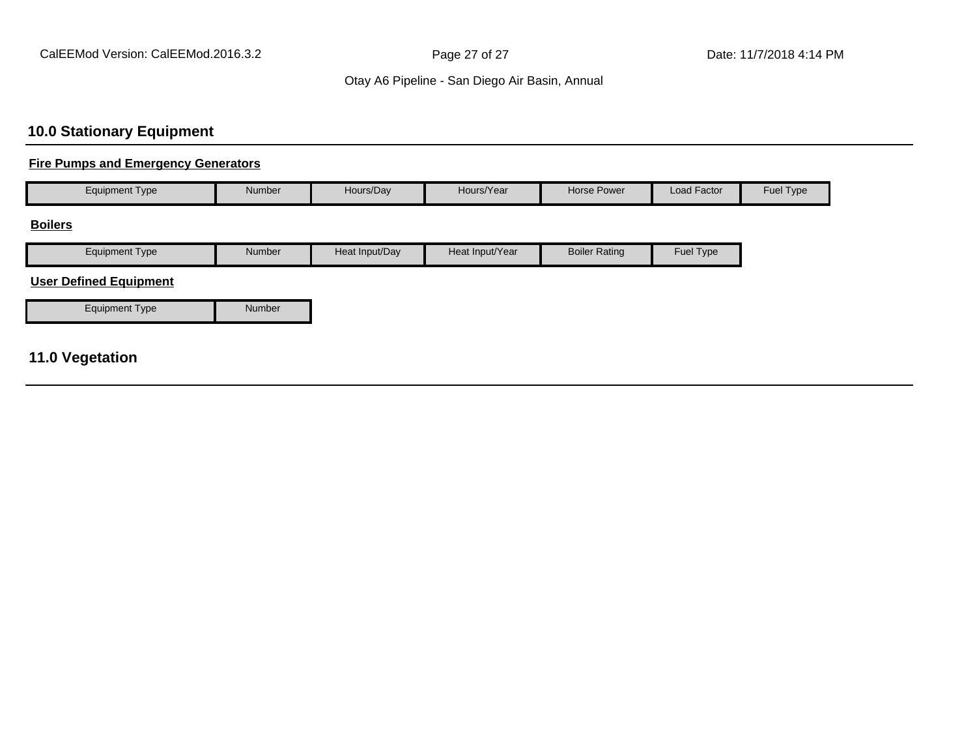# **10.0 Stationary Equipment**

#### **Fire Pumps and Emergency Generators**

| <b>Equipment Type</b>         | Number | Hours/Day      | Hours/Year      | Horse Power          | Load Factor | Fuel Type |
|-------------------------------|--------|----------------|-----------------|----------------------|-------------|-----------|
| <b>Boilers</b>                |        |                |                 |                      |             |           |
| <b>Equipment Type</b>         | Number | Heat Input/Day | Heat Input/Year | <b>Boiler Rating</b> | Fuel Type   |           |
| <b>User Defined Equipment</b> |        |                |                 |                      |             |           |
| <b>Equipment Type</b>         | Number |                |                 |                      |             |           |
|                               |        |                |                 |                      |             |           |
| 11.0 Vegetation               |        |                |                 |                      |             |           |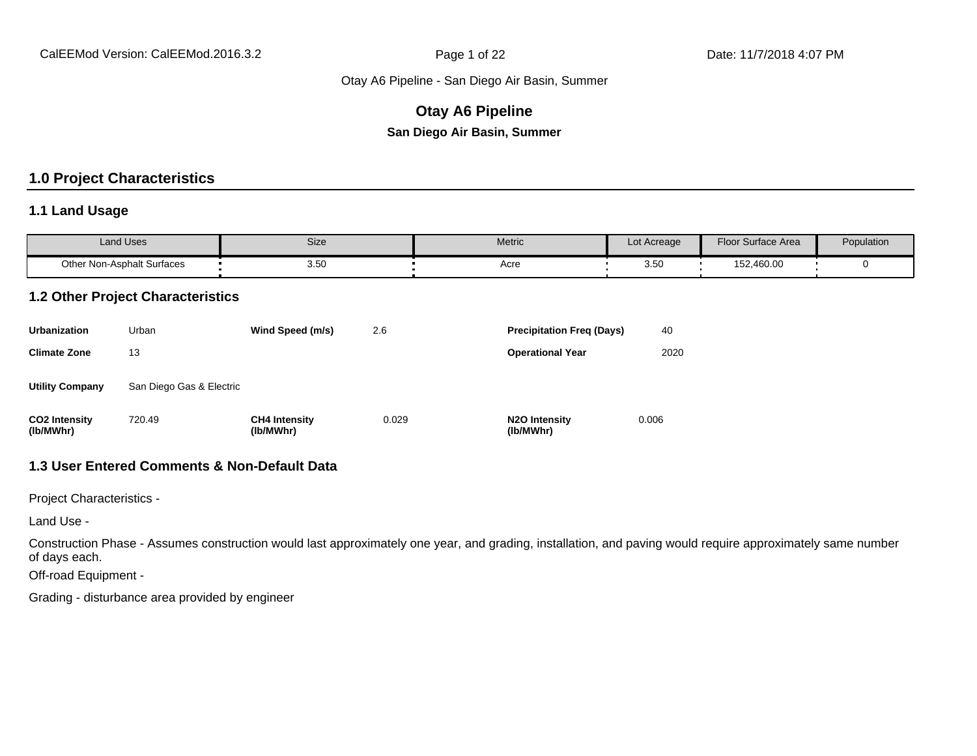# **Otay A6 Pipeline**

**San Diego Air Basin, Summer**

# **1.0 Project Characteristics**

#### **1.1 Land Usage**

| <b>Land Uses</b>           | Size | Metric | Lot Acreage  | Floor Surface Area | Population |
|----------------------------|------|--------|--------------|--------------------|------------|
| Other Non-Asphalt Surfaces | 3.50 | Acre   | 3 5C<br>ບ.ບ∪ | 152,460.00         |            |

#### **1.2 Other Project Characteristics**

| <b>Urbanization</b>               | Urban                    | Wind Speed (m/s)                  | 2.6   | <b>Precipitation Freg (Days)</b>        | 40    |
|-----------------------------------|--------------------------|-----------------------------------|-------|-----------------------------------------|-------|
| <b>Climate Zone</b>               | 13                       |                                   |       | <b>Operational Year</b>                 | 2020  |
| <b>Utility Company</b>            | San Diego Gas & Electric |                                   |       |                                         |       |
| <b>CO2 Intensity</b><br>(lb/MWhr) | 720.49                   | <b>CH4 Intensity</b><br>(lb/MWhr) | 0.029 | N <sub>2</sub> O Intensity<br>(lb/MWhr) | 0.006 |

# **1.3 User Entered Comments & Non-Default Data**

Project Characteristics -

Land Use -

Construction Phase - Assumes construction would last approximately one year, and grading, installation, and paving would require approximately same number of days each.

Off-road Equipment -

Grading - disturbance area provided by engineer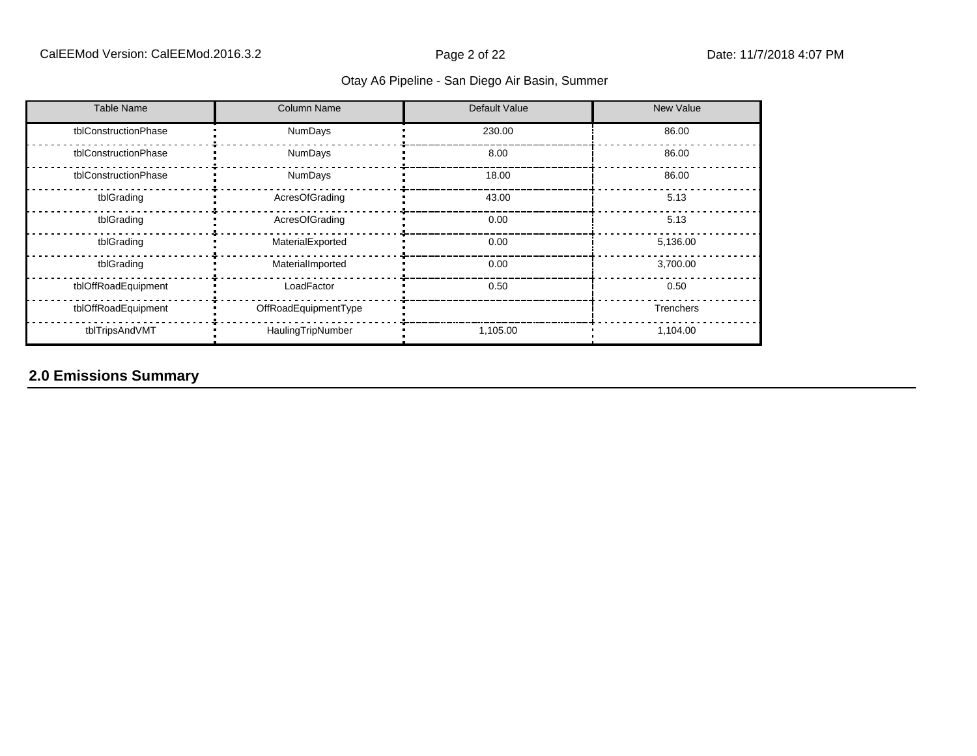| <b>Table Name</b>    | <b>Column Name</b>   | Default Value | New Value        |
|----------------------|----------------------|---------------|------------------|
| tblConstructionPhase | NumDays              | 230.00        | 86.00            |
| tblConstructionPhase | <b>NumDays</b>       | 8.00          | 86.00            |
| tblConstructionPhase | <b>NumDays</b>       | 18.00         | 86.00            |
| tblGrading           | AcresOfGrading       | 43.00         | 5.13             |
| tblGrading           | AcresOfGrading       | 0.00          | 5.13             |
| tblGrading           | MaterialExported     | 0.00          | 5,136.00         |
| tblGrading           | MaterialImported     | 0.00          | 3,700.00         |
| tblOffRoadEquipment  | LoadFactor           | 0.50          | 0.50             |
| tblOffRoadEquipment  | OffRoadEquipmentType |               | <b>Trenchers</b> |
| tblTripsAndVMT       | HaulingTripNumber    | 1,105.00      | 1,104.00         |

# **2.0 Emissions Summary**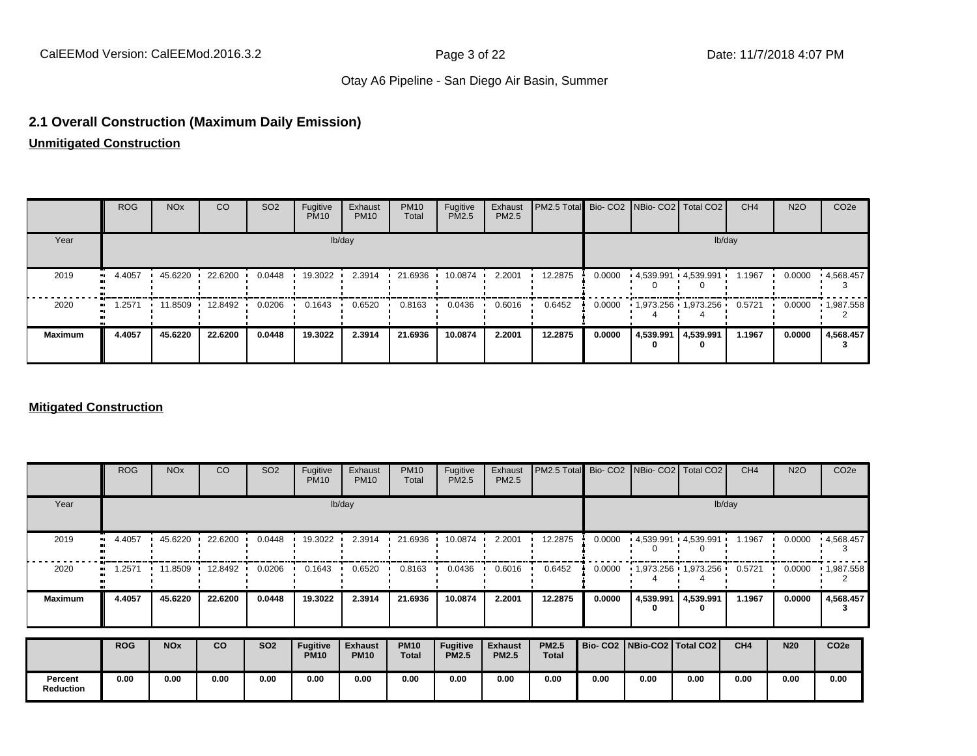#### **2.1 Overall Construction (Maximum Daily Emission)**

**Unmitigated Construction**

|                | <b>ROG</b>    | <b>NO<sub>x</sub></b> | CO              | SO <sub>2</sub> | Fugitive<br><b>PM10</b> | Exhaust<br><b>PM10</b> | <b>PM10</b><br>Total | Fugitive<br>PM2.5 | Exhaust<br><b>PM2.5</b> | PM2.5 Total Bio- CO2 NBio- CO2   Total CO2 |        |                |                          | CH <sub>4</sub> | <b>N2O</b> | CO <sub>2e</sub> |
|----------------|---------------|-----------------------|-----------------|-----------------|-------------------------|------------------------|----------------------|-------------------|-------------------------|--------------------------------------------|--------|----------------|--------------------------|-----------------|------------|------------------|
| Year           |               |                       |                 |                 |                         | lb/day                 |                      |                   |                         |                                            |        |                |                          | lb/day          |            |                  |
| 2019           | 4.4057<br>. . | 45.6220               | 22.6200         | 0.0448          | 19.3022                 | 2.3914                 | 21.6936              | 10.0874           | 2.2001                  | 12.2875                                    | 0.0000 |                | $-4,539.991 - 4,539.991$ | 1.1967          | 0.0000     | .4,568.457       |
| 2020           | .2571<br>.    |                       | 11.8509 12.8492 | 0.0206          | 0.1643                  | 0.6520                 | 0.8163               | 0.0436            | 0.6016                  | 0.6452                                     | 0.0000 |                | $1,973.256$ $1,973.256$  | 0.5721          | 0.0000     | 1,987.558        |
| <b>Maximum</b> | 4.4057        | 45.6220               | 22.6200         | 0.0448          | 19.3022                 | 2.3914                 | 21.6936              | 10.0874           | 2.2001                  | 12.2875                                    | 0.0000 | 4,539.991<br>0 | 4,539.991                | 1.1967          | 0.0000     | 4,568.457        |

#### **Mitigated Construction**

|                             | <b>ROG</b> | <b>NO<sub>x</sub></b> | CO      | SO <sub>2</sub> | Fugitive<br><b>PM10</b>        | Exhaust<br><b>PM10</b>        | <b>PM10</b><br>Total        | Fugitive<br>PM2.5               | Exhaust<br><b>PM2.5</b>        | PM2.5 Total                  |        | Bio- CO2   NBio- CO2   Total CO2    |           | CH <sub>4</sub> | <b>N2O</b> | CO <sub>2e</sub> |
|-----------------------------|------------|-----------------------|---------|-----------------|--------------------------------|-------------------------------|-----------------------------|---------------------------------|--------------------------------|------------------------------|--------|-------------------------------------|-----------|-----------------|------------|------------------|
| Year                        |            |                       |         |                 |                                | lb/day                        |                             |                                 |                                |                              |        |                                     |           | lb/day          |            |                  |
| 2019                        | 4.4057     | 45.6220               | 22.6200 | 0.0448          | 19.3022                        | 2.3914                        | 21.6936                     | 10.0874                         | 2.2001                         | 12.2875                      | 0.0000 | $\cdot$ 4,539.991 $\cdot$ 4,539.991 |           | 1.1967          | 0.0000     | .4,568.457       |
| 2020                        | .2571      | 11.8509               | 12.8492 | 0.0206          | 0.1643                         | 0.6520                        | 0.8163                      | 0.0436                          | 0.6016                         | 0.6452                       | 0.0000 | $1,973.256$ $1,973.256$             |           | 0.5721          | 0.0000     | 1,987.558        |
| <b>Maximum</b>              | 4.4057     | 45.6220               | 22.6200 | 0.0448          | 19,3022                        | 2.3914                        | 21.6936                     | 10.0874                         | 2.2001                         | 12.2875                      | 0.0000 | 4,539.991<br>0                      | 4,539.991 | 1.1967          | 0.0000     | 4,568.457<br>з   |
|                             | <b>ROG</b> | <b>NO<sub>x</sub></b> | co      | <b>SO2</b>      | <b>Fugitive</b><br><b>PM10</b> | <b>Exhaust</b><br><b>PM10</b> | <b>PM10</b><br><b>Total</b> | <b>Fugitive</b><br><b>PM2.5</b> | <b>Exhaust</b><br><b>PM2.5</b> | <b>PM2.5</b><br><b>Total</b> |        | Bio- CO2   NBio-CO2   Total CO2     |           | CH <sub>4</sub> | <b>N20</b> | CO <sub>2e</sub> |
| Percent<br><b>Reduction</b> | 0.00       | 0.00                  | 0.00    | 0.00            | 0.00                           | 0.00                          | 0.00                        | 0.00                            | 0.00                           | 0.00                         | 0.00   | 0.00                                | 0.00      | 0.00            | 0.00       | 0.00             |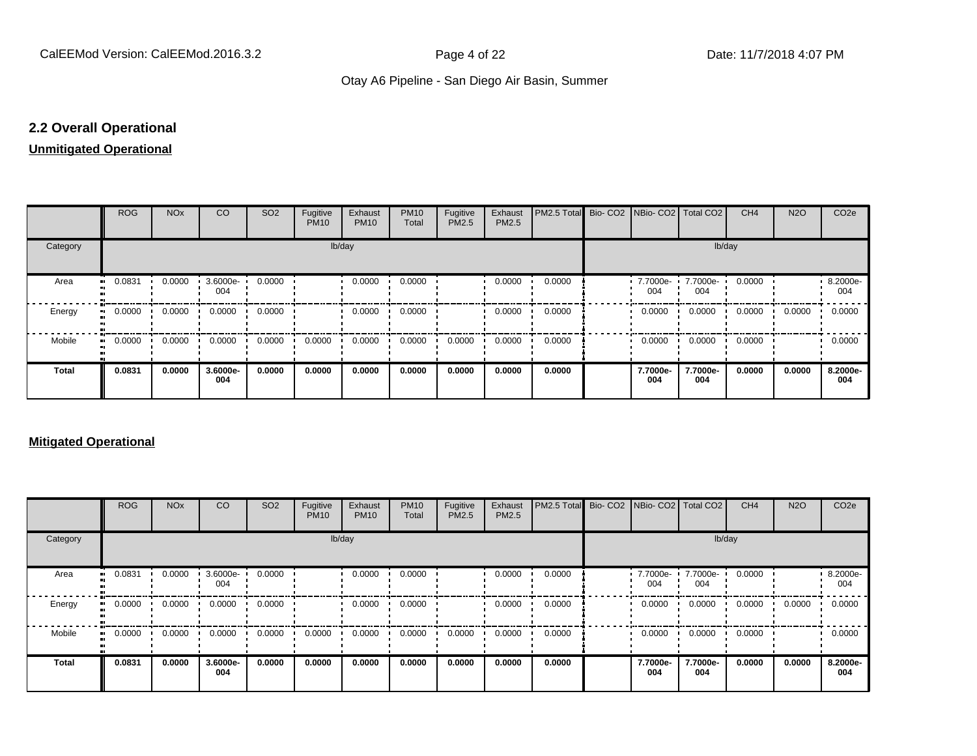# **2.2 Overall Operational**

#### **Unmitigated Operational**

|          | <b>ROG</b>   | <b>NO<sub>x</sub></b> | CO              | SO <sub>2</sub> | Fugitive<br><b>PM10</b> | Exhaust<br><b>PM10</b> | <b>PM10</b><br>Total | Fugitive<br>PM2.5 | Exhaust<br>PM2.5 | PM2.5 Total Bio- CO2 NBio- CO2 Total CO2 |                 |                 | CH <sub>4</sub> | <b>N2O</b> | CO <sub>2</sub> e |
|----------|--------------|-----------------------|-----------------|-----------------|-------------------------|------------------------|----------------------|-------------------|------------------|------------------------------------------|-----------------|-----------------|-----------------|------------|-------------------|
| Category |              |                       |                 |                 | lb/day                  |                        |                      |                   |                  |                                          |                 | lb/day          |                 |            |                   |
| Area     | 0.0831<br>   | 0.0000                | 3.6000e-<br>004 | 0.0000          |                         | 0.0000                 | 0.0000               |                   | 0.0000           | 0.0000                                   | 7.7000e-<br>004 | 7.7000e-<br>004 | 0.0000          |            | 8.2000e-<br>004   |
| Energy   | 0.0000<br>   | 0.0000                | 0.0000          | 0.0000          |                         | 0.0000                 | 0.0000               |                   | 0.0000           | 0.0000                                   | 0.0000          | 0.0000          | 0.0000          | 0.0000     | 0.0000            |
| Mobile   | 0.0000<br>ш. | 0.0000                | 0.0000          | 0.0000          | 0.0000                  | 0.0000                 | 0.0000               | 0.0000            | 0.0000           | 0.0000                                   | 0.0000          | 0.0000          | 0.0000          |            | 0.0000            |
| Total    | 0.0831       | 0.0000                | 3.6000e-<br>004 | 0.0000          | 0.0000                  | 0.0000                 | 0.0000               | 0.0000            | 0.0000           | 0.0000                                   | 7.7000e-<br>004 | 7.7000e-<br>004 | 0.0000          | 0.0000     | 8.2000e-<br>004   |

#### **Mitigated Operational**

|              | <b>ROG</b> | <b>NO<sub>x</sub></b> | CO              | SO <sub>2</sub> | Fugitive<br><b>PM10</b> | Exhaust<br><b>PM10</b> | <b>PM10</b><br>Total | Fugitive<br>PM2.5 | Exhaust<br>PM2.5 | <b>IPM2.5 Total Bio- CO2 INBio- CO2 Total CO2</b> |                   |                 | CH <sub>4</sub> | <b>N2O</b> | CO <sub>2e</sub> |
|--------------|------------|-----------------------|-----------------|-----------------|-------------------------|------------------------|----------------------|-------------------|------------------|---------------------------------------------------|-------------------|-----------------|-----------------|------------|------------------|
| Category     |            |                       |                 |                 |                         | lb/day                 |                      |                   |                  |                                                   |                   | lb/day          |                 |            |                  |
| Area         | 0.0831     | 0.0000                | 3.6000e-<br>004 | 0.0000          |                         | 0.0000                 | 0.0000               |                   | 0.0000           | 0.0000                                            | $.77000e-$<br>004 | 7.7000e-<br>004 | 0.0000          |            | 8.2000e-<br>004  |
| Energy       | 0.0000     | 0.0000                | 0.0000          | 0.0000          |                         | 0.0000                 | 0.0000               |                   | 0.0000           | 0.0000                                            | 0.0000            | 0.0000          | 0.0000          | 0.0000     | 0.0000           |
| Mobile       | 0.0000     | 0.0000                | 0.0000          | 0.0000          | 0.0000                  | 0.0000                 | 0.0000               | 0.0000            | 0.0000           | 0.0000                                            | 0.0000            | 0.0000          | 0.0000          |            | 0.0000           |
| <b>Total</b> | 0.0831     | 0.0000                | 3.6000e-<br>004 | 0.0000          | 0.0000                  | 0.0000                 | 0.0000               | 0.0000            | 0.0000           | 0.0000                                            | 7.7000e-<br>004   | 7.7000e-<br>004 | 0.0000          | 0.0000     | 8.2000e-<br>004  |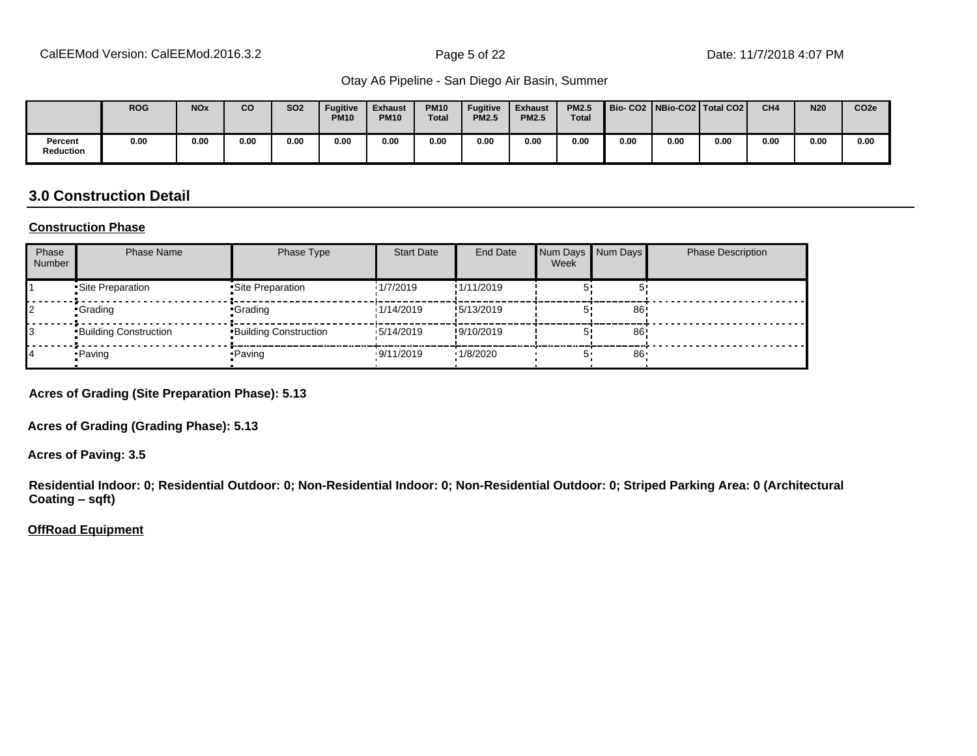|                      | <b>ROG</b> | <b>NO<sub>x</sub></b> | co   | <b>SO2</b> | <b>Fugitive</b><br><b>PM10</b> | <b>Exhaust</b><br><b>PM10</b> | <b>PM10</b><br><b>Total</b> | <b>Fugitive</b><br><b>PM2.5</b> | <b>Exhaust</b><br><b>PM2.5</b> | <b>PM2.5</b><br><b>Total</b> | Bio-CO2 NBio-CO2 Total CO2 |      |      | CH <sub>4</sub> | <b>N20</b> | CO <sub>2e</sub> |
|----------------------|------------|-----------------------|------|------------|--------------------------------|-------------------------------|-----------------------------|---------------------------------|--------------------------------|------------------------------|----------------------------|------|------|-----------------|------------|------------------|
| Percent<br>Reduction | 0.00       | 0.00                  | 0.00 | 0.00       | 0.00                           | 0.00                          | 0.00                        | 0.00                            | 0.00                           | 0.00                         | 0.00                       | 0.00 | 0.00 | 0.00            | 0.00       | 0.00             |

# **3.0 Construction Detail**

#### **Construction Phase**

| Phase<br><b>Number</b> | <b>Phase Name</b>            | Phase Type                   | <b>Start Date</b> | <b>End Date</b> | Num Days Num Days<br>Week |    | <b>Phase Description</b> |
|------------------------|------------------------------|------------------------------|-------------------|-----------------|---------------------------|----|--------------------------|
|                        | •Site Preparation            | •Site Preparation            | 1/7/2019          | !1/11/2019      |                           |    |                          |
|                        | •Grading                     | •Grading                     | 1/14/2019         | !5/13/2019      |                           | 86 |                          |
|                        | <b>Building Construction</b> | <b>Building Construction</b> | 15/14/2019        | !9/10/2019      |                           | 86 |                          |
|                        | • Paving                     | •Paving                      | .9/11/2019        | 1/8/2020        |                           | 86 |                          |

**Acres of Grading (Site Preparation Phase): 5.13**

**Acres of Grading (Grading Phase): 5.13**

**Acres of Paving: 3.5**

**Residential Indoor: 0; Residential Outdoor: 0; Non-Residential Indoor: 0; Non-Residential Outdoor: 0; Striped Parking Area: 0 (Architectural Coating ±sqft)**

#### **OffRoad Equipment**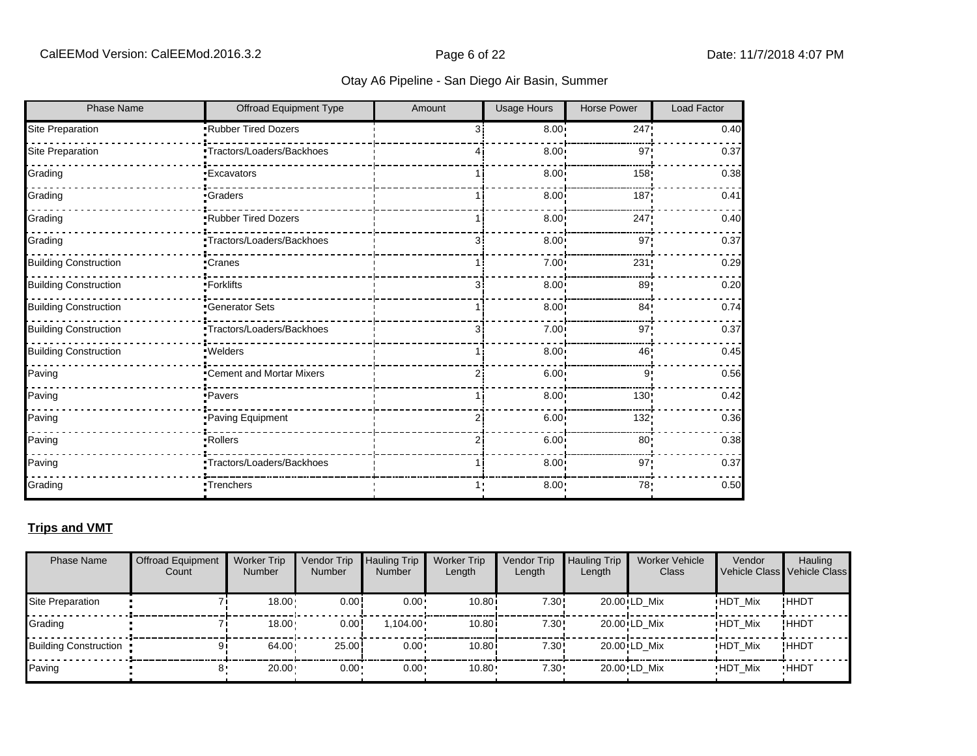| <b>Phase Name</b>            | <b>Offroad Equipment Type</b> | Amount         | <b>Usage Hours</b> | <b>Horse Power</b> | <b>Load Factor</b> |
|------------------------------|-------------------------------|----------------|--------------------|--------------------|--------------------|
| Site Preparation             | .Rubber Tired Dozers          | 31             | 8.00               | 247!               | 0.40               |
| Site Preparation             | •Tractors/Loaders/Backhoes    |                | 8.00               | 97                 | 0.37               |
| Grading                      | <b>Excavators</b>             |                | 8.00 <sub>1</sub>  | 158                | 0.38               |
| Grading                      | <b>Graders</b>                |                | 8.00               | 187                | 0.41               |
| Grading                      | Rubber Tired Dozers           |                | 8.00               | 247                | 0.40               |
| Grading                      | Tractors/Loaders/Backhoes     | 3i             | 8.00               | 97'                | 0.37               |
| <b>Building Construction</b> | •Cranes                       |                | 7.00               | 231                | 0.29               |
| <b>Building Construction</b> | -Forklifts                    | 31             | 8.00               | 89 <sub>1</sub>    | 0.20               |
| <b>Building Construction</b> | <b>Generator Sets</b>         |                | 8.00               | 84 <sub>1</sub>    | 0.74               |
| <b>Building Construction</b> | Tractors/Loaders/Backhoes     | З.             | 7.00               | 97!                | 0.37               |
| <b>Building Construction</b> | · Welders                     |                | 8.00               | 46                 | 0.45               |
| Paving                       | Cement and Mortar Mixers      |                | 6.00 <sup>1</sup>  | 9                  | 0.56               |
| Paving                       | ·Pavers                       |                | 8.00 <sub>1</sub>  | 130                | 0.42               |
| Paving                       | Paving Equipment              | $\overline{2}$ | 6.00               | 132                | 0.36               |
| Paving                       | Rollers                       | 2i             | 6.00               | 80 <sub>1</sub>    | 0.38               |
| Paving                       | *Tractors/Loaders/Backhoes    |                | 8.00               | 97                 | 0.37               |
| Grading                      | Trenchers <sup>-</sup>        |                | $8.00 -$           | 78:                | 0.50               |

#### **Trips and VMT**

| <b>Phase Name</b>            | <b>Offroad Equipment</b><br>Count | <b>Worker Trip</b><br><b>Number</b> | Vendor Trip<br><b>Number</b> | <b>Hauling Trip</b><br><b>Number</b> | <b>Worker Trip</b><br>Length | Vendor Trip<br>Length | <b>Hauling Trip</b><br>Length | <b>Worker Vehicle</b><br>Class | Vendor         | Hauling<br>Vehicle Class Vehicle Class |
|------------------------------|-----------------------------------|-------------------------------------|------------------------------|--------------------------------------|------------------------------|-----------------------|-------------------------------|--------------------------------|----------------|----------------------------------------|
| Site Preparation             |                                   | 18.00                               | 0.00!                        | $0.00 \cdot$                         | 10.80                        | 7.30!                 |                               | 20.00 LD Mix                   | <b>HDT Mix</b> | !ННDТ                                  |
| Grading                      |                                   | 18.00                               | 0.00!                        | $1.104.00 \cdot$                     | 10.80i                       | 7.30!                 |                               | 20.00 LD Mix                   | <b>HDT Mix</b> | ! ННDТ                                 |
| <b>Building Construction</b> |                                   | 64.00                               | 25.00                        | $0.00 \cdot$                         | 10.80i                       | 7.30!                 |                               | 20.00 LD Mix                   | <b>HDT Mix</b> | !HHDT                                  |
| Paving                       |                                   | $20.00 \cdot$                       | $0.00 -$                     | $0.00 \cdot$                         | $10.80 -$                    | $7.30 -$              |                               | 20.00 LD Mix                   | <b>HDT Mix</b> | <b>HHDT</b>                            |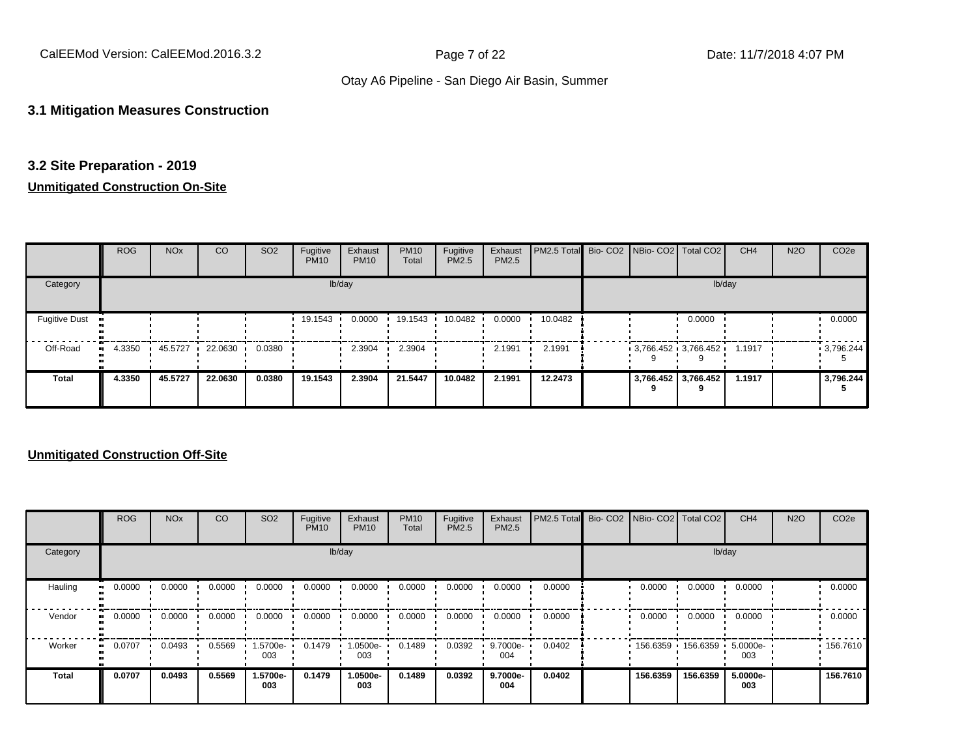CalEEMod Version: CalEEMod.2016.3.2 Page 7 of 22 Date: 11/7/2018 4:07 PM

### Otay A6 Pipeline - San Diego Air Basin, Summer

#### **3.1 Mitigation Measures Construction**

#### **3.2 Site Preparation - 2019**

#### **Unmitigated Construction On-Site**

|                      | <b>ROG</b>   | <b>NO<sub>x</sub></b> | CO      | SO <sub>2</sub> | Fugitive<br><b>PM10</b> | Exhaust<br><b>PM10</b> | <b>PM10</b><br>Total | Fugitive<br>PM2.5 | Exhaust<br><b>PM2.5</b> | PM2.5 Total Bio- CO2 NBio- CO2 Total CO2 |  |                                          | CH <sub>4</sub> | <b>N2O</b> | CO <sub>2e</sub> |
|----------------------|--------------|-----------------------|---------|-----------------|-------------------------|------------------------|----------------------|-------------------|-------------------------|------------------------------------------|--|------------------------------------------|-----------------|------------|------------------|
| Category             |              |                       |         |                 |                         | lb/day                 |                      |                   |                         |                                          |  | lb/day                                   |                 |            |                  |
| <b>Fugitive Dust</b> |              |                       |         |                 | 19.1543                 | 0.0000                 | 19.1543              | 10.0482           | 0.0000                  | 10.0482                                  |  | 0.0000                                   |                 |            | 0.0000           |
| Off-Road             | 4.3350<br>ш. | 45.5727               | 22.0630 | 0.0380          |                         | 2.3904                 | 2.3904               |                   | 2.1991                  | 2.1991                                   |  | $3,766.452 \cdot 3,766.452 \cdot 1.1917$ |                 |            | 3,796.244        |
| <b>Total</b>         | 4.3350       | 45.5727               | 22.0630 | 0.0380          | 19.1543                 | 2.3904                 | 21.5447              | 10.0482           | 2.1991                  | 12.2473                                  |  | 3,766.452 3,766.452                      | 1.1917          |            | 3,796.244        |

|              | <b>ROG</b> | <b>NO<sub>x</sub></b> | CO     | SO <sub>2</sub> | Fugitive<br><b>PM10</b> | Exhaust<br><b>PM10</b> | <b>PM10</b><br>Total | Fugitive<br>PM2.5 | Exhaust<br><b>PM2.5</b> | PM2.5 Total Bio- CO2 NBio- CO2 Total CO2 |          |                     | CH <sub>4</sub> | <b>N2O</b> | CO <sub>2e</sub> |
|--------------|------------|-----------------------|--------|-----------------|-------------------------|------------------------|----------------------|-------------------|-------------------------|------------------------------------------|----------|---------------------|-----------------|------------|------------------|
| Category     |            |                       |        |                 |                         | lb/day                 |                      |                   |                         |                                          |          |                     | lb/day          |            |                  |
| Hauling      | 0.0000     | 0.0000                | 0.0000 | 0.0000          | 0.0000                  | 0.0000                 | 0.0000               | 0.0000            | 0.0000                  | 0.0000                                   | 0.0000   | 0.0000              | 0.0000          |            | 0.0000           |
| Vendor       | $-0.0000$  | 0.0000                | 0.0000 | 0.0000          | 0.0000                  | 0.0000                 | 0.0000               | 0.0000            | 0.0000                  | 0.0000                                   | 0.0000   | 0.0000              | 0.0000          |            | 0.0000           |
| Worker       | 0.0707     | 0.0493                | 0.5569 | 1.5700e-<br>003 | 0.1479                  | 1.0500e-<br>003        | 0.1489               | 0.0392            | 9.7000e-<br>004         | 0.0402                                   |          | 156.6359 156.6359 · | 5.0000e-<br>003 |            | .156.7610        |
| <b>Total</b> | 0.0707     | 0.0493                | 0.5569 | 1.5700e-<br>003 | 0.1479                  | 1.0500e-<br>003        | 0.1489               | 0.0392            | 9.7000e-<br>004         | 0.0402                                   | 156.6359 | 156.6359            | 5.0000e-<br>003 |            | 156.7610         |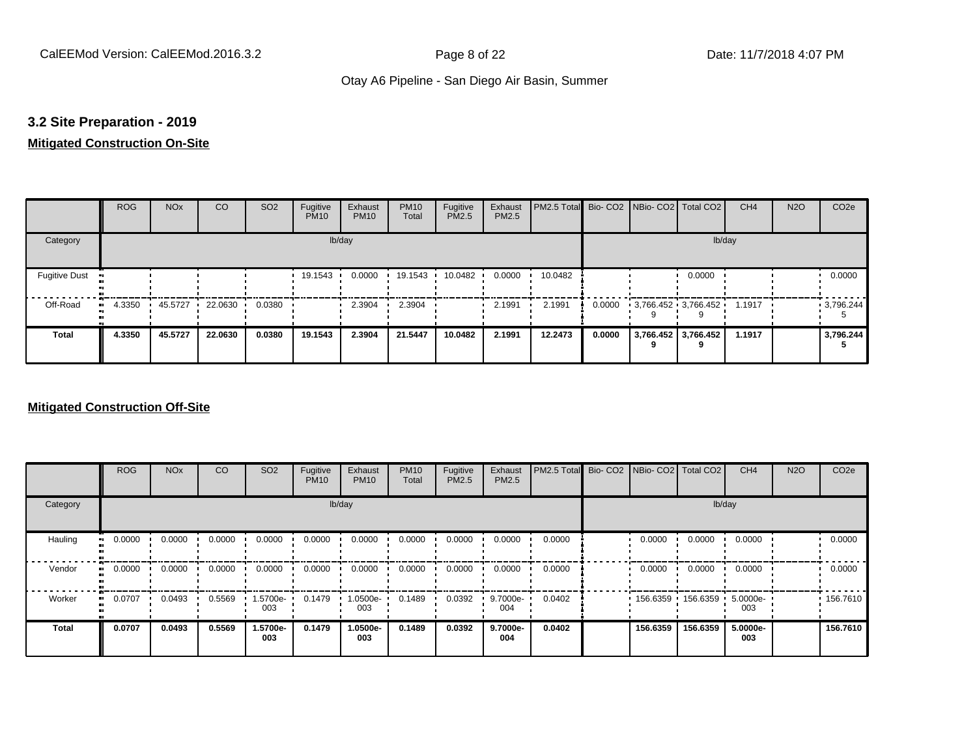#### **3.2 Site Preparation - 2019**

#### **Mitigated Construction On-Site**

|                                   | <b>ROG</b> | <b>NO<sub>x</sub></b> | CO        | SO <sub>2</sub> | Fugitive<br><b>PM10</b> | Exhaust<br><b>PM10</b> | <b>PM10</b><br>Total | Fugitive<br>PM2.5 | Exhaust<br>PM2.5 | PM2.5 Total Bio- CO2 NBio- CO2 Total CO2 |        |                     |                          | CH <sub>4</sub> | <b>N2O</b> | CO <sub>2e</sub> |
|-----------------------------------|------------|-----------------------|-----------|-----------------|-------------------------|------------------------|----------------------|-------------------|------------------|------------------------------------------|--------|---------------------|--------------------------|-----------------|------------|------------------|
| Category                          |            |                       |           |                 |                         | lb/day                 |                      |                   |                  |                                          |        |                     | lb/day                   |                 |            |                  |
| <b>Fugitive Dust</b><br>$\bullet$ |            |                       |           |                 | 19.1543                 | 0.0000                 | 19.1543              | 10.0482           | 0.0000           | 10.0482                                  |        |                     | 0.0000                   |                 |            | 0.0000           |
| Off-Road<br>$\bullet$             | 4.3350     | 45.5727 ·             | 22.0630 · | 0.0380          |                         | 2.3904                 | 2.3904               |                   | 2.1991           | 2.1991                                   | 0.0000 | 3,766.452 3,766.452 |                          | 1.1917          |            | 9,796.244        |
| <b>Total</b>                      | 4.3350     | 45.5727               | 22.0630   | 0.0380          | 19.1543                 | 2.3904                 | 21.5447              | 10.0482           | 2.1991           | 12.2473                                  | 0.0000 |                     | 3,766.452 3,766.452<br>a | 1.1917          |            | 3,796.244        |

|                        | <b>ROG</b>               | <b>NO<sub>x</sub></b> | CO     | SO <sub>2</sub> | Fugitive<br><b>PM10</b> | Exhaust<br><b>PM10</b> | <b>PM10</b><br>Total | Fugitive<br><b>PM2.5</b> | Exhaust<br>PM2.5 | PM2.5 Total Bio- CO2 NBio- CO2 Total CO2 |          |                     | CH <sub>4</sub> | <b>N2O</b> | CO <sub>2e</sub> |
|------------------------|--------------------------|-----------------------|--------|-----------------|-------------------------|------------------------|----------------------|--------------------------|------------------|------------------------------------------|----------|---------------------|-----------------|------------|------------------|
| Category               |                          |                       |        |                 |                         | lb/day                 |                      |                          |                  |                                          |          | lb/day              |                 |            |                  |
| Hauling                | 0.0000<br>$\blacksquare$ | 0.0000                | 0.0000 | 0.0000          | 0.0000                  | 0.0000                 | 0.0000               | 0.0000                   | 0.0000           | 0.0000                                   | 0.0000   | 0.0000              | 0.0000          |            | 0.0000           |
| Vendor<br>$\mathbf{u}$ | 0.0000                   | 0.0000                | 0.0000 | 0.0000          | 0.0000                  | 0.0000                 | 0.0000               | 0.0000                   | 0.0000           | 0.0000                                   | 0.0000   | 0.0000              | 0.0000          |            | 0.0000           |
| Worker<br>$\bullet$    | 0.0707                   | 0.0493                | 0.5569 | 1.5700e-<br>003 | 0.1479                  | 1.0500e-<br>003        | 0.1489               | 0.0392                   | 9.7000e-<br>004  | 0.0402                                   |          | 156.6359 156.6359 1 | 5.0000e-<br>003 |            | .156.7610        |
| <b>Total</b>           | 0.0707                   | 0.0493                | 0.5569 | 1.5700e-<br>003 | 0.1479                  | 1.0500e-<br>003        | 0.1489               | 0.0392                   | 9.7000e-<br>004  | 0.0402                                   | 156.6359 | 156.6359            | 5.0000e-<br>003 |            | 156.7610         |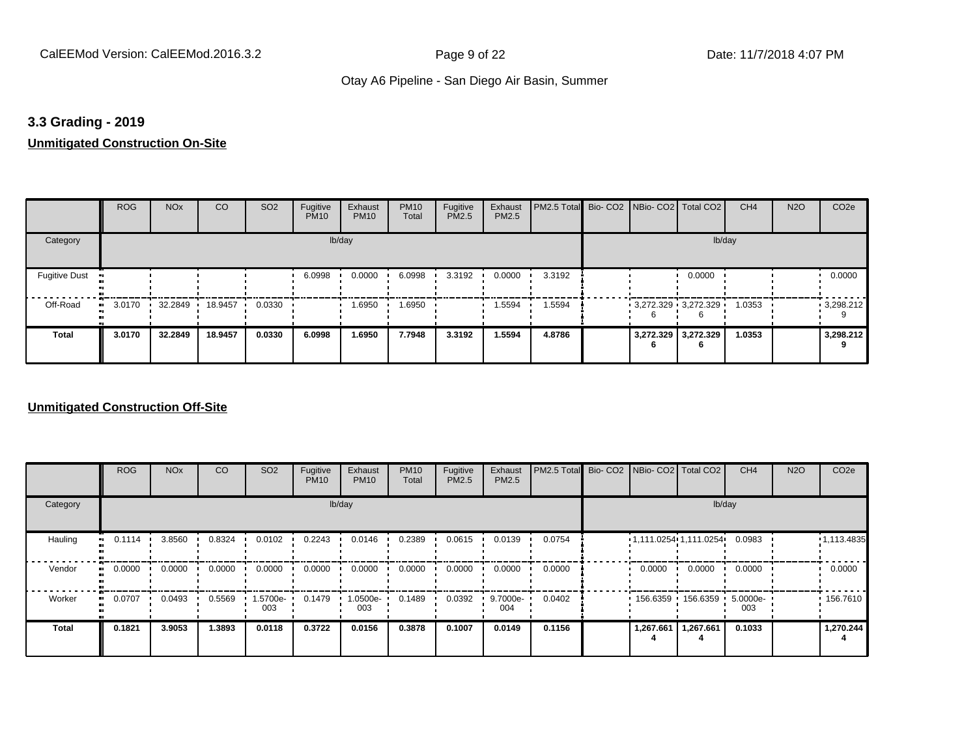#### **3.3 Grading - 2019**

# **Unmitigated Construction On-Site**

|                                        | <b>ROG</b>          | <b>NO<sub>x</sub></b> | CO      | SO <sub>2</sub> | Fugitive<br><b>PM10</b> | Exhaust<br><b>PM10</b> | <b>PM10</b><br>Total | Fugitive<br>PM2.5 | Exhaust<br>PM2.5 | PM2.5 Total Bio- CO2 NBio- CO2 Total CO2 |                         |                          | CH <sub>4</sub> | <b>N2O</b> | CO <sub>2e</sub> |
|----------------------------------------|---------------------|-----------------------|---------|-----------------|-------------------------|------------------------|----------------------|-------------------|------------------|------------------------------------------|-------------------------|--------------------------|-----------------|------------|------------------|
| Category                               |                     |                       |         |                 |                         | lb/day                 |                      |                   |                  |                                          |                         | lb/day                   |                 |            |                  |
| <b>Fugitive Dust</b><br>$\blacksquare$ |                     |                       |         |                 | 6.0998                  | 0.0000                 | 6.0998               | 3.3192            | 0.0000           | 3.3192                                   |                         | 0.0000                   |                 |            | 0.0000           |
| Off-Road                               | 3.0170<br>$\bullet$ | 32.2849               | 18.9457 | 0.0330          |                         | 1.6950                 | 1.6950               |                   | 1.5594           | 1.5594                                   | $3,272.329$ $3,272.329$ |                          | 1.0353          |            | 9,298.212        |
| <b>Total</b>                           | 3.0170              | 32.2849               | 18.9457 | 0.0330          | 6.0998                  | 1.6950                 | 7.7948               | 3.3192            | 1.5594           | 4.8786                                   |                         | 3,272.329 3,272.329<br>6 | 1.0353          |            | 3,298.212        |

|                      | <b>ROG</b> | <b>NO<sub>x</sub></b> | CO     | SO <sub>2</sub> | Fugitive<br><b>PM10</b> | Exhaust<br><b>PM10</b> | <b>PM10</b><br>Total | Fugitive<br><b>PM2.5</b> | Exhaust<br>PM2.5 | PM2.5 Total | Bio- CO2   NBio- CO2   Total CO2 |           | CH <sub>4</sub> | <b>N2O</b> | CO <sub>2e</sub> |
|----------------------|------------|-----------------------|--------|-----------------|-------------------------|------------------------|----------------------|--------------------------|------------------|-------------|----------------------------------|-----------|-----------------|------------|------------------|
| Category             |            |                       |        |                 |                         | lb/day                 |                      |                          |                  |             |                                  | lb/day    |                 |            |                  |
| Hauling<br>$\bullet$ | 0.1114     | 3.8560                | 0.8324 | 0.0102          | 0.2243                  | 0.0146                 | 0.2389               | 0.0615                   | 0.0139           | 0.0754      | 1,111.0254 1,111.0254            |           | 0.0983          |            | •1,113.4835      |
| Vendor<br>$\bullet$  | 0.0000     | 0.0000                | 0.0000 | 0.0000          | 0.0000                  | 0.0000                 | 0.0000               | 0.0000                   | 0.0000           | 0.0000      | 0.0000                           | 0.0000    | 0.0000          |            | 0.0000           |
| Worker<br>$\bullet$  | 0.0707     | 0.0493                | 0.5569 | 1.5700e-<br>003 | 0.1479                  | $1.0500e-$<br>003      | 0.1489               | 0.0392                   | 9.7000e-<br>004  | 0.0402      | 156.6359                         | 156.6359  | 5.0000e-<br>003 |            | .156.7610        |
| <b>Total</b>         | 0.1821     | 3.9053                | 1.3893 | 0.0118          | 0.3722                  | 0.0156                 | 0.3878               | 0.1007                   | 0.0149           | 0.1156      | 1,267.661                        | 1,267.661 | 0.1033          |            | 1,270.244        |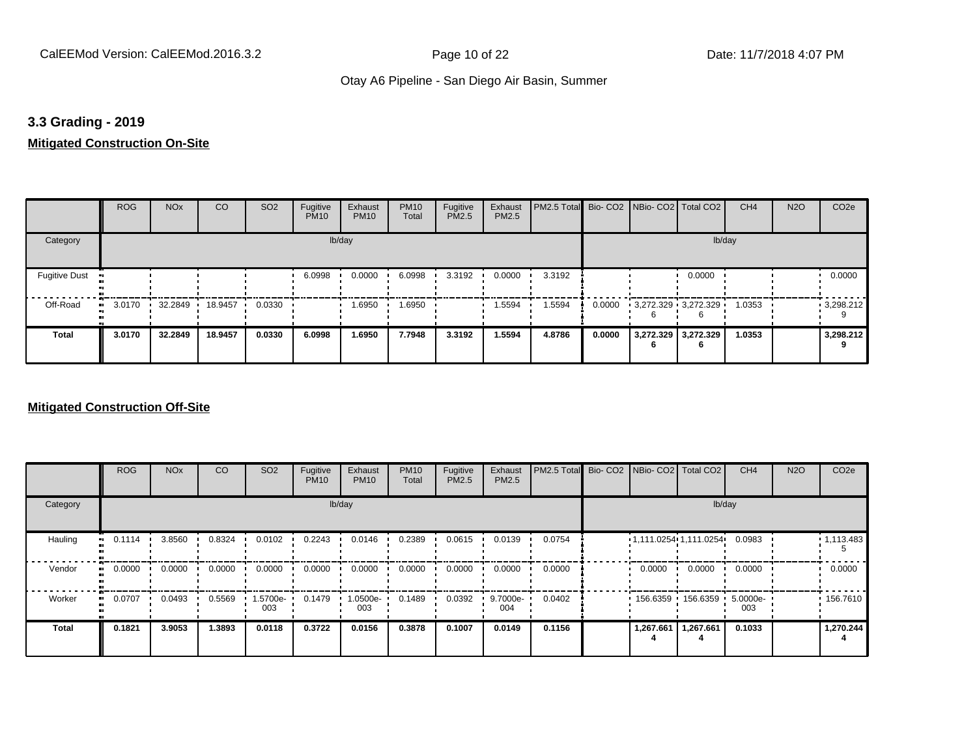#### **3.3 Grading - 2019**

#### **Mitigated Construction On-Site**

|                      | <b>ROG</b> | <b>NO<sub>x</sub></b> | CO      | SO <sub>2</sub> | Fugitive<br><b>PM10</b> | Exhaust<br><b>PM10</b> | <b>PM10</b><br>Total | Fugitive<br>PM2.5 | Exhaust<br>PM2.5 | PM2.5 Total Bio- CO2 NBio- CO2 Total CO2 |        |   |                          | CH <sub>4</sub> | <b>N2O</b> | CO <sub>2e</sub> |
|----------------------|------------|-----------------------|---------|-----------------|-------------------------|------------------------|----------------------|-------------------|------------------|------------------------------------------|--------|---|--------------------------|-----------------|------------|------------------|
| Category             |            |                       |         |                 |                         | lb/day                 |                      |                   |                  |                                          |        |   | lb/day                   |                 |            |                  |
| <b>Fugitive Dust</b> |            |                       |         |                 | 6.0998                  | 0.0000                 | 6.0998               | 3.3192            | 0.0000           | 3.3192                                   |        |   | 0.0000                   |                 |            | 0.0000           |
| Off-Road             | 3.0170     | 32.2849               | 18.9457 | 0.0330          |                         | 1.6950                 | 1.6950               |                   | 1.5594           | 1.5594                                   | 0.0000 |   | $3,272.329$ $3,272.329$  | 1.0353          |            | 93.298.212       |
| <b>Total</b>         | 3.0170     | 32.2849               | 18.9457 | 0.0330          | 6.0998                  | 1.6950                 | 7.7948               | 3.3192            | 1.5594           | 4.8786                                   | 0.0000 | n | 3,272.329 3,272.329<br>6 | 1.0353          |            | 3,298.212        |

|                     | <b>ROG</b>   | <b>NO<sub>x</sub></b> | CO     | SO <sub>2</sub> | Fugitive<br><b>PM10</b> | Exhaust<br><b>PM10</b> | <b>PM10</b><br>Total | Fugitive<br><b>PM2.5</b> | Exhaust<br>PM2.5 | PM2.5 Total Bio- CO2 NBio- CO2 Total CO2 |                         |                     | CH <sub>4</sub> | <b>N2O</b> | CO <sub>2e</sub> |
|---------------------|--------------|-----------------------|--------|-----------------|-------------------------|------------------------|----------------------|--------------------------|------------------|------------------------------------------|-------------------------|---------------------|-----------------|------------|------------------|
| Category            |              |                       |        |                 |                         | lb/day                 |                      |                          |                  |                                          |                         | lb/day              |                 |            |                  |
| Hauling             | 0.1114<br>ш. | 3.8560                | 0.8324 | 0.0102          | 0.2243                  | 0.0146                 | 0.2389               | 0.0615                   | 0.0139           | 0.0754                                   | $1,111.0254$ 1,111.0254 |                     | 0.0983          |            | 1,113.483        |
| Vendor<br>$\bullet$ | 0.0000       | 0.0000                | 0.0000 | 0.0000          | 0.0000                  | 0.0000                 | 0.0000               | 0.0000                   | 0.0000           | 0.0000                                   | 0.0000                  | 0.0000              | 0.0000          |            | 0.0000           |
| Worker<br>$\bullet$ | 0.0707       | 0.0493                | 0.5569 | 1.5700e-<br>003 | 0.1479                  | 1.0500e-<br>003        | 0.1489               | 0.0392                   | 9.7000e-<br>004  | 0.0402                                   |                         | 156.6359 156.6359 ' | 5.0000e-<br>003 |            | 156.7610         |
| <b>Total</b>        | 0.1821       | 3.9053                | 1.3893 | 0.0118          | 0.3722                  | 0.0156                 | 0.3878               | 0.1007                   | 0.0149           | 0.1156                                   | 1,267.661               | 1,267.661           | 0.1033          |            | 1,270.244        |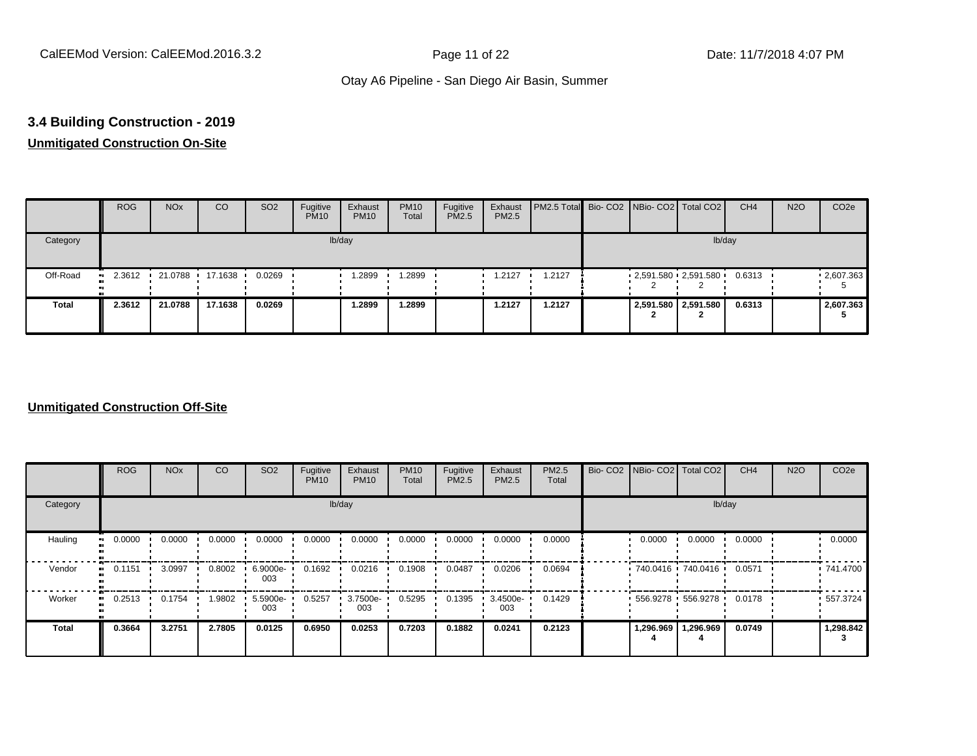# **3.4 Building Construction - 2019**

# **Unmitigated Construction On-Site**

|          | <b>ROG</b> | <b>NO<sub>x</sub></b> | CO              | SO <sub>2</sub> | Fugitive<br><b>PM10</b> | Exhaust<br><b>PM10</b> | <b>PM10</b><br>Total | Fugitive<br><b>PM2.5</b> | Exhaust<br>PM2.5 | PM2.5 Total Bio- CO2 NBio- CO2 Total CO2 |  |                         | CH <sub>4</sub> | <b>N2O</b> | CO <sub>2e</sub> |
|----------|------------|-----------------------|-----------------|-----------------|-------------------------|------------------------|----------------------|--------------------------|------------------|------------------------------------------|--|-------------------------|-----------------|------------|------------------|
| Category |            |                       |                 |                 |                         | lb/day                 |                      |                          |                  |                                          |  | lb/day                  |                 |            |                  |
| Off-Road | 2.3612     |                       | 21.0788 17.1638 | 0.0269          |                         | .2899                  | .2899                |                          | 1.2127           | 1.2127                                   |  | $2,591.580$ $2,591.580$ | 0.6313          |            | .2607.363        |
| Total    | 2.3612     | 21.0788               | 17.1638         | 0.0269          |                         | 1.2899                 | 1.2899               |                          | 1.2127           | 1.2127                                   |  | 2,591.580 2,591.580     | 0.6313          |            | 2,607.363        |

|                      | <b>ROG</b> | <b>NO<sub>x</sub></b> | CO     | SO <sub>2</sub> | Fugitive<br><b>PM10</b> | Exhaust<br><b>PM10</b> | <b>PM10</b><br>Total | Fugitive<br><b>PM2.5</b> | Exhaust<br>PM2.5 | <b>PM2.5</b><br>Total |           | Bio- CO2   NBio- CO2   Total CO2 | CH <sub>4</sub> | <b>N2O</b> | CO <sub>2e</sub> |
|----------------------|------------|-----------------------|--------|-----------------|-------------------------|------------------------|----------------------|--------------------------|------------------|-----------------------|-----------|----------------------------------|-----------------|------------|------------------|
| Category             |            |                       |        |                 |                         | lb/day                 |                      |                          |                  |                       |           | lb/day                           |                 |            |                  |
| Hauling<br>$\bullet$ | 0.0000     | 0.0000                | 0.0000 | 0.0000          | 0.0000                  | 0.0000                 | 0.0000               | 0.0000                   | 0.0000           | 0.0000                | 0.0000    | 0.0000                           | 0.0000          |            | 0.0000           |
| Vendor<br>ш.         | 0.1151     | 3.0997                | 0.8002 | 6.9000e-<br>003 | 0.1692                  | 0.0216                 | 0.1908               | 0.0487                   | 0.0206           | 0.0694                |           | 740.0416 740.0416                | 0.0571          |            | .741.4700        |
| Worker<br>$\bullet$  | 0.2513     | 0.1754                | .9802  | 5.5900e-<br>003 | 0.5257                  | 3.7500e-<br>003        | 0.5295               | 0.1395                   | 3.4500e-<br>003  | 0.1429                |           | $556.9278$ 556.9278              | 0.0178          |            | 557.3724         |
| Total                | 0.3664     | 3.2751                | 2.7805 | 0.0125          | 0.6950                  | 0.0253                 | 0.7203               | 0.1882                   | 0.0241           | 0.2123                | 1,296.969 | 1,296.969                        | 0.0749          |            | 1,298.842        |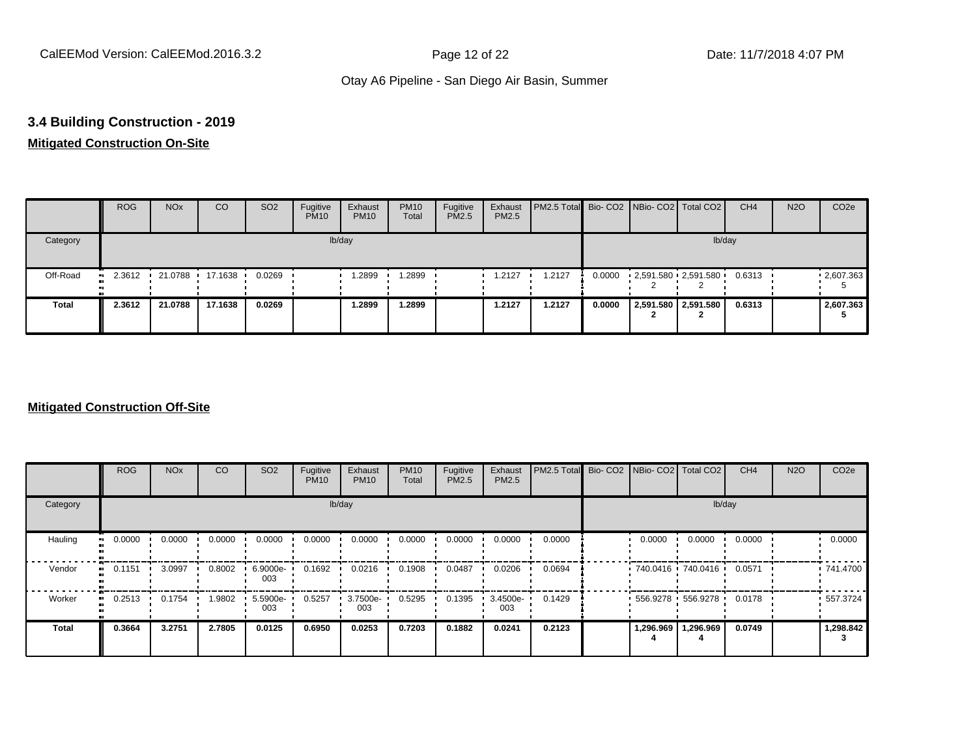# **3.4 Building Construction - 2019**

# **Mitigated Construction On-Site**

|              | <b>ROG</b>          | <b>NO<sub>x</sub></b> | CO      | SO <sub>2</sub> | Fugitive<br><b>PM10</b> | Exhaust<br><b>PM10</b> | <b>PM10</b><br>Total | Fugitive<br>PM2.5 | Exhaust<br>PM2.5 | <b>PM2.5 Total</b> Bio- CO2 NBio- CO2 Total CO2 |        |                                                 | CH <sub>4</sub> | <b>N2O</b> | CO <sub>2</sub> e |
|--------------|---------------------|-----------------------|---------|-----------------|-------------------------|------------------------|----------------------|-------------------|------------------|-------------------------------------------------|--------|-------------------------------------------------|-----------------|------------|-------------------|
| Category     |                     |                       |         |                 |                         | lb/day                 |                      |                   |                  |                                                 |        | lb/day                                          |                 |            |                   |
| Off-Road     | 2.3612<br>$\bullet$ | 21.0788               | 17.1638 | 0.0269          |                         | 1.2899                 | .2899                |                   | 1.2127           | 1.2127                                          |        | $0.0000$ $2,591.580$ $2,591.580$ $\blacksquare$ | 0.6313          |            | $\cdot$ 2,607.363 |
| <b>Total</b> | 2.3612              | 21.0788               | 17.1638 | 0.0269          |                         | 1.2899                 | 1.2899               |                   | 1.2127           | 1.2127                                          | 0.0000 | 2,591.580 2,591.580<br><u>.</u>                 | 0.6313          |            | 2,607.363         |

|              | <b>ROG</b>          | <b>NO<sub>x</sub></b> | CO     | SO <sub>2</sub> | Fugitive<br><b>PM10</b> | Exhaust<br><b>PM10</b> | <b>PM10</b><br>Total | Fugitive<br><b>PM2.5</b> | Exhaust<br>PM2.5 | PM2.5 Total Bio- CO2 NBio- CO2 Total CO2 |           |                   | CH <sub>4</sub> | <b>N2O</b> | CO <sub>2e</sub> |
|--------------|---------------------|-----------------------|--------|-----------------|-------------------------|------------------------|----------------------|--------------------------|------------------|------------------------------------------|-----------|-------------------|-----------------|------------|------------------|
| Category     |                     |                       |        |                 | lb/day                  |                        |                      |                          |                  |                                          |           | lb/day            |                 |            |                  |
| Hauling      | 0.0000              | 0.0000                | 0.0000 | 0.0000          | 0.0000                  | 0.0000                 | 0.0000               | 0.0000                   | 0.0000           | 0.0000                                   | 0.0000    | 0.0000            | 0.0000          |            | 0.0000           |
| Vendor       | 0.1151<br>ш.        | 3.0997                | 0.8002 | 6.9000e-<br>003 | 0.1692                  | 0.0216                 | 0.1908               | 0.0487                   | 0.0206           | 0.0694                                   |           | 740.0416 740.0416 | 0.0571          |            | 741.4700         |
| Worker       | 0.2513<br>$\bullet$ | 0.1754                | .9802  | 5.5900e-<br>003 | 0.5257                  | 3.7500e-<br>003        | 0.5295               | 0.1395                   | 3.4500e-<br>003  | 0.1429                                   |           | 556.9278 556.9278 | 0.0178          |            | $-557.3724$      |
| <b>Total</b> | 0.3664              | 3.2751                | 2.7805 | 0.0125          | 0.6950                  | 0.0253                 | 0.7203               | 0.1882                   | 0.0241           | 0.2123                                   | 1,296.969 | 1,296.969         | 0.0749          |            | 1,298.842        |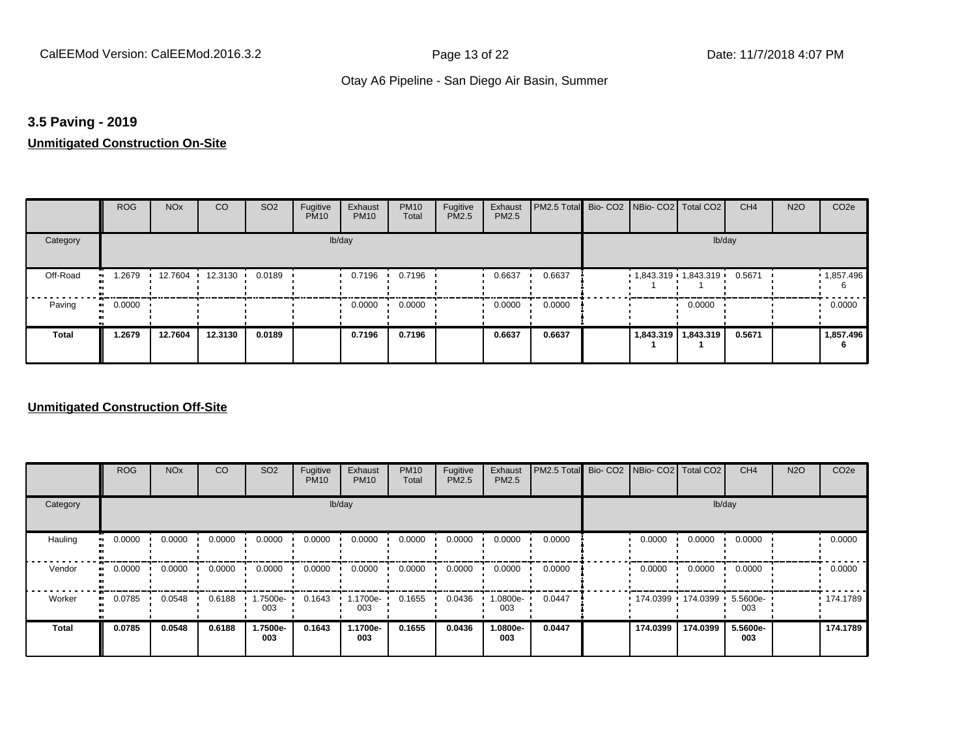## **3.5 Paving - 2019**

# **Unmitigated Construction On-Site**

|                       | <b>ROG</b>          | <b>NO<sub>x</sub></b> | CO                     | SO <sub>2</sub> | Fugitive<br><b>PM10</b> | Exhaust<br><b>PM10</b> | <b>PM10</b><br>Total | Fugitive<br>PM2.5 | Exhaust<br>PM2.5 | <b>PM2.5 Total</b> Bio- CO2 NBio- CO2 Total CO2 |                       |                       | CH <sub>4</sub> | <b>N2O</b> | CO <sub>2</sub> e |
|-----------------------|---------------------|-----------------------|------------------------|-----------------|-------------------------|------------------------|----------------------|-------------------|------------------|-------------------------------------------------|-----------------------|-----------------------|-----------------|------------|-------------------|
| Category              |                     |                       |                        |                 | lb/day                  |                        |                      |                   |                  |                                                 |                       | lb/day                |                 |            |                   |
| Off-Road<br>$\bullet$ | 1.2679              |                       | 12.7604 12.3130 0.0189 |                 |                         | 0.7196                 | 0.7196               |                   | 0.6637           | 0.6637                                          | $1,843.319$ 1,843.319 |                       | 0.5671          |            | 1,857.496<br>6    |
| Paving                | 0.0000<br>$\bullet$ |                       |                        |                 |                         | 0.0000                 | 0.0000               |                   | 0.0000           | 0.0000                                          |                       | 0.0000                |                 |            | 0.0000            |
| <b>Total</b>          | 1.2679              | 12.7604               | 12.3130                | 0.0189          |                         | 0.7196                 | 0.7196               |                   | 0.6637           | 0.6637                                          |                       | 1,843.319   1,843.319 | 0.5671          |            | 1,857.496         |

|          | <b>ROG</b> | <b>NO<sub>x</sub></b> | CO     | SO <sub>2</sub> | Fugitive<br><b>PM10</b> | Exhaust<br><b>PM10</b> | <b>PM10</b><br>Total | Fugitive<br><b>PM2.5</b> | Exhaust<br>PM2.5 | PM2.5 Total Bio- CO2 NBio- CO2 Total CO2 |          |                     | CH <sub>4</sub> | <b>N2O</b> | CO <sub>2e</sub> |
|----------|------------|-----------------------|--------|-----------------|-------------------------|------------------------|----------------------|--------------------------|------------------|------------------------------------------|----------|---------------------|-----------------|------------|------------------|
| Category |            |                       |        |                 |                         | lb/day                 |                      |                          |                  |                                          |          |                     | lb/day          |            |                  |
| Hauling  | 0.0000     | 0.0000                | 0.0000 | 0.0000          | 0.0000                  | 0.0000                 | 0.0000               | 0.0000                   | 0.0000           | 0.0000                                   | 0.0000   | 0.0000              | 0.0000          |            | 0.0000           |
| Vendor   | 0.0000     | 0.0000                | 0.0000 | 0.0000          | 0.0000                  | 0.0000                 | 0.0000               | 0.0000                   | 0.0000           | 0.0000                                   | 0.0000   | 0.0000              | 0.0000          |            | 0.0000           |
| Worker   | 0.0785     | 0.0548                | 0.6188 | 1.7500e-<br>003 | 0.1643                  | 1.1700e-<br>003        | 0.1655               | 0.0436                   | -0800e-<br>003   | 0.0447                                   |          | 174.0399 174.0399 1 | 5.5600e-<br>003 |            | .174.1789        |
| Total    | 0.0785     | 0.0548                | 0.6188 | 1.7500e-<br>003 | 0.1643                  | 1.1700e-<br>003        | 0.1655               | 0.0436                   | 1.0800e-<br>003  | 0.0447                                   | 174.0399 | 174.0399            | 5.5600e-<br>003 |            | 174.1789         |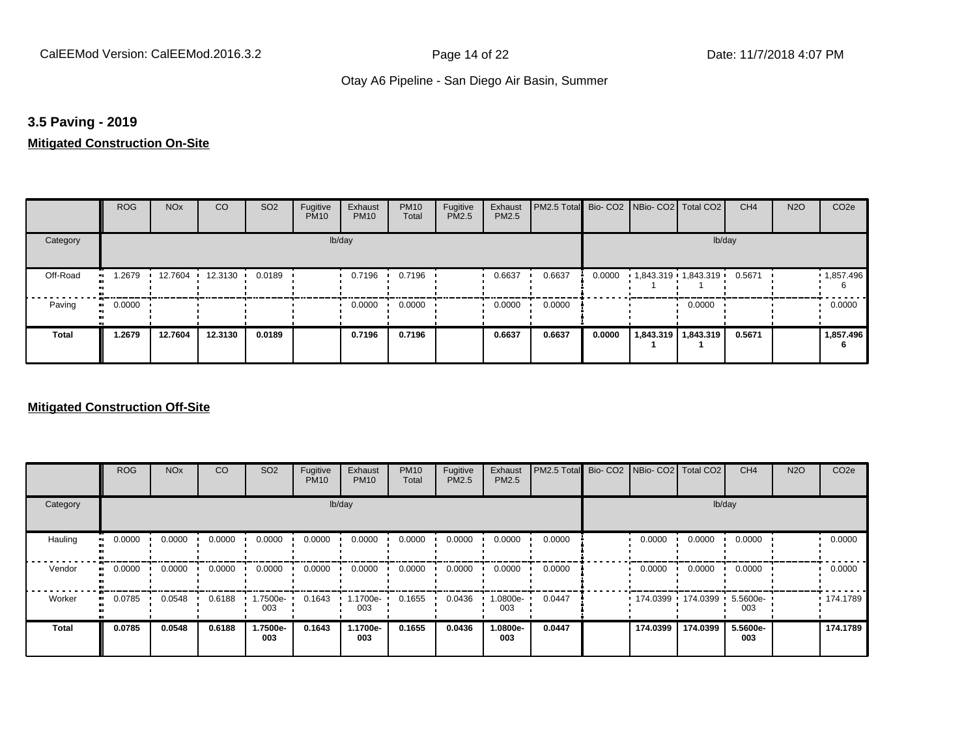## **3.5 Paving - 2019**

## **Mitigated Construction On-Site**

|                | <b>ROG</b>   | <b>NO<sub>x</sub></b> | <b>CO</b>         | SO <sub>2</sub> | Fugitive<br><b>PM10</b> | Exhaust<br><b>PM10</b> | <b>PM10</b><br>Total | Fugitive<br>PM2.5 | Exhaust<br>PM2.5 | PM2.5 Total Bio- CO2 NBio- CO2 Total CO2 |        |                     |                       | CH <sub>4</sub> | <b>N2O</b> | CO <sub>2e</sub>  |
|----------------|--------------|-----------------------|-------------------|-----------------|-------------------------|------------------------|----------------------|-------------------|------------------|------------------------------------------|--------|---------------------|-----------------------|-----------------|------------|-------------------|
| Category       |              |                       |                   |                 |                         | lb/day                 |                      |                   |                  |                                          |        |                     | lb/day                |                 |            |                   |
| Off-Road<br>ш, | 1.2679       |                       | 12.7604 12.3130 1 | 0.0189          |                         | 0.7196                 | 0.7196               |                   | 0.6637           | 0.6637                                   | 0.0000 | 1,843.319 1,843.319 |                       | 0.5671          |            | $\cdot$ 1,857.496 |
| Paving         | 0.0000<br>ш. |                       |                   |                 |                         | 0.0000                 | 0.0000               |                   | 0.0000           | 0.0000                                   |        |                     | 0.0000                |                 |            | 0.0000            |
| <b>Total</b>   | 1.2679       | 12.7604               | 12.3130           | 0.0189          |                         | 0.7196                 | 0.7196               |                   | 0.6637           | 0.6637                                   | 0.0000 |                     | 1,843.319   1,843.319 | 0.5671          |            | 1,857.496         |

|                           | <b>ROG</b> | <b>NO<sub>x</sub></b> | CO     | SO <sub>2</sub> | Fugitive<br><b>PM10</b> | Exhaust<br><b>PM10</b> | <b>PM10</b><br>Total | Fugitive<br><b>PM2.5</b> | Exhaust<br>PM2.5 | PM2.5 Total | Bio- CO2   NBio- CO2   Total CO2 |          | CH <sub>4</sub> | <b>N2O</b> | CO <sub>2e</sub> |
|---------------------------|------------|-----------------------|--------|-----------------|-------------------------|------------------------|----------------------|--------------------------|------------------|-------------|----------------------------------|----------|-----------------|------------|------------------|
| Category                  |            |                       |        |                 | lb/day                  |                        |                      |                          |                  |             |                                  | lb/day   |                 |            |                  |
| Hauling<br>$\blacksquare$ | 0.0000     | 0.0000                | 0.0000 | 0.0000          | 0.0000                  | 0.0000                 | 0.0000               | 0.0000                   | 0.0000           | 0.0000      | 0.0000                           | 0.0000   | 0.0000          |            | 0.0000           |
| Vendor<br>$\bullet$       | 0.0000     | 0.0000                | 0.0000 | 0.0000          | 0.0000                  | 0.0000                 | 0.0000               | 0.0000                   | 0.0000           | 0.0000      | 0.0000                           | 0.0000   | 0.0000          |            | 0.0000           |
| Worker<br>$\bullet$       | 0.0785     | 0.0548                | 0.6188 | .7500e-<br>003  | 0.1643                  | 1.1700e-<br>003        | 0.1655               | 0.0436                   | .0800e-<br>003   | 0.0447      | $174.0399$ 174.0399              |          | 5.5600e-<br>003 |            | .174.1789        |
| <b>Total</b>              | 0.0785     | 0.0548                | 0.6188 | 1.7500e-<br>003 | 0.1643                  | 1.1700e-<br>003        | 0.1655               | 0.0436                   | .0800e-<br>003   | 0.0447      | 174.0399                         | 174.0399 | 5.5600e-<br>003 |            | 174.1789         |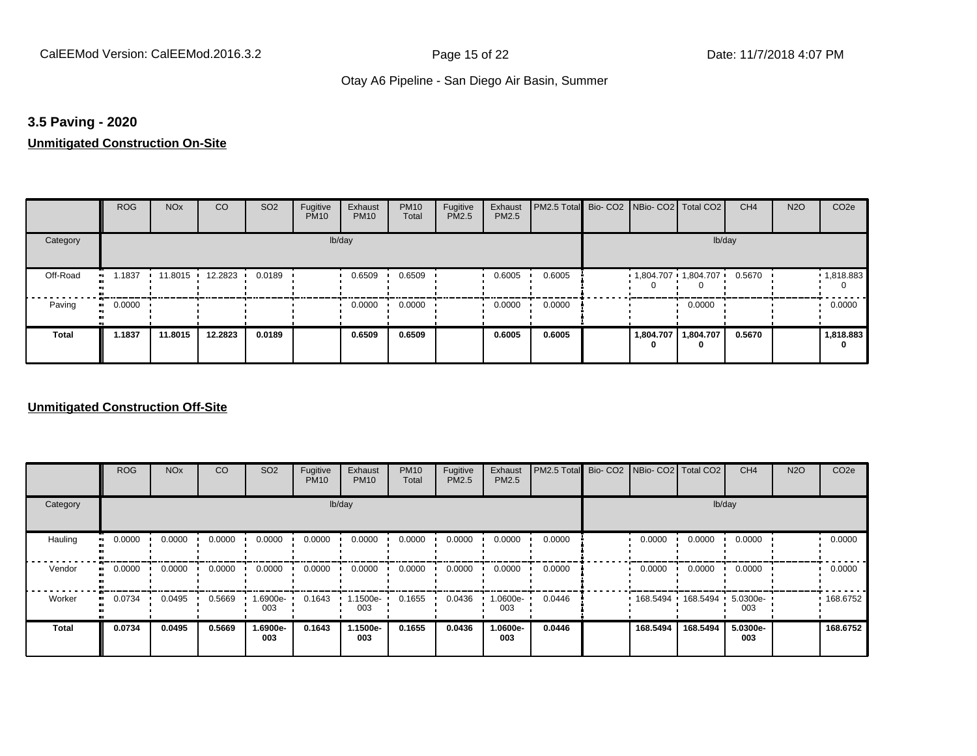## **3.5 Paving - 2020**

# **Unmitigated Construction On-Site**

|                       | <b>ROG</b>          | <b>NO<sub>x</sub></b> | CO                     | SO <sub>2</sub> | Fugitive<br><b>PM10</b> | Exhaust<br><b>PM10</b> | <b>PM10</b><br>Total | Fugitive<br>PM2.5 | Exhaust<br>PM2.5 | <b>PM2.5 Total</b> Bio- CO2 NBio- CO2 Total CO2 |                       |                | CH <sub>4</sub> | <b>N2O</b> | CO <sub>2e</sub>  |
|-----------------------|---------------------|-----------------------|------------------------|-----------------|-------------------------|------------------------|----------------------|-------------------|------------------|-------------------------------------------------|-----------------------|----------------|-----------------|------------|-------------------|
| Category              |                     |                       |                        |                 | lb/day                  |                        |                      |                   |                  |                                                 |                       | lb/day         |                 |            |                   |
| Off-Road<br>$\bullet$ | 1.1837              |                       | 11.8015 12.2823 0.0189 |                 |                         | 0.6509                 | 0.6509               |                   | 0.6005           | 0.6005                                          | $1,804.707$ 1,804.707 |                | 0.5670          |            | $\cdot$ 1,818.883 |
| Paving                | 0.0000<br>$\bullet$ |                       |                        |                 |                         | 0.0000                 | 0.0000               |                   | 0.0000           | 0.0000                                          |                       | 0.0000         |                 |            | 0.0000            |
| <b>Total</b>          | 1.1837              | 11.8015               | 12.2823                | 0.0189          |                         | 0.6509                 | 0.6509               |                   | 0.6005           | 0.6005                                          | 1,804.707<br>0        | 1,804.707<br>0 | 0.5670          |            | 1,818.883<br>0    |

|                        | <b>ROG</b>               | <b>NO<sub>x</sub></b> | CO     | SO <sub>2</sub> | Fugitive<br><b>PM10</b> | Exhaust<br><b>PM10</b> | <b>PM10</b><br>Total | Fugitive<br><b>PM2.5</b> | Exhaust<br>PM2.5 | PM2.5 Total Bio- CO2 NBio- CO2 Total CO2 |          |                     | CH <sub>4</sub> | <b>N2O</b> | CO <sub>2e</sub> |
|------------------------|--------------------------|-----------------------|--------|-----------------|-------------------------|------------------------|----------------------|--------------------------|------------------|------------------------------------------|----------|---------------------|-----------------|------------|------------------|
| Category               |                          |                       |        |                 |                         | lb/day                 |                      |                          |                  |                                          |          | lb/day              |                 |            |                  |
| Hauling                | 0.0000<br>$\blacksquare$ | 0.0000                | 0.0000 | 0.0000          | 0.0000                  | 0.0000                 | 0.0000               | 0.0000                   | 0.0000           | 0.0000                                   | 0.0000   | 0.0000              | 0.0000          |            | 0.0000           |
| Vendor<br>$\mathbf{u}$ | 0.0000                   | 0.0000                | 0.0000 | 0.0000          | 0.0000                  | 0.0000                 | 0.0000               | 0.0000                   | 0.0000           | 0.0000                                   | 0.0000   | 0.0000              | 0.0000          |            | 0.0000           |
| Worker                 | 0.0734<br>$\bullet$      | 0.0495                | 0.5669 | -900e- I<br>003 | 0.1643                  | .1500e-<br>003         | 0.1655               | 0.0436                   | -0600e.<br>003   | 0.0446                                   |          | 168.5494 168.5494 1 | 5.0300e-<br>003 |            | 168.6752         |
| <b>Total</b>           | 0.0734                   | 0.0495                | 0.5669 | 1.6900e-<br>003 | 0.1643                  | 1.1500e-<br>003        | 0.1655               | 0.0436                   | -.0600e<br>003   | 0.0446                                   | 168.5494 | 168.5494            | 5.0300e-<br>003 |            | 168.6752         |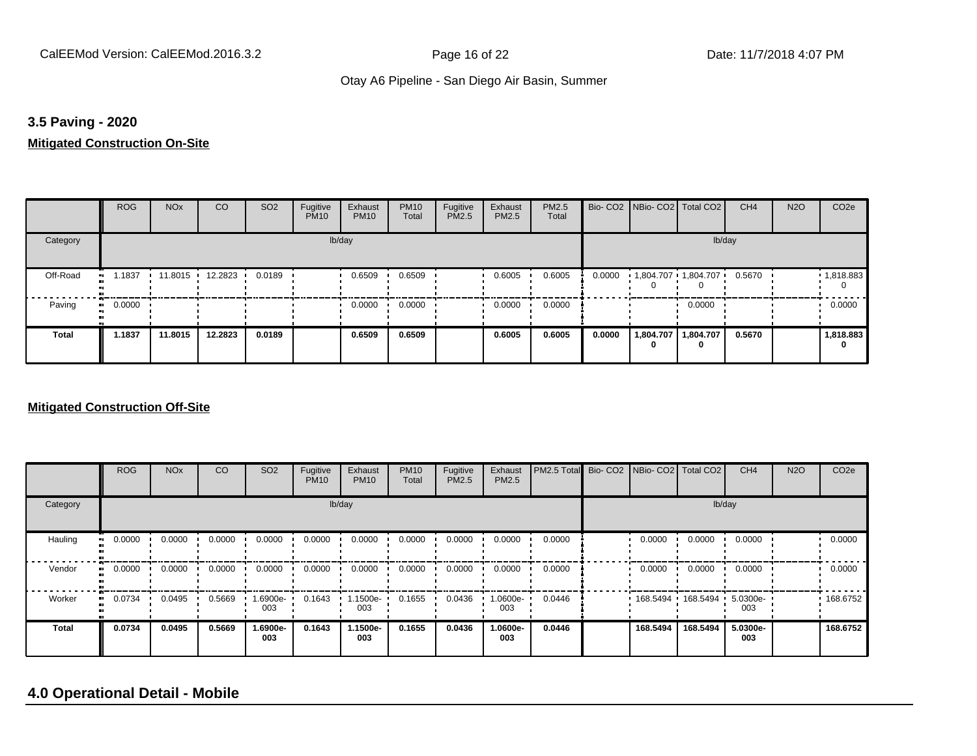## **3.5 Paving - 2020**

# **Mitigated Construction On-Site**

|                | <b>ROG</b>   | <b>NO<sub>x</sub></b> | <b>CO</b>         | SO <sub>2</sub> | Fugitive<br><b>PM10</b> | Exhaust<br><b>PM10</b> | <b>PM10</b><br>Total | Fugitive<br>PM2.5 | Exhaust<br><b>PM2.5</b> | PM2.5<br>Total |        | Bio- CO2 NBio- CO2 Total CO2 |                | CH <sub>4</sub> | <b>N2O</b> | CO <sub>2e</sub> |
|----------------|--------------|-----------------------|-------------------|-----------------|-------------------------|------------------------|----------------------|-------------------|-------------------------|----------------|--------|------------------------------|----------------|-----------------|------------|------------------|
| Category       |              |                       |                   |                 |                         | lb/day                 |                      |                   |                         |                |        |                              | lb/day         |                 |            |                  |
| Off-Road<br>ш. | 1.1837       |                       | 11.8015 12.2823 1 | 0.0189          |                         | 0.6509                 | 0.6509               |                   | 0.6005                  | 0.6005         | 0.0000 | 1,804.707 1,804.707          |                | 0.5670          |            | 1,818.883<br>0   |
| Paving         | 0.0000<br>ш. |                       |                   |                 |                         | 0.0000                 | 0.0000               |                   | 0.0000                  | 0.0000         |        |                              | 0.0000         |                 |            | 0.0000           |
| <b>Total</b>   | 1.1837       | 11.8015               | 12.2823           | 0.0189          |                         | 0.6509                 | 0.6509               |                   | 0.6005                  | 0.6005         | 0.0000 | 1,804.707<br>0               | 1,804.707<br>0 | 0.5670          |            | 1,818.883<br>0   |

#### **Mitigated Construction Off-Site**

|              | <b>ROG</b> | <b>NO<sub>x</sub></b> | CO     | SO <sub>2</sub> | Fugitive<br><b>PM10</b> | Exhaust<br><b>PM10</b> | <b>PM10</b><br>Total | Fugitive<br><b>PM2.5</b> | Exhaust<br>PM2.5 | PM2.5 Total Bio- CO2 NBio- CO2 Total CO2 |          |                     | CH <sub>4</sub> | <b>N2O</b> | CO <sub>2e</sub> |
|--------------|------------|-----------------------|--------|-----------------|-------------------------|------------------------|----------------------|--------------------------|------------------|------------------------------------------|----------|---------------------|-----------------|------------|------------------|
| Category     |            |                       |        |                 |                         | lb/day                 |                      |                          |                  |                                          |          |                     | lb/day          |            |                  |
| Hauling      | 0.0000     | 0.0000                | 0.0000 | 0.0000          | 0.0000                  | 0.0000                 | 0.0000               | 0.0000                   | 0.0000           | 0.0000                                   | 0.0000   | 0.0000              | 0.0000          |            | 0.0000           |
| Vendor       | 0.0000     | 0.0000                | 0.0000 | 0.0000          | 0.0000                  | 0.0000                 | 0.0000               | 0.0000                   | 0.0000           | 0.0000                                   | 0.0000   | 0.0000              | 0.0000          |            | 0.0000           |
| Worker       | 0.0734     | 0.0495                | 0.5669 | .6900e-<br>003  | 0.1643                  | 1.1500e-<br>003        | 0.1655               | 0.0436                   | 1.0600e-<br>003  | 0.0446                                   |          | 168.5494 168.5494 1 | 5.0300e-<br>003 |            | 168.6752         |
| <b>Total</b> | 0.0734     | 0.0495                | 0.5669 | 1.6900e-<br>003 | 0.1643                  | 1.1500e-<br>003        | 0.1655               | 0.0436                   | 1.0600e-<br>003  | 0.0446                                   | 168.5494 | 168.5494            | 5.0300e-<br>003 |            | 168.6752         |

# **4.0 Operational Detail - Mobile**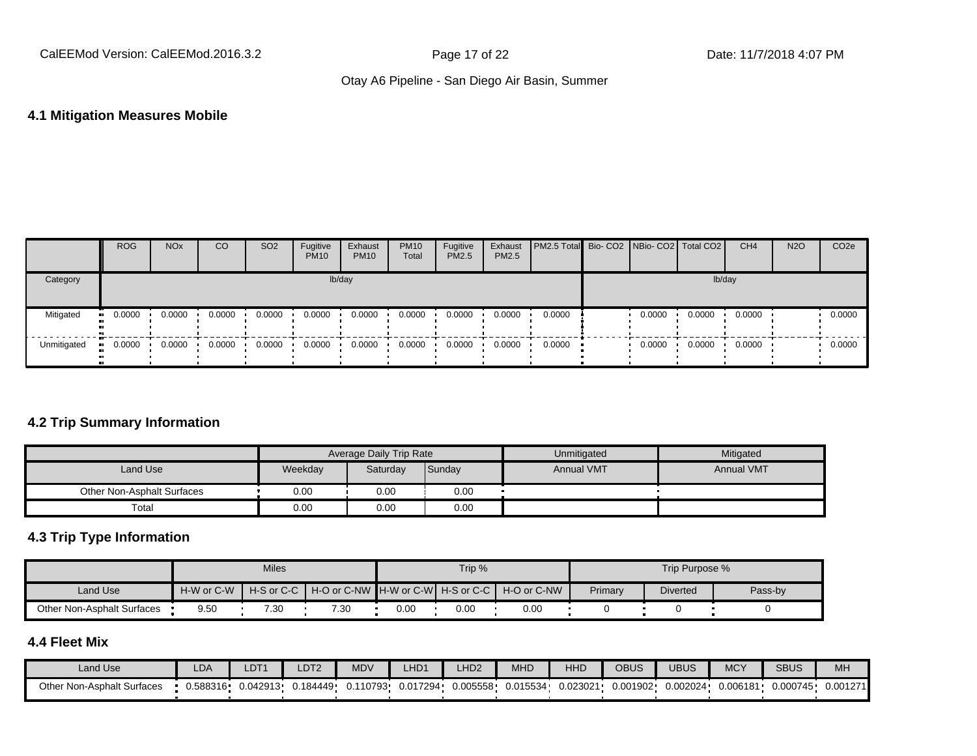#### **4.1 Mitigation Measures Mobile**

|             | <b>ROG</b>            | <b>NO<sub>x</sub></b> | CO     | SO <sub>2</sub> | Fugitive<br><b>PM10</b> | Exhaust<br><b>PM10</b> | <b>PM10</b><br>Total | Fugitive<br><b>PM2.5</b> | Exhaust<br><b>PM2.5</b> | PM2.5 Total   Bio- CO2   NBio- CO2   Total CO2 |        |        | CH <sub>4</sub> | <b>N2O</b> | CO <sub>2</sub> e |
|-------------|-----------------------|-----------------------|--------|-----------------|-------------------------|------------------------|----------------------|--------------------------|-------------------------|------------------------------------------------|--------|--------|-----------------|------------|-------------------|
| Category    |                       |                       |        |                 |                         | lb/day                 |                      |                          |                         |                                                |        | lb/day |                 |            |                   |
| Mitigated   | $\blacksquare$ 0.0000 | 0.0000                | 0.0000 | 0.0000          | 0.0000                  | 0.0000                 | 0.0000               | 0.0000                   | 0.0000                  | 0.0000                                         | 0.0000 | 0.0000 | 0.0000          |            | 0.0000            |
| Unmitigated | 0.0000<br>. .         | 0.0000                | 0.0000 | 0.0000          | 0.0000                  | 0.0000                 | 0.0000               | 0.0000                   | 0.0000                  | 0.0000                                         | 0.0000 | 0.0000 | 0.0000          |            | 0.0000            |

# **4.2 Trip Summary Information**

|                            |         | Average Daily Trip Rate |        | Unmitigated       | Mitigated         |
|----------------------------|---------|-------------------------|--------|-------------------|-------------------|
| Land Use                   | Weekday | Saturday                | Sunday | <b>Annual VMT</b> | <b>Annual VMT</b> |
| Other Non-Asphalt Surfaces | 0.00    | 0.00                    | 0.00   |                   |                   |
| Total                      | 0.00    | 0.00                    | 0.00   |                   |                   |

# **4.3 Trip Type Information**

|                            |            | <b>Miles</b> |                                                                |      | Trip % |      |         | Trip Purpose %  |         |
|----------------------------|------------|--------------|----------------------------------------------------------------|------|--------|------|---------|-----------------|---------|
| Land Use                   | H-W or C-W |              | H-S or C-C I H-O or C-NW IH-W or C-WI H-S or C-C I H-O or C-NW |      |        |      | Primary | <b>Diverted</b> | Pass-by |
| Other Non-Asphalt Surfaces | 9.50       | 7.30         | 7.30                                                           | 0.00 | 0.OC   | 0.00 |         |                 |         |

# **4.4 Fleet Mix**

| Land Use                   | LDA      | LDT <sup>+</sup> | LDT <sub>2</sub> | <b>MDV</b> | LHD <sub>1</sub> | HD2      | MHD      | <b>HHD</b> | <b>OBUS</b> | JBUS     | <b>MCY</b> | <b>SBUS</b> | MH <sub>3</sub> |
|----------------------------|----------|------------------|------------------|------------|------------------|----------|----------|------------|-------------|----------|------------|-------------|-----------------|
| Other Non-Asphalt Surfaces | 0.588316 | 0.042913         | J.184449 ·       | 0.110793   | 0.017294         | 0.005558 | 0.015534 | 0.023021   | 0.001902    | 0.002024 | 0.006181   | 0.000745    | 0.001271        |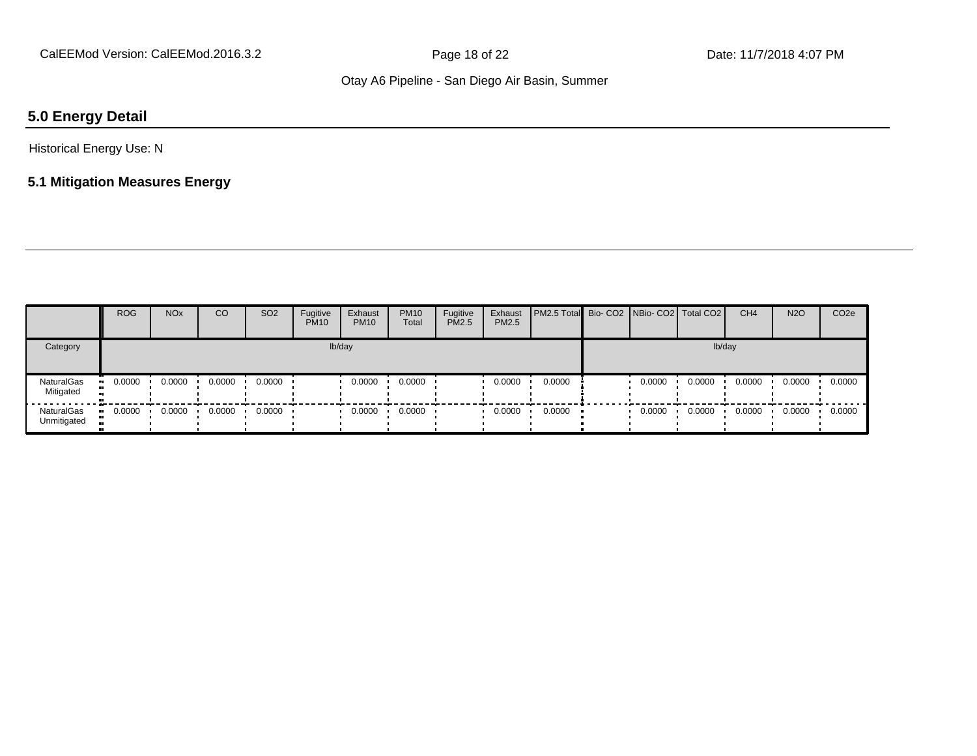# **5.0 Energy Detail**

Historical Energy Use: N

# **5.1 Mitigation Measures Energy**

|                           | <b>ROG</b>    | <b>NO<sub>x</sub></b> | CO     | SO <sub>2</sub> | Fugitive<br><b>PM10</b> | Exhaust<br><b>PM10</b> | <b>PM10</b><br>Total | Fugitive<br><b>PM2.5</b> | Exhaust<br>PM2.5 | <b>PM2.5 Total Bio-CO2 NBio-CO2 Total CO2</b> |        |        | CH <sub>4</sub> | <b>N2O</b> | CO <sub>2</sub> e |
|---------------------------|---------------|-----------------------|--------|-----------------|-------------------------|------------------------|----------------------|--------------------------|------------------|-----------------------------------------------|--------|--------|-----------------|------------|-------------------|
| Category                  |               |                       |        |                 |                         | lb/day                 |                      |                          |                  |                                               |        | lb/day |                 |            |                   |
| NaturalGas<br>Mitigated   | 0.0000<br>. . | 0.0000                | 0.0000 | 0.0000          |                         | 0.0000                 | 0.0000               |                          | 0.0000           | 0.0000                                        | 0.0000 | 0.0000 | 0.0000          | 0.0000     | 0.0000            |
| NaturalGas<br>Unmitigated | 0.0000<br>. . | 0.0000                | 0.0000 | 0.0000          |                         | 0.0000                 | 0.0000               |                          | 0.0000           | 0.0000                                        | 0.0000 | 0.0000 | 0.0000          | 0.0000     | 0.0000            |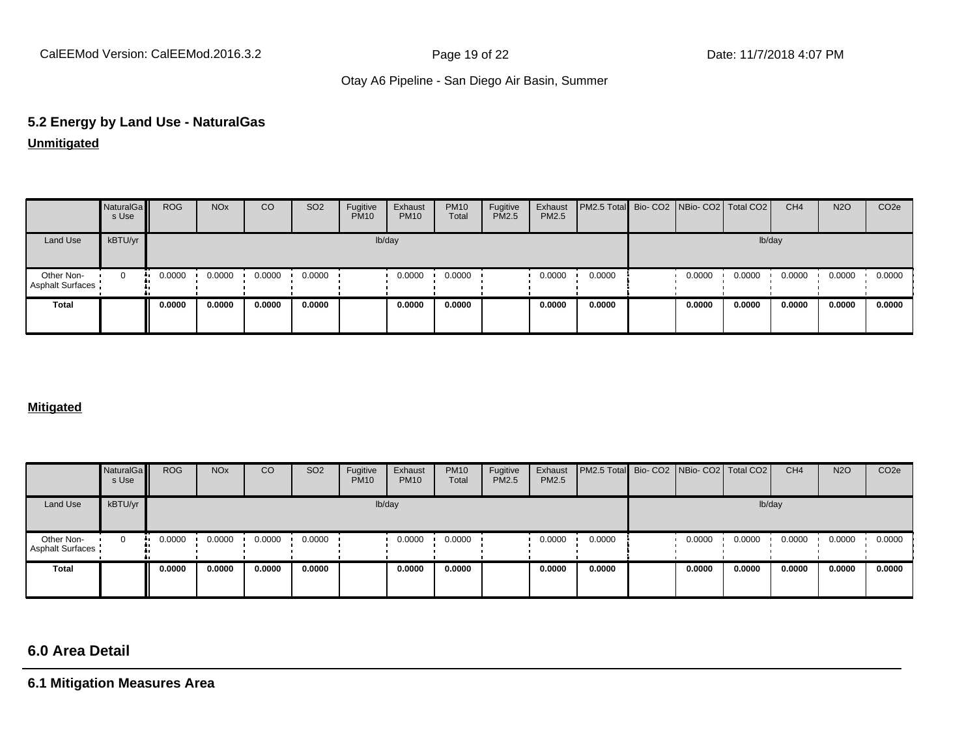# **5.2 Energy by Land Use - NaturalGas Unmitigated**

|                                | NaturalGa<br>s Use | <b>ROG</b> | <b>NO<sub>x</sub></b> | CO     | SO <sub>2</sub> | Fugitive<br><b>PM10</b> | Exhaust<br><b>PM10</b> | <b>PM10</b><br>Total | Fugitive<br><b>PM2.5</b> | Exhaust<br><b>PM2.5</b> | PM2.5 Total Bio- CO2 NBio- CO2 Total CO2 |        |        | CH <sub>4</sub> | <b>N2O</b> | CO <sub>2e</sub> |
|--------------------------------|--------------------|------------|-----------------------|--------|-----------------|-------------------------|------------------------|----------------------|--------------------------|-------------------------|------------------------------------------|--------|--------|-----------------|------------|------------------|
| Land Use                       | kBTU/yr            |            |                       |        |                 |                         | lb/day                 |                      |                          |                         |                                          |        | lb/day |                 |            |                  |
| Other Non-<br>Asphalt Surfaces | $\Omega$           | 0.0000     | 0.0000                | 0.0000 | 0.0000          |                         | 0.0000                 | 0.0000               |                          | 0.0000                  | 0.0000                                   | 0.0000 | 0.0000 | 0.0000          | 0.0000     | 0.0000           |
| <b>Total</b>                   |                    | 0.0000     | 0.0000                | 0.0000 | 0.0000          |                         | 0.0000                 | 0.0000               |                          | 0.0000                  | 0.0000                                   | 0.0000 | 0.0000 | 0.0000          | 0.0000     | 0.0000           |

#### **Mitigated**

|                                | NaturalGa<br>s Use | <b>ROG</b> | <b>NO<sub>x</sub></b> | CO     | SO <sub>2</sub> | Fugitive<br><b>PM10</b> | Exhaust<br><b>PM10</b> | <b>PM10</b><br>Total | Fugitive<br><b>PM2.5</b> | Exhaust<br>PM2.5 | PM2.5 Total Bio- CO2 NBio- CO2 Total CO2 |        |        | CH <sub>4</sub> | <b>N2O</b> | CO <sub>2e</sub> |
|--------------------------------|--------------------|------------|-----------------------|--------|-----------------|-------------------------|------------------------|----------------------|--------------------------|------------------|------------------------------------------|--------|--------|-----------------|------------|------------------|
| Land Use                       | kBTU/yr            |            |                       |        |                 |                         | lb/day                 |                      |                          |                  |                                          |        | lb/day |                 |            |                  |
| Other Non-<br>Asphalt Surfaces | 0<br>              | 0.0000     | 0.0000                | 0.0000 | 0.0000          |                         | 0.0000                 | 0.0000               |                          | 0.0000           | 0.0000                                   | 0.0000 | 0.0000 | 0.0000          | 0.0000     | 0.0000           |
| Total                          |                    | 0.0000     | 0.0000                | 0.0000 | 0.0000          |                         | 0.0000                 | 0.0000               |                          | 0.0000           | 0.0000                                   | 0.0000 | 0.0000 | 0.0000          | 0.0000     | 0.0000           |

# **6.0 Area Detail**

**6.1 Mitigation Measures Area**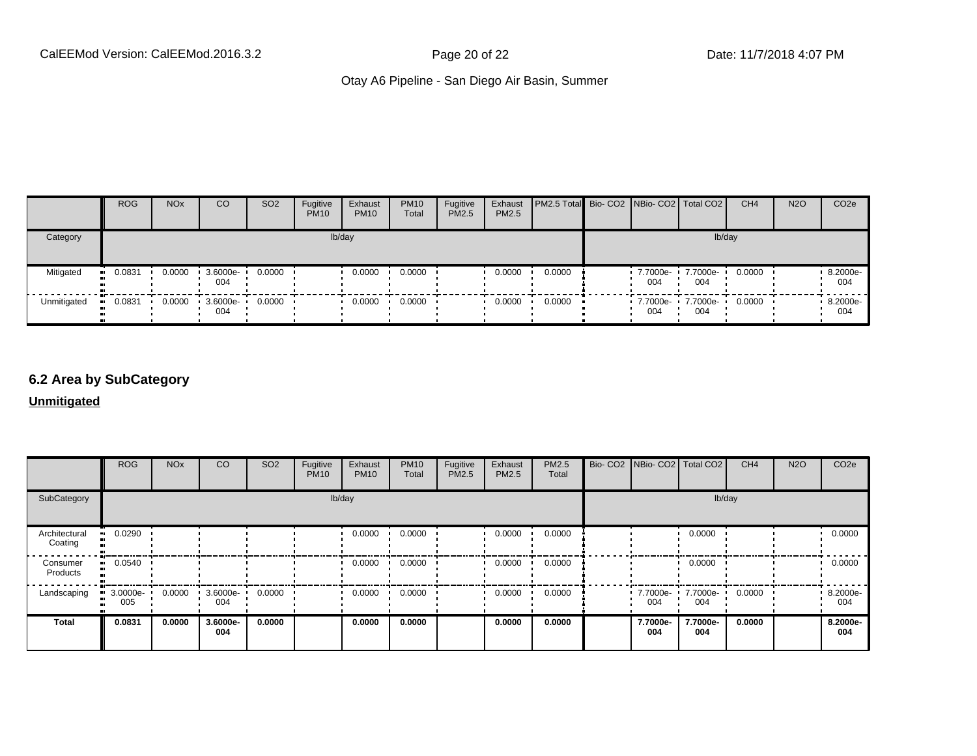|             | <b>ROG</b> | <b>NO<sub>x</sub></b> | CO              | SO <sub>2</sub> | Fugitive<br><b>PM10</b> | Exhaust<br><b>PM10</b> | <b>PM10</b><br>Total | Fugitive<br><b>PM2.5</b> | Exhaust<br>PM2.5 | PM2.5 Total Bio- CO2   NBio- CO2   Total CO2 |                   |                 | CH <sub>4</sub> | <b>N2O</b> | CO <sub>2e</sub> |
|-------------|------------|-----------------------|-----------------|-----------------|-------------------------|------------------------|----------------------|--------------------------|------------------|----------------------------------------------|-------------------|-----------------|-----------------|------------|------------------|
| Category    |            |                       |                 |                 |                         | lb/day                 |                      |                          |                  |                                              |                   | lb/day          |                 |            |                  |
| Mitigated   | 0.0831     | 0.0000                | 3.6000e-<br>004 | 0.0000          |                         | 0.0000                 | 0.0000               |                          | 0.0000           | 0.0000                                       | 7.7000e-<br>004   | 7.7000e-<br>004 | 0.0000          |            | 8.2000e-<br>004  |
| Unmitigated | 0.0831     | 0.0000                | 3.6000e-<br>004 | 0.0000          |                         | 0.0000                 | 0.0000               |                          | 0.0000           | 0.0000                                       | 7.7000e- •<br>004 | 7.7000e-<br>004 | 0.0000          |            | 8.2000e-<br>004  |

# **6.2 Area by SubCategory**

**Unmitigated**

|                          | <b>ROG</b>      | <b>NO<sub>x</sub></b> | CO              | SO <sub>2</sub> | Fugitive<br><b>PM10</b> | Exhaust<br><b>PM10</b> | <b>PM10</b><br>Total | Fugitive<br><b>PM2.5</b> | Exhaust<br>PM2.5 | <b>PM2.5</b><br>Total | Bio- CO2   NBio- CO2   Total CO2 |                 | CH <sub>4</sub> | <b>N2O</b> | CO <sub>2</sub> e |
|--------------------------|-----------------|-----------------------|-----------------|-----------------|-------------------------|------------------------|----------------------|--------------------------|------------------|-----------------------|----------------------------------|-----------------|-----------------|------------|-------------------|
| SubCategory              |                 |                       |                 |                 | lb/day                  |                        |                      |                          |                  |                       |                                  | lb/day          |                 |            |                   |
| Architectural<br>Coating | 0.0290          |                       |                 |                 |                         | 0.0000                 | 0.0000               |                          | 0.0000           | 0.0000                |                                  | 0.0000          |                 |            | 0.0000            |
| Consumer<br>Products     | 0.0540<br>      |                       |                 |                 |                         | 0.0000                 | 0.0000               |                          | 0.0000           | 0.0000                |                                  | 0.0000          |                 |            | 0.0000            |
| Landscaping              | 3.0000e-<br>005 | 0.0000                | 3.6000e-<br>004 | 0.0000          |                         | 0.0000                 | 0.0000               |                          | 0.0000           | 0.0000                | 7.7000e-<br>004                  | 7.7000e-<br>004 | 0.0000          |            | 8.2000e-<br>004   |
| <b>Total</b>             | 0.0831          | 0.0000                | 3.6000e-<br>004 | 0.0000          |                         | 0.0000                 | 0.0000               |                          | 0.0000           | 0.0000                | 7.7000e-<br>004                  | 7.7000e-<br>004 | 0.0000          |            | 8.2000e-<br>004   |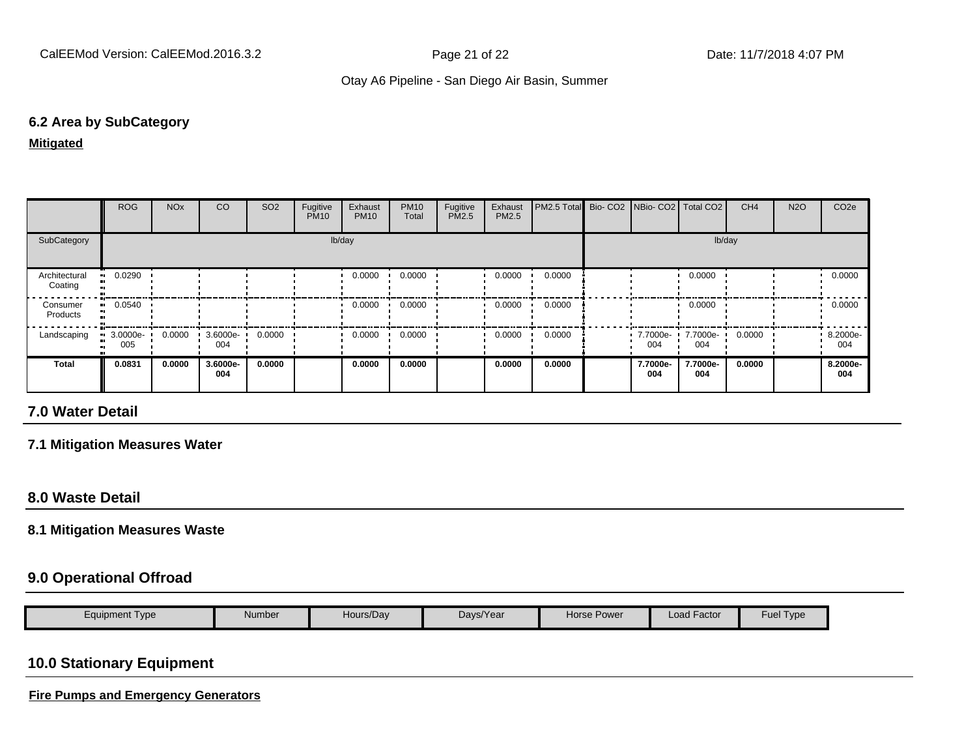## **6.2 Area by SubCategory**

#### **Mitigated**

|                          | <b>ROG</b>              | <b>NO<sub>x</sub></b> | CO              | SO <sub>2</sub> | Fugitive<br><b>PM10</b> | Exhaust<br><b>PM10</b> | <b>PM10</b><br>Total | Fugitive<br>PM2.5 | Exhaust<br>PM2.5 | PM2.5 Total Bio- CO2 NBio- CO2   Total CO2 |                 |                 | CH <sub>4</sub> | <b>N2O</b> | CO <sub>2e</sub> |
|--------------------------|-------------------------|-----------------------|-----------------|-----------------|-------------------------|------------------------|----------------------|-------------------|------------------|--------------------------------------------|-----------------|-----------------|-----------------|------------|------------------|
| SubCategory              |                         |                       |                 |                 | lb/day                  |                        |                      |                   |                  |                                            |                 | lb/day          |                 |            |                  |
| Architectural<br>Coating | 0.0290<br>. .           |                       |                 |                 |                         | 0.0000                 | 0.0000               |                   | 0.0000           | 0.0000                                     |                 | 0.0000          |                 |            | 0.0000           |
| Consumer<br>Products     | $-0.0540$               |                       |                 |                 |                         | 0.0000                 | 0.0000               |                   | 0.0000           | 0.0000                                     |                 | 0.0000          |                 |            | 0.0000           |
| Landscaping              | $\cdot$ 3.0000e-<br>005 | 0.0000                | 3.6000e-<br>004 | 0.0000          |                         | 0.0000                 | 0.0000               |                   | 0.0000           | 0.0000                                     | 7.7000e-<br>004 | 7.7000e-<br>004 | 0.0000          |            | 8.2000e-<br>004  |
| Total                    | 0.0831                  | 0.0000                | 3.6000e-<br>004 | 0.0000          |                         | 0.0000                 | 0.0000               |                   | 0.0000           | 0.0000                                     | 7.7000e-<br>004 | 7.7000e-<br>004 | 0.0000          |            | 8.2000e-<br>004  |

# **7.0 Water Detail**

#### **7.1 Mitigation Measures Water**

#### **8.0 Waste Detail**

#### **8.1 Mitigation Measures Waste**

#### **9.0 Operational Offroad**

| <b>Load Factor</b><br>Hours/Day<br>Days/Year<br>Number<br>Horse Power<br>Equipment Type<br>I ype<br>Fuel |
|----------------------------------------------------------------------------------------------------------|
|----------------------------------------------------------------------------------------------------------|

# **10.0 Stationary Equipment**

**Fire Pumps and Emergency Generators**